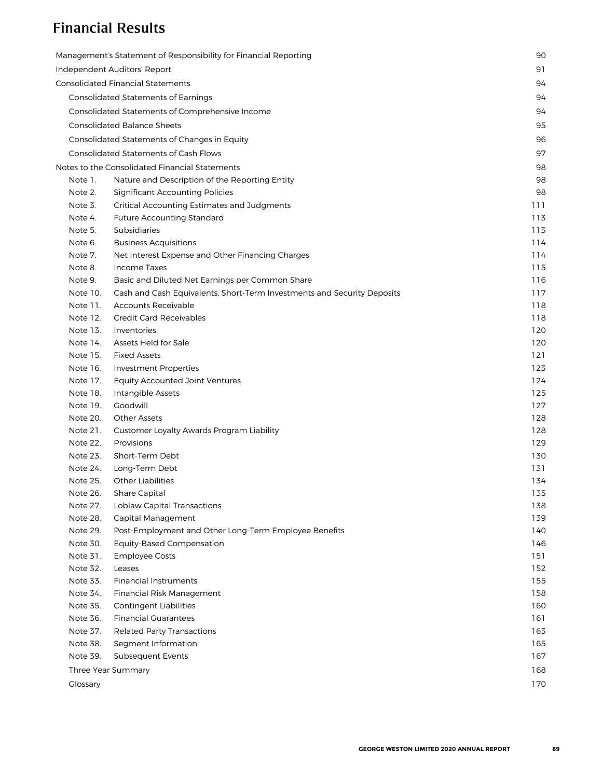## Financial Results

|          | Management's Statement of Responsibility for Financial Reporting        | 90  |
|----------|-------------------------------------------------------------------------|-----|
|          | Independent Auditors' Report                                            | 91  |
|          | <b>Consolidated Financial Statements</b>                                | 94  |
|          | <b>Consolidated Statements of Earnings</b>                              | 94  |
|          | Consolidated Statements of Comprehensive Income                         | 94  |
|          | <b>Consolidated Balance Sheets</b>                                      | 95  |
|          |                                                                         |     |
|          | Consolidated Statements of Changes in Equity                            | 96  |
|          | <b>Consolidated Statements of Cash Flows</b>                            | 97  |
|          | Notes to the Consolidated Financial Statements                          | 98  |
| Note 1.  | Nature and Description of the Reporting Entity                          | 98  |
| Note 2.  | <b>Significant Accounting Policies</b>                                  | 98  |
| Note 3.  | Critical Accounting Estimates and Judgments                             | 111 |
| Note 4.  | <b>Future Accounting Standard</b>                                       | 113 |
| Note 5.  | Subsidiaries                                                            | 113 |
| Note 6.  | <b>Business Acquisitions</b>                                            | 114 |
| Note 7.  | Net Interest Expense and Other Financing Charges                        | 114 |
| Note 8.  | Income Taxes                                                            | 115 |
| Note 9.  | Basic and Diluted Net Earnings per Common Share                         | 116 |
| Note 10. | Cash and Cash Equivalents, Short-Term Investments and Security Deposits | 117 |
| Note 11. | <b>Accounts Receivable</b>                                              | 118 |
| Note 12. | <b>Credit Card Receivables</b>                                          | 118 |
| Note 13. | Inventories                                                             | 120 |
| Note 14. | Assets Held for Sale                                                    | 120 |
| Note 15. | <b>Fixed Assets</b>                                                     | 121 |
| Note 16. | <b>Investment Properties</b>                                            | 123 |
| Note 17. | <b>Equity Accounted Joint Ventures</b>                                  | 124 |
| Note 18. | Intangible Assets                                                       | 125 |
| Note 19. | Goodwill                                                                | 127 |
| Note 20. | <b>Other Assets</b>                                                     | 128 |
| Note 21. | Customer Loyalty Awards Program Liability                               | 128 |
| Note 22. | Provisions                                                              | 129 |
| Note 23. | Short-Term Debt                                                         | 130 |
| Note 24. | Long-Term Debt                                                          | 131 |
| Note 25. | <b>Other Liabilities</b>                                                | 134 |
| Note 26. | <b>Share Capital</b>                                                    | 135 |
| Note 27. | Loblaw Capital Transactions                                             | 138 |
| Note 28. | Capital Management                                                      | 139 |
| Note 29. | Post-Employment and Other Long-Term Employee Benefits                   | 140 |
| Note 30. | <b>Equity-Based Compensation</b>                                        | 146 |
| Note 31. | <b>Employee Costs</b>                                                   | 151 |
| Note 32. | Leases                                                                  | 152 |
| Note 33. | <b>Financial Instruments</b>                                            | 155 |
| Note 34. | Financial Risk Management                                               | 158 |
| Note 35. | <b>Contingent Liabilities</b>                                           | 160 |
| Note 36. | <b>Financial Guarantees</b>                                             | 161 |
| Note 37. | <b>Related Party Transactions</b>                                       | 163 |
| Note 38. | Segment Information                                                     | 165 |
| Note 39. | <b>Subsequent Events</b>                                                | 167 |
|          | Three Year Summary                                                      | 168 |
| Clossary |                                                                         | 170 |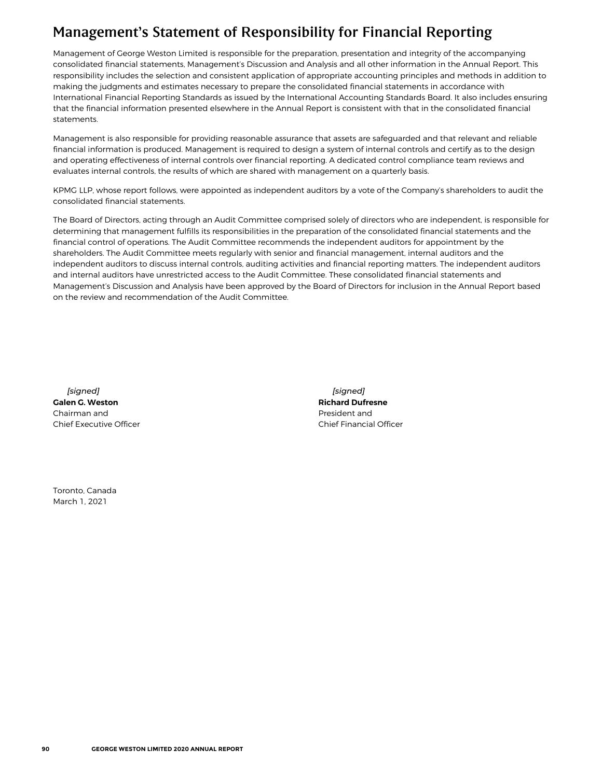# <span id="page-1-0"></span>Management's Statement of Responsibility for Financial Reporting

Management of George Weston Limited is responsible for the preparation, presentation and integrity of the accompanying consolidated financial statements, Management's Discussion and Analysis and all other information in the Annual Report. This responsibility includes the selection and consistent application of appropriate accounting principles and methods in addition to making the judgments and estimates necessary to prepare the consolidated financial statements in accordance with International Financial Reporting Standards as issued by the International Accounting Standards Board. It also includes ensuring that the financial information presented elsewhere in the Annual Report is consistent with that in the consolidated financial statements.

Management is also responsible for providing reasonable assurance that assets are safeguarded and that relevant and reliable financial information is produced. Management is required to design a system of internal controls and certify as to the design and operating effectiveness of internal controls over financial reporting. A dedicated control compliance team reviews and evaluates internal controls, the results of which are shared with management on a quarterly basis.

KPMG LLP, whose report follows, were appointed as independent auditors by a vote of the Company's shareholders to audit the consolidated financial statements.

The Board of Directors, acting through an Audit Committee comprised solely of directors who are independent, is responsible for determining that management fulfills its responsibilities in the preparation of the consolidated financial statements and the financial control of operations. The Audit Committee recommends the independent auditors for appointment by the shareholders. The Audit Committee meets regularly with senior and financial management, internal auditors and the independent auditors to discuss internal controls, auditing activities and financial reporting matters. The independent auditors and internal auditors have unrestricted access to the Audit Committee. These consolidated financial statements and Management's Discussion and Analysis have been approved by the Board of Directors for inclusion in the Annual Report based on the review and recommendation of the Audit Committee.

*[signed]* **Galen G. Weston** Chairman and Chief Executive Officer

*[signed]* **Richard Dufresne** President and Chief Financial Officer

Toronto, Canada March 1, 2021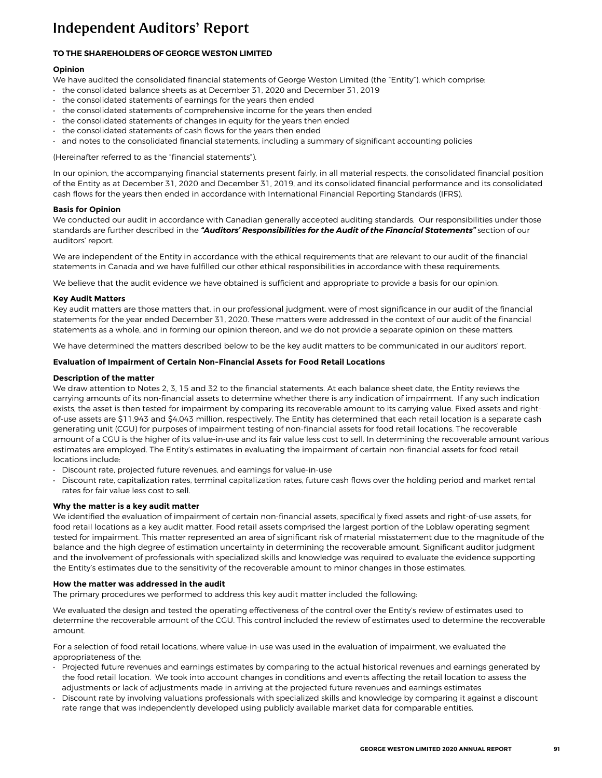# <span id="page-2-0"></span>Independent Auditors' Report

## **TO THE SHAREHOLDERS OF GEORGE WESTON LIMITED**

## **Opinion**

We have audited the consolidated financial statements of George Weston Limited (the "Entity"), which comprise:

- the consolidated balance sheets as at December 31, 2020 and December 31, 2019
- the consolidated statements of earnings for the years then ended
- the consolidated statements of comprehensive income for the years then ended
- the consolidated statements of changes in equity for the years then ended
- the consolidated statements of cash flows for the years then ended
- and notes to the consolidated financial statements, including a summary of significant accounting policies

(Hereinafter referred to as the "financial statements").

In our opinion, the accompanying financial statements present fairly, in all material respects, the consolidated financial position of the Entity as at December 31, 2020 and December 31, 2019, and its consolidated financial performance and its consolidated cash flows for the years then ended in accordance with International Financial Reporting Standards (IFRS).

### *Basis for Opinion*

We conducted our audit in accordance with Canadian generally accepted auditing standards. Our responsibilities under those standards are further described in the *"Auditors' Responsibilities for the Audit of the Financial Statements"* section of our auditors' report.

We are independent of the Entity in accordance with the ethical requirements that are relevant to our audit of the financial statements in Canada and we have fulfilled our other ethical responsibilities in accordance with these requirements.

We believe that the audit evidence we have obtained is sufficient and appropriate to provide a basis for our opinion.

## *Key Audit Matters*

Key audit matters are those matters that, in our professional judgment, were of most significance in our audit of the financial statements for the year ended December 31, 2020. These matters were addressed in the context of our audit of the financial statements as a whole, and in forming our opinion thereon, and we do not provide a separate opinion on these matters.

We have determined the matters described below to be the key audit matters to be communicated in our auditors' report.

### *Evaluation of Impairment of Certain Non-Financial Assets for Food Retail Locations*

### *Description of the matter*

We draw attention to Notes 2, 3, 15 and 32 to the financial statements. At each balance sheet date, the Entity reviews the carrying amounts of its non-financial assets to determine whether there is any indication of impairment. If any such indication exists, the asset is then tested for impairment by comparing its recoverable amount to its carrying value. Fixed assets and rightof-use assets are \$11,943 and \$4,043 million, respectively. The Entity has determined that each retail location is a separate cash generating unit (CGU) for purposes of impairment testing of non-financial assets for food retail locations. The recoverable amount of a CGU is the higher of its value-in-use and its fair value less cost to sell. In determining the recoverable amount various estimates are employed. The Entity's estimates in evaluating the impairment of certain non-financial assets for food retail locations include:

- Discount rate, projected future revenues, and earnings for value-in-use
- Discount rate, capitalization rates, terminal capitalization rates, future cash flows over the holding period and market rental rates for fair value less cost to sell.

## *Why the matter is a key audit matter*

We identified the evaluation of impairment of certain non-financial assets, specifically fixed assets and right-of-use assets, for food retail locations as a key audit matter. Food retail assets comprised the largest portion of the Loblaw operating segment tested for impairment. This matter represented an area of significant risk of material misstatement due to the magnitude of the balance and the high degree of estimation uncertainty in determining the recoverable amount. Significant auditor judgment and the involvement of professionals with specialized skills and knowledge was required to evaluate the evidence supporting the Entity's estimates due to the sensitivity of the recoverable amount to minor changes in those estimates.

## *How the matter was addressed in the audit*

The primary procedures we performed to address this key audit matter included the following:

We evaluated the design and tested the operating effectiveness of the control over the Entity's review of estimates used to determine the recoverable amount of the CGU. This control included the review of estimates used to determine the recoverable amount.

For a selection of food retail locations, where value-in-use was used in the evaluation of impairment, we evaluated the appropriateness of the:

- Projected future revenues and earnings estimates by comparing to the actual historical revenues and earnings generated by the food retail location. We took into account changes in conditions and events affecting the retail location to assess the adjustments or lack of adjustments made in arriving at the projected future revenues and earnings estimates
- Discount rate by involving valuations professionals with specialized skills and knowledge by comparing it against a discount rate range that was independently developed using publicly available market data for comparable entities.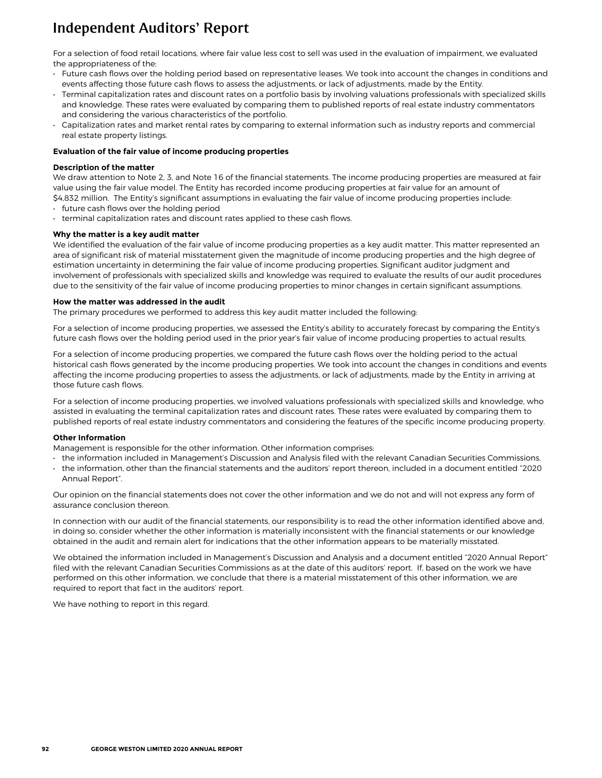# Independent Auditors' Report

For a selection of food retail locations, where fair value less cost to sell was used in the evaluation of impairment, we evaluated the appropriateness of the:

- Future cash flows over the holding period based on representative leases. We took into account the changes in conditions and events affecting those future cash flows to assess the adjustments, or lack of adjustments, made by the Entity.
- Terminal capitalization rates and discount rates on a portfolio basis by involving valuations professionals with specialized skills and knowledge. These rates were evaluated by comparing them to published reports of real estate industry commentators and considering the various characteristics of the portfolio.
- Capitalization rates and market rental rates by comparing to external information such as industry reports and commercial real estate property listings.

### *Evaluation of the fair value of income producing properties*

### *Description of the matter*

We draw attention to Note 2, 3, and Note 16 of the financial statements. The income producing properties are measured at fair value using the fair value model. The Entity has recorded income producing properties at fair value for an amount of \$4,832 million. The Entity's significant assumptions in evaluating the fair value of income producing properties include:

- future cash flows over the holding period
- terminal capitalization rates and discount rates applied to these cash flows.

### *Why the matter is a key audit matter*

We identified the evaluation of the fair value of income producing properties as a key audit matter. This matter represented an area of significant risk of material misstatement given the magnitude of income producing properties and the high degree of estimation uncertainty in determining the fair value of income producing properties. Significant auditor judgment and involvement of professionals with specialized skills and knowledge was required to evaluate the results of our audit procedures due to the sensitivity of the fair value of income producing properties to minor changes in certain significant assumptions.

#### *How the matter was addressed in the audit*

The primary procedures we performed to address this key audit matter included the following:

For a selection of income producing properties, we assessed the Entity's ability to accurately forecast by comparing the Entity's future cash flows over the holding period used in the prior year's fair value of income producing properties to actual results.

For a selection of income producing properties, we compared the future cash flows over the holding period to the actual historical cash flows generated by the income producing properties. We took into account the changes in conditions and events affecting the income producing properties to assess the adjustments, or lack of adjustments, made by the Entity in arriving at those future cash flows.

For a selection of income producing properties, we involved valuations professionals with specialized skills and knowledge, who assisted in evaluating the terminal capitalization rates and discount rates. These rates were evaluated by comparing them to published reports of real estate industry commentators and considering the features of the specific income producing property.

#### *Other Information*

Management is responsible for the other information. Other information comprises:

- the information included in Management's Discussion and Analysis filed with the relevant Canadian Securities Commissions.
- the information, other than the financial statements and the auditors' report thereon, included in a document entitled "2020 Annual Report".

Our opinion on the financial statements does not cover the other information and we do not and will not express any form of assurance conclusion thereon.

In connection with our audit of the financial statements, our responsibility is to read the other information identified above and, in doing so, consider whether the other information is materially inconsistent with the financial statements or our knowledge obtained in the audit and remain alert for indications that the other information appears to be materially misstated.

We obtained the information included in Management's Discussion and Analysis and a document entitled "2020 Annual Report" filed with the relevant Canadian Securities Commissions as at the date of this auditors' report. If, based on the work we have performed on this other information, we conclude that there is a material misstatement of this other information, we are required to report that fact in the auditors' report.

**We have nothing to report in this regard.**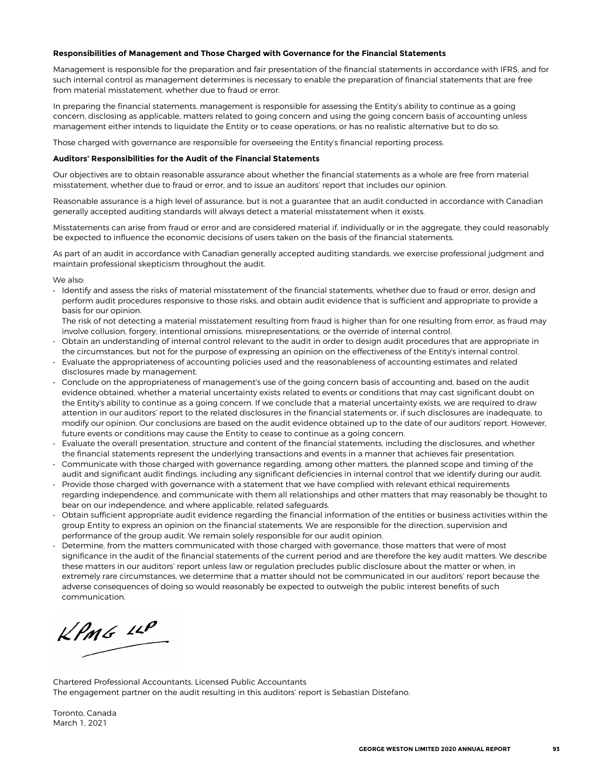#### *Responsibilities of Management and Those Charged with Governance for the Financial Statements*

Management is responsible for the preparation and fair presentation of the financial statements in accordance with IFRS, and for such internal control as management determines is necessary to enable the preparation of financial statements that are free from material misstatement, whether due to fraud or error.

In preparing the financial statements, management is responsible for assessing the Entity's ability to continue as a going concern, disclosing as applicable, matters related to going concern and using the going concern basis of accounting unless management either intends to liquidate the Entity or to cease operations, or has no realistic alternative but to do so.

Those charged with governance are responsible for overseeing the Entity's financial reporting process.

#### *Auditors' Responsibilities for the Audit of the Financial Statements*

Our objectives are to obtain reasonable assurance about whether the financial statements as a whole are free from material misstatement, whether due to fraud or error, and to issue an auditors' report that includes our opinion.

Reasonable assurance is a high level of assurance, but is not a guarantee that an audit conducted in accordance with Canadian generally accepted auditing standards will always detect a material misstatement when it exists.

Misstatements can arise from fraud or error and are considered material if, individually or in the aggregate, they could reasonably be expected to influence the economic decisions of users taken on the basis of the financial statements.

As part of an audit in accordance with Canadian generally accepted auditing standards, we exercise professional judgment and maintain professional skepticism throughout the audit.

We also:

• Identify and assess the risks of material misstatement of the financial statements, whether due to fraud or error, design and perform audit procedures responsive to those risks, and obtain audit evidence that is sufficient and appropriate to provide a basis for our opinion.

The risk of not detecting a material misstatement resulting from fraud is higher than for one resulting from error, as fraud may involve collusion, forgery, intentional omissions, misrepresentations, or the override of internal control.

- Obtain an understanding of internal control relevant to the audit in order to design audit procedures that are appropriate in the circumstances, but not for the purpose of expressing an opinion on the effectiveness of the Entity's internal control.
- Evaluate the appropriateness of accounting policies used and the reasonableness of accounting estimates and related disclosures made by management.
- Conclude on the appropriateness of management's use of the going concern basis of accounting and, based on the audit evidence obtained, whether a material uncertainty exists related to events or conditions that may cast significant doubt on the Entity's ability to continue as a going concern. If we conclude that a material uncertainty exists, we are required to draw attention in our auditors'report to the related disclosures in the financial statements or, if such disclosures are inadequate, to modify our opinion. Our conclusions are based on the audit evidence obtained up to the date of our auditors'report. However, future events or conditions may cause the Entity to cease to continue as a going concern.
- Evaluate the overall presentation, structure and content of the financial statements, including the disclosures, and whether the financial statements represent the underlying transactions and events in a manner that achieves fair presentation.
- Communicate with those charged with governance regarding, among other matters, the planned scope and timing of the audit and significant audit findings, including any significant deficiencies in internal control that we identify during our audit.
- Provide those charged with governance with a statement that we have complied with relevant ethical requirements regarding independence, and communicate with them all relationships and other matters that may reasonably be thought to bear on our independence, and where applicable, related safeguards.
- Obtain sufficient appropriate audit evidence regarding the financial information of the entities or business activities within the group Entity to express an opinion on the financial statements. We are responsible for the direction, supervision and performance of the group audit. We remain solely responsible for our audit opinion.
- Determine, from the matters communicated with those charged with governance, those matters that were of most significance in the audit of the financial statements of the current period and are therefore the key audit matters. We describe these matters in our auditors' report unless law or regulation precludes public disclosure about the matter or when, in extremely rare circumstances, we determine that a matter should not be communicated in our auditors' report because the adverse consequences of doing so would reasonably be expected to outweigh the public interest benefits of such communication.

KPMG LLP

Chartered Professional Accountants, Licensed Public Accountants The engagement partner on the audit resulting in this auditors' report is Sebastian Distefano.

Toronto, Canada March 1, 2021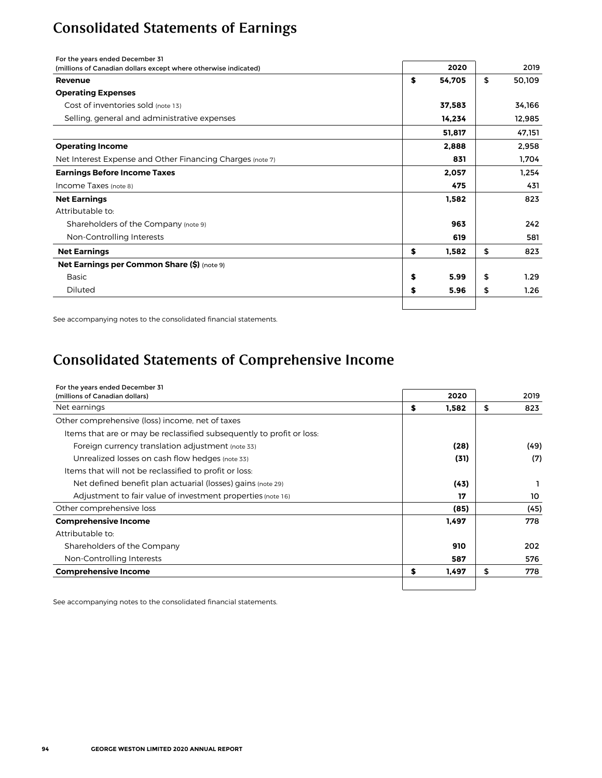# <span id="page-5-0"></span>Consolidated Statements of Earnings

| For the years ended December 31                                 |              |              |
|-----------------------------------------------------------------|--------------|--------------|
| (millions of Canadian dollars except where otherwise indicated) | 2020         | 2019         |
| Revenue                                                         | \$<br>54,705 | \$<br>50,109 |
| <b>Operating Expenses</b>                                       |              |              |
| Cost of inventories sold (note 13)                              | 37,583       | 34,166       |
| Selling, general and administrative expenses                    | 14,234       | 12,985       |
|                                                                 | 51,817       | 47,151       |
| <b>Operating Income</b>                                         | 2,888        | 2,958        |
| Net Interest Expense and Other Financing Charges (note 7)       | 831          | 1,704        |
| <b>Earnings Before Income Taxes</b>                             | 2,057        | 1.254        |
| Income Taxes (note 8)                                           | 475          | 431          |
| <b>Net Earnings</b>                                             | 1,582        | 823          |
| Attributable to:                                                |              |              |
| Shareholders of the Company (note 9)                            | 963          | 242          |
| Non-Controlling Interests                                       | 619          | 581          |
| <b>Net Earnings</b>                                             | \$<br>1,582  | \$<br>823    |
| <b>Net Earnings per Common Share (\$)</b> (note 9)              |              |              |
| <b>Basic</b>                                                    | \$<br>5.99   | \$<br>1.29   |
| Diluted                                                         | \$<br>5.96   | \$<br>1.26   |
|                                                                 |              |              |

See accompanying notes to the consolidated financial statements.

# Consolidated Statements of Comprehensive Income

| For the years ended December 31                                       |             |           |
|-----------------------------------------------------------------------|-------------|-----------|
| (millions of Canadian dollars)                                        | 2020        | 2019      |
| Net earnings                                                          | \$<br>1.582 | \$<br>823 |
| Other comprehensive (loss) income, net of taxes                       |             |           |
| Items that are or may be reclassified subsequently to profit or loss. |             |           |
| Foreign currency translation adjustment (note 33)                     | (28)        | (49)      |
| Unrealized losses on cash flow hedges (note 33)                       | (31)        | (7)       |
| Items that will not be reclassified to profit or loss:                |             |           |
| Net defined benefit plan actuarial (losses) gains (note 29)           | (43)        |           |
| Adjustment to fair value of investment properties (note 16)           | 17          | 10        |
| Other comprehensive loss                                              | (85)        | (45)      |
| <b>Comprehensive Income</b>                                           | 1,497       | 778       |
| Attributable to:                                                      |             |           |
| Shareholders of the Company                                           | 910         | 202       |
| Non-Controlling Interests                                             | 587         | 576       |
| <b>Comprehensive Income</b>                                           | \$<br>1,497 | \$<br>778 |
|                                                                       |             |           |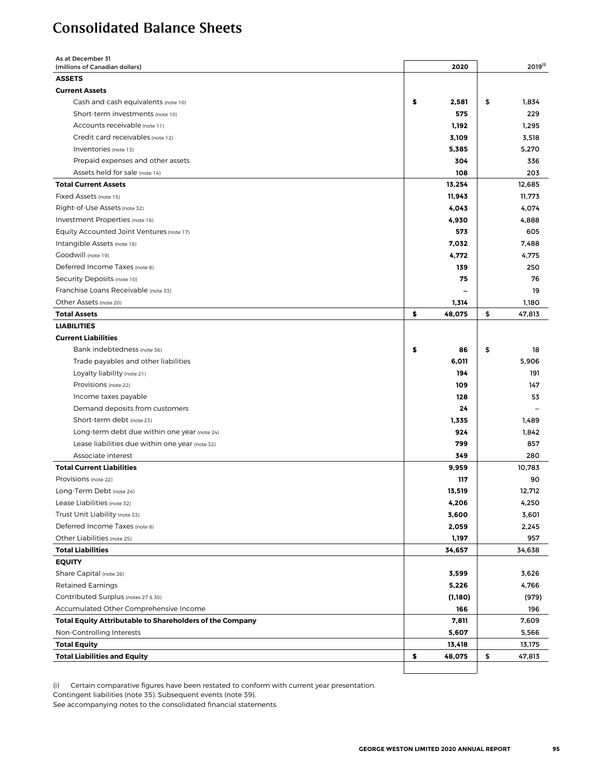# <span id="page-6-0"></span>Consolidated Balance Sheets

| As at December 31<br>(millions of Canadian dollars)      | 2020         | $2019^{(i)}$ |
|----------------------------------------------------------|--------------|--------------|
| <b>ASSETS</b>                                            |              |              |
| <b>Current Assets</b>                                    |              |              |
| Cash and cash equivalents (note 10)                      | \$<br>2,581  | \$<br>1,834  |
| Short-term investments (note 10)                         | 575          | 229          |
| Accounts receivable (note 11)                            | 1,192        | 1,295        |
| Credit card receivables (note 12)                        | 3,109        | 3,518        |
| Inventories (note 13)                                    | 5,385        | 5,270        |
| Prepaid expenses and other assets                        | 304          | 336          |
| Assets held for sale (note 14)                           | 108          | 203          |
| <b>Total Current Assets</b>                              | 13,254       | 12,685       |
| Fixed Assets (note 15)                                   | 11,943       | 11,773       |
| Right-of-Use Assets (note 32)                            | 4,043        | 4,074        |
| Investment Properties (note 16)                          | 4,930        | 4,888        |
| Equity Accounted Joint Ventures (note 17)                | 573          | 605          |
| Intangible Assets (note 18)                              | 7,032        | 7,488        |
| Goodwill (note 19)                                       | 4,772        | 4,775        |
| Deferred Income Taxes (note 8)                           | 139          | 250          |
| Security Deposits (note 10)                              | 75           | 76           |
| Franchise Loans Receivable (note 33)                     |              | 19           |
| Other Assets (note 20)                                   | 1,314        | 1,180        |
| <b>Total Assets</b>                                      | \$<br>48,075 | \$<br>47,813 |
| <b>LIABILITIES</b>                                       |              |              |
| <b>Current Liabilities</b>                               |              |              |
| Bank indebtedness (note 36)                              | \$<br>86     | \$<br>18     |
| Trade payables and other liabilities                     | 6,011        | 5,906        |
| Loyalty liability (note 21)                              | 194          | 191          |
| Provisions (note 22)                                     | 109          | 147          |
| Income taxes payable                                     | 128          | 53           |
| Demand deposits from customers                           | 24           |              |
| Short-term debt (note 23)                                | 1,335        | 1,489        |
| Long-term debt due within one year (note 24)             | 924          | 1,842        |
| Lease liabilities due within one year (note 32)          | 799          | 857          |
| Associate interest                                       | 349          | 280          |
| <b>Total Current Liabilities</b>                         | 9,959        | 10,783       |
| Provisions (note 22)                                     | 117          | 90           |
| Long-Term Debt (note 24)                                 | 13.519       | 12,712       |
| Lease Liabilities (note 32)                              | 4,206        | 4,250        |
| Trust Unit Liability (note 33)                           | 3,600        | 3,601        |
| Deferred Income Taxes (note 8)                           | 2,059        | 2,245        |
| Other Liabilities (note 25)                              | 1,197        | 957          |
| <b>Total Liabilities</b>                                 | 34,657       | 34,638       |
| <b>EQUITY</b>                                            |              |              |
| Share Capital (note 26)                                  | 3,599        | 3,626        |
| <b>Retained Earnings</b>                                 | 5,226        | 4,766        |
| Contributed Surplus (notes 27 & 30)                      | (1,180)      | (979)        |
| Accumulated Other Comprehensive Income                   | 166          | 196          |
| Total Equity Attributable to Shareholders of the Company | 7,811        | 7,609        |
| Non-Controlling Interests                                | 5,607        | 5,566        |
| <b>Total Equity</b>                                      | 13,418       | 13,175       |
| <b>Total Liabilities and Equity</b>                      | \$<br>48,075 | \$<br>47,813 |
|                                                          |              |              |
|                                                          |              |              |

(i) Certain comparative figures have been restated to conform with current year presentation.

Contingent liabilities (note 35). Subsequent events (note 39).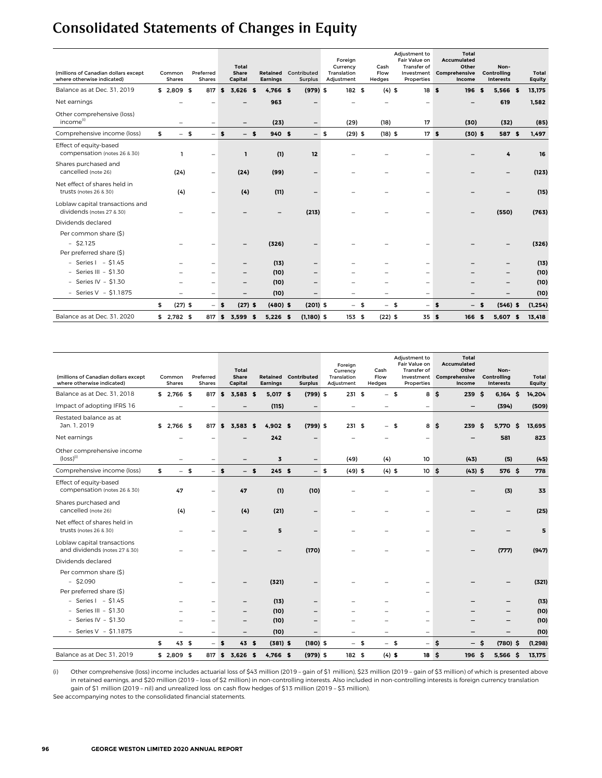# <span id="page-7-0"></span>Consolidated Statements of Changes in Equity

| (millions of Canadian dollars except<br>where otherwise indicated) | Common<br><b>Shares</b> | Preferred<br>Shares      |              | Total<br>Share<br>Capital |   | Retained<br><b>Earnings</b> | Contributed<br><b>Surplus</b> |      | Foreian<br>Currency<br>Translation<br>Adjustment | Cash<br>Flow<br>Hedges | Adjustment to<br>Fair Value on<br>Transfer of<br>Investment<br>Properties |      | <b>Total</b><br>Accumulated<br>Other<br>Comprehensive<br>Income |          | Non-<br>Controlling<br>Interests | Total<br><b>Equity</b> |
|--------------------------------------------------------------------|-------------------------|--------------------------|--------------|---------------------------|---|-----------------------------|-------------------------------|------|--------------------------------------------------|------------------------|---------------------------------------------------------------------------|------|-----------------------------------------------------------------|----------|----------------------------------|------------------------|
| Balance as at Dec. 31, 2019                                        | $$2,809$ \$             | 817                      | $\mathbf{s}$ | $3,626$ \$                |   | 4,766 \$                    | $(979)$ \$                    |      | 182 \$                                           | $(4)$ \$               | 18S                                                                       |      | 196                                                             | <b>s</b> | 5,566 \$                         | 13,175                 |
| Net earnings                                                       |                         |                          |              |                           |   | 963                         |                               |      |                                                  |                        | -                                                                         |      |                                                                 |          | 619                              | 1,582                  |
| Other comprehensive (loss)<br>income <sup>(i)</sup>                |                         | $\qquad \qquad -$        |              |                           |   | (23)                        | $\overline{\phantom{0}}$      |      | (29)                                             | (18)                   | 17                                                                        |      | (30)                                                            |          | (32)                             | (85)                   |
| Comprehensive income (loss)                                        | \$<br>$-5$              | $-$                      | $\sim$       | $-$ s                     |   | 940 \$                      |                               | $-5$ | $(29)$ \$                                        | $(18)$ \$              | 17 <sub>5</sub>                                                           |      | $(30)$ \$                                                       |          | 587 \$                           | 1,497                  |
| Effect of equity-based<br>compensation (notes 26 & 30)             |                         | $\overline{\phantom{0}}$ |              | ı                         |   | (1)                         | 12                            |      |                                                  |                        |                                                                           |      |                                                                 |          | 4                                | 16                     |
| Shares purchased and<br>cancelled (note 26)                        | (24)                    | -                        |              | (24)                      |   | (99)                        |                               |      |                                                  |                        |                                                                           |      |                                                                 |          |                                  | (123)                  |
| Net effect of shares held in<br>trusts (notes 26 & 30)             | (4)                     | $\qquad \qquad -$        |              | (4)                       |   | (11)                        |                               |      |                                                  |                        | $\overline{\phantom{0}}$                                                  |      |                                                                 |          |                                  | (15)                   |
| Loblaw capital transactions and<br>dividends (notes 27 & 30)       |                         |                          |              |                           |   |                             | (213)                         |      |                                                  |                        |                                                                           |      |                                                                 |          | (550)                            | (763)                  |
| Dividends declared                                                 |                         |                          |              |                           |   |                             |                               |      |                                                  |                        |                                                                           |      |                                                                 |          |                                  |                        |
| Per common share (\$)<br>$-$ \$2.125<br>Per preferred share (\$)   |                         |                          |              |                           |   | (326)                       |                               |      |                                                  |                        |                                                                           |      |                                                                 |          |                                  | (326)                  |
| $-$ Series I $-$ \$1.45                                            |                         |                          |              |                           |   | (13)                        | -                             |      |                                                  |                        | -                                                                         |      |                                                                 |          |                                  | (13)                   |
| - Series III - $$1.30$                                             |                         |                          |              | $\qquad \qquad -$         |   | (10)                        | -                             |      |                                                  |                        | -                                                                         |      |                                                                 |          |                                  | (10)                   |
| - Series IV - $$1.30$                                              |                         |                          |              |                           |   | (10)                        |                               |      |                                                  |                        | -                                                                         |      |                                                                 |          |                                  | (10)                   |
| - Series $V - $1.1875$                                             |                         | $\overline{\phantom{0}}$ |              |                           |   | (10)                        |                               |      |                                                  |                        | $\overline{\phantom{0}}$                                                  |      |                                                                 |          |                                  | (10)                   |
|                                                                    | \$<br>$(27)$ \$         |                          | $-$ \$       | $(27)$ \$                 |   | $(480)$ \$                  | $(201)$ \$                    |      | $-5$                                             | $-5$                   | $\overline{\phantom{0}}$                                                  | - \$ | $\qquad \qquad -$                                               | \$       | $(546)$ \$                       | (1, 254)               |
| Balance as at Dec. 31, 2020                                        | $$2,782$ \$             | 817                      | \$           | 3.599                     | £ | $5,226$ \$                  | $(1,180)$ \$                  |      | 153 \$                                           | $(22)$ \$              | 35S                                                                       |      | 166                                                             | S        | 5,607 \$                         | 13,418                 |

| (millions of Canadian dollars except<br>where otherwise indicated) | Common<br><b>Shares</b>  |      | Preferred<br><b>Shares</b> |              | Total<br><b>Share</b><br>Capital |      | Retained<br><b>Earnings</b> | Contributed<br><b>Surplus</b> |      | Foreign<br>Currency<br>Translation<br>Adjustment |      | Cash<br>Flow<br>Hedges   | Adjustment to<br>Fair Value on<br>Transfer of<br>Investment<br>Properties |     | Total<br><b>Accumulated</b><br>Other<br>Comprehensive<br>Income |      | Non-<br>Controlling<br>Interests |      | Total<br>Equity |
|--------------------------------------------------------------------|--------------------------|------|----------------------------|--------------|----------------------------------|------|-----------------------------|-------------------------------|------|--------------------------------------------------|------|--------------------------|---------------------------------------------------------------------------|-----|-----------------------------------------------------------------|------|----------------------------------|------|-----------------|
| Balance as at Dec. 31, 2018                                        | $$2,766$ \$              |      | 817                        | \$           | $3.583$ \$                       |      | 5.017 \$                    | $(799)$ \$                    |      | 231 \$                                           |      | $-5$                     |                                                                           | 8\$ | 239                                                             | - \$ | $6,164$ \$                       |      | 14,204          |
| Impact of adopting IFRS 16                                         | $\qquad \qquad -$        |      | $\overline{\phantom{0}}$   |              | $\qquad \qquad -$                |      | (115)                       | $\qquad \qquad -$             |      | $\qquad \qquad -$                                |      | $\qquad \qquad -$        | $\qquad \qquad -$                                                         |     |                                                                 |      | (394)                            |      | (509)           |
| Restated balance as at<br>Jan. 1, 2019                             | $$2.766$ \$              |      | 817                        | $\mathbf{s}$ | $3.583$ \$                       |      | 4.902 S                     | $(799)$ \$                    |      | 231S                                             |      | $-5$                     |                                                                           | 8\$ | 239                                                             | \$   | 5,770                            | - \$ | 13,695          |
| Net earnings                                                       |                          |      |                            |              |                                  |      | 242                         |                               |      |                                                  |      |                          |                                                                           |     |                                                                 |      | 581                              |      | 823             |
| Other comprehensive income<br>$(logs)$ <sup>(i)</sup>              |                          |      | $\qquad \qquad -$          |              |                                  |      | 3                           | $\qquad \qquad -$             |      | (49)                                             |      | (4)                      | 10                                                                        |     | (43)                                                            |      | (5)                              |      | (45)            |
| Comprehensive income (loss)                                        | \$                       | $-5$ |                            | $-5$         | $-5$                             |      | 245S                        |                               | $-5$ | $(49)$ \$                                        |      | $(4)$ \$                 | 10 <sub>5</sub>                                                           |     | $(43)$ \$                                                       |      | 576 \$                           |      | 778             |
| Effect of equity-based<br>compensation (notes 26 & 30)             | 47                       |      | ۳                          |              | 47                               |      | (1)                         | (10)                          |      |                                                  |      |                          |                                                                           |     |                                                                 |      | (3)                              |      | 33              |
| Shares purchased and<br>cancelled (note 26)                        | (4)                      |      | $\qquad \qquad -$          |              | (4)                              |      | (21)                        |                               |      |                                                  |      |                          | -                                                                         |     |                                                                 |      |                                  |      | (25)            |
| Net effect of shares held in<br>trusts (notes 26 & 30)             |                          |      |                            |              |                                  |      | 5                           |                               |      |                                                  |      |                          |                                                                           |     |                                                                 |      |                                  |      | 5               |
| Loblaw capital transactions<br>and dividends (notes 27 & 30)       |                          |      |                            |              |                                  |      |                             | (170)                         |      |                                                  |      |                          |                                                                           |     |                                                                 |      | (777)                            |      | (947)           |
| Dividends declared                                                 |                          |      |                            |              |                                  |      |                             |                               |      |                                                  |      |                          |                                                                           |     |                                                                 |      |                                  |      |                 |
| Per common share (\$)<br>$-$ \$2.090<br>Per preferred share (\$)   |                          |      |                            |              |                                  |      | (321)                       |                               |      |                                                  |      |                          |                                                                           |     |                                                                 |      |                                  |      | (321)           |
| $-$ Series I $-$ \$1.45                                            |                          |      |                            |              |                                  |      | (13)                        |                               |      |                                                  |      |                          |                                                                           |     |                                                                 |      |                                  |      | (13)            |
| - Series III - $$1.30$                                             |                          |      | $\qquad \qquad -$          |              | -                                |      | (10)                        |                               |      |                                                  |      |                          | $\qquad \qquad -$                                                         |     |                                                                 |      |                                  |      | (10)            |
| - Series IV - $$1.30$                                              |                          |      | -                          |              | $\overline{\phantom{0}}$         |      | (10)                        |                               |      |                                                  |      |                          | $\overline{\phantom{0}}$                                                  |     |                                                                 |      |                                  |      | (10)            |
| - Series $V - $1.1875$                                             | $\overline{\phantom{0}}$ |      | $\overline{\phantom{a}}$   |              | $\overline{\phantom{m}}$         |      | (10)                        | $\overline{\phantom{0}}$      |      | -                                                |      | $\overline{\phantom{0}}$ | $\overline{\phantom{m}}$                                                  |     | -                                                               |      | $\overline{\phantom{0}}$         |      | (10)            |
|                                                                    | \$<br>43 \$              |      |                            | $-5$         | 43S                              |      | $(381)$ \$                  | $(180)$ \$                    |      |                                                  | $-5$ | $-5$                     | $\qquad \qquad -$                                                         | \$  | -                                                               | Ŝ.   | $(780)$ \$                       |      | (1, 298)        |
| Balance as at Dec 31, 2019                                         | $$2.809$ \$              |      | 817 \$                     |              | 3.626                            | - \$ | $4.766$ \$                  | $(979)$ \$                    |      | 182S                                             |      | $(4)$ \$                 | 18 <sup>5</sup>                                                           |     | 196                                                             | - S  | 5.566                            | - \$ | 13,175          |

(i) Other comprehensive (loss) income includes actuarial loss of \$43 million (2019 – gain of \$1 million), \$23 million (2019 – gain of \$3 million) of which is presented above in retained earnings, and \$20 million (2019 – loss of \$2 million) in non-controlling interests. Also included in non-controlling interests is foreign currency translation gain of \$1 million (2019 – nil) and unrealized loss on cash flow hedges of \$13 million (2019 – \$3 million).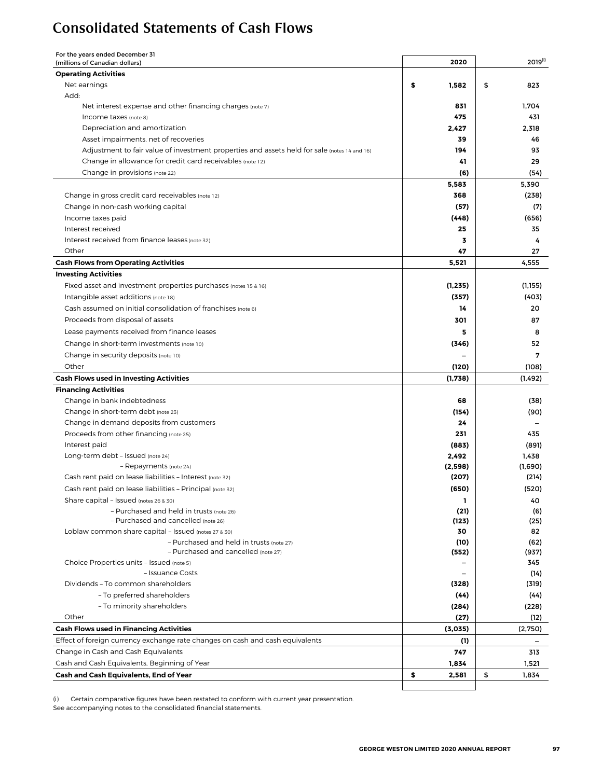## <span id="page-8-0"></span>Consolidated Statements of Cash Flows

For the years ended December 31

| For the years ended December 51<br>(millions of Canadian dollars)                            | 2020           | $2019^{(i)}$             |
|----------------------------------------------------------------------------------------------|----------------|--------------------------|
| <b>Operating Activities</b>                                                                  |                |                          |
| Net earnings                                                                                 | \$<br>1,582    | \$<br>823                |
| Add:                                                                                         |                |                          |
| Net interest expense and other financing charges (note 7)                                    | 831            | 1,704                    |
| Income taxes (note 8)                                                                        | 475            | 431                      |
| Depreciation and amortization                                                                | 2,427          | 2,318                    |
| Asset impairments, net of recoveries                                                         | 39             | 46                       |
| Adjustment to fair value of investment properties and assets held for sale (notes 14 and 16) | 194            | 93                       |
| Change in allowance for credit card receivables (note 12)                                    | 41             | 29                       |
| Change in provisions (note 22)                                                               | (6)            | (54)                     |
|                                                                                              | 5,583          | 5,390                    |
| Change in gross credit card receivables (note 12)                                            | 368            | (238)                    |
| Change in non-cash working capital                                                           | (57)           | (7)                      |
| Income taxes paid                                                                            | (448)          | (656)                    |
| Interest received                                                                            | 25             | 35                       |
| Interest received from finance leases (note 32)                                              | 3              | 4                        |
| Other                                                                                        | 47             | 27                       |
| <b>Cash Flows from Operating Activities</b>                                                  | 5,521          | 4,555                    |
| <b>Investing Activities</b>                                                                  |                |                          |
| Fixed asset and investment properties purchases (notes 15 & 16)                              | (1, 235)       | (1, 155)                 |
| Intangible asset additions (note 18)                                                         | (357)          | (403)                    |
| Cash assumed on initial consolidation of franchises (note 6)                                 | 14             | 20                       |
| Proceeds from disposal of assets                                                             | 301            | 87                       |
| Lease payments received from finance leases                                                  | 5              | 8                        |
|                                                                                              |                |                          |
| Change in short-term investments (note 10)                                                   | (346)          | 52                       |
| Change in security deposits (note 10)                                                        |                | 7                        |
| Other                                                                                        | (120)          | (108)                    |
| <b>Cash Flows used in Investing Activities</b>                                               | (1,738)        | (1, 492)                 |
| <b>Financing Activities</b>                                                                  |                |                          |
| Change in bank indebtedness                                                                  | 68             | (38)                     |
| Change in short-term debt (note 23)                                                          | (154)<br>24    | (90)                     |
| Change in demand deposits from customers<br>Proceeds from other financing (note 25)          | 231            |                          |
| Interest paid                                                                                |                | 435                      |
| Long-term debt - Issued (note 24)                                                            | (883)<br>2,492 | (891)<br>1,438           |
| - Repayments (note 24)                                                                       | (2,598)        | (1,690)                  |
| Cash rent paid on lease liabilities - Interest (note 32)                                     | (207)          | (214)                    |
| Cash rent paid on lease liabilities - Principal (note 32)                                    | (650)          | (520)                    |
| Share capital - Issued (notes 26 & 30)                                                       | L              | 40                       |
| - Purchased and held in trusts (note 26)                                                     | (21)           | (6)                      |
| - Purchased and cancelled (note 26)                                                          | (123)          | (25)                     |
| Loblaw common share capital - Issued (notes 27 & 30)                                         | 30             | 82                       |
| - Purchased and held in trusts (note 27)                                                     | (10)           | (62)                     |
| - Purchased and cancelled (note 27)                                                          | (552)          | (937)                    |
| Choice Properties units - Issued (note 5)                                                    |                | 345                      |
| - Issuance Costs                                                                             |                | (14)                     |
| Dividends - To common shareholders                                                           | (328)          | (319)                    |
| - To preferred shareholders                                                                  | (44)           | (44)                     |
| - To minority shareholders                                                                   | (284)          | (228)                    |
| Other                                                                                        | (27)           | (12)                     |
| <b>Cash Flows used in Financing Activities</b>                                               | (3,035)        | (2,750)                  |
| Effect of foreign currency exchange rate changes on cash and cash equivalents                | (1)            | $\overline{\phantom{m}}$ |
| Change in Cash and Cash Equivalents                                                          | 747            | 313                      |
| Cash and Cash Equivalents, Beginning of Year                                                 | 1,834          | 1,521                    |
| <b>Cash and Cash Equivalents, End of Year</b>                                                | \$<br>2,581    | \$<br>1,834              |
|                                                                                              |                |                          |

(i) Certain comparative figures have been restated to conform with current year presentation.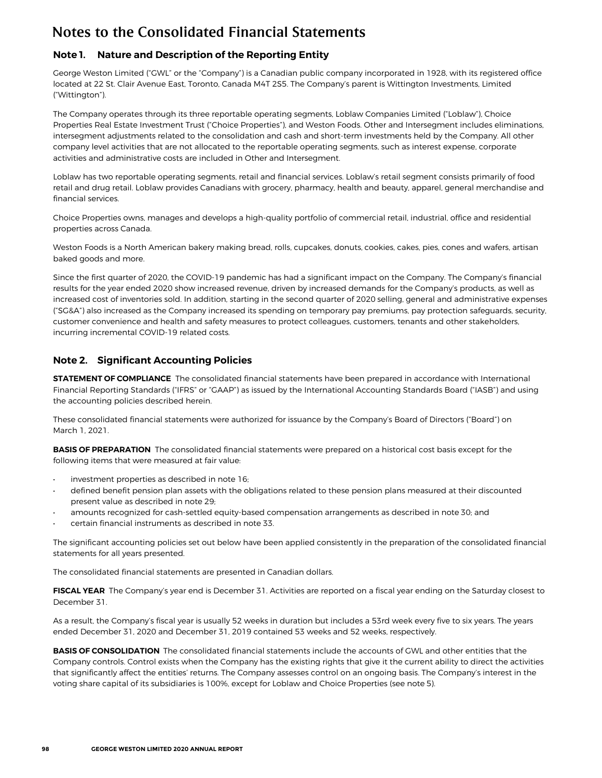## <span id="page-9-0"></span>**Note 1. Nature and Description of the Reporting Entity**

George Weston Limited ("GWL" or the "Company") is a Canadian public company incorporated in 1928, with its registered office located at 22 St. Clair Avenue East, Toronto, Canada M4T 2S5. The Company's parent is Wittington Investments, Limited ("Wittington").

The Company operates through its three reportable operating segments, Loblaw Companies Limited ("Loblaw"), Choice Properties Real Estate Investment Trust ("Choice Properties"), and Weston Foods. Other and Intersegment includes eliminations, intersegment adjustments related to the consolidation and cash and short-term investments held by the Company. All other company level activities that are not allocated to the reportable operating segments, such as interest expense, corporate activities and administrative costs are included in Other and Intersegment.

Loblaw has two reportable operating segments, retail and financial services. Loblaw's retail segment consists primarily of food retail and drug retail. Loblaw provides Canadians with grocery, pharmacy, health and beauty, apparel, general merchandise and financial services.

Choice Properties owns, manages and develops a high-quality portfolio of commercial retail, industrial, office and residential properties across Canada.

Weston Foods is a North American bakery making bread, rolls, cupcakes, donuts, cookies, cakes, pies, cones and wafers, artisan baked goods and more.

Since the first quarter of 2020, the COVID-19 pandemic has had a significant impact on the Company. The Company's financial results for the year ended 2020 show increased revenue, driven by increased demands for the Company's products, as well as increased cost of inventories sold. In addition, starting in the second quarter of 2020 selling, general and administrative expenses ("SG&A") also increased as the Company increased its spending on temporary pay premiums, pay protection safeguards, security, customer convenience and health and safety measures to protect colleagues, customers, tenants and other stakeholders, incurring incremental COVID-19 related costs.

### **Note 2. Significant Accounting Policies**

**STATEMENT OF COMPLIANCE** The consolidated financial statements have been prepared in accordance with International Financial Reporting Standards ("IFRS" or "GAAP") as issued by the International Accounting Standards Board ("IASB") and using the accounting policies described herein.

These consolidated financial statements were authorized for issuance by the Company's Board of Directors ("Board") on March 1, 2021.

**BASIS OF PREPARATION** The consolidated financial statements were prepared on a historical cost basis except for the following items that were measured at fair value:

- investment properties as described in note 16;
- defined benefit pension plan assets with the obligations related to these pension plans measured at their discounted present value as described in note 29;
- amounts recognized for cash-settled equity-based compensation arrangements as described in note 30; and
- certain financial instruments as described in note 33.

The significant accounting policies set out below have been applied consistently in the preparation of the consolidated financial statements for all years presented.

The consolidated financial statements are presented in Canadian dollars.

**FISCAL YEAR** The Company's year end is December 31. Activities are reported on a fiscal year ending on the Saturday closest to December 31.

As a result, the Company's fiscal year is usually 52 weeks in duration but includes a 53rd week every five to six years. The years ended December 31, 2020 and December 31, 2019 contained 53 weeks and 52 weeks, respectively.

**BASIS OF CONSOLIDATION** The consolidated financial statements include the accounts of GWL and other entities that the Company controls. Control exists when the Company has the existing rights that give it the current ability to direct the activities that significantly affect the entities' returns. The Company assesses control on an ongoing basis. The Company's interest in the voting share capital of its subsidiaries is 100%, except for Loblaw and Choice Properties (see note 5).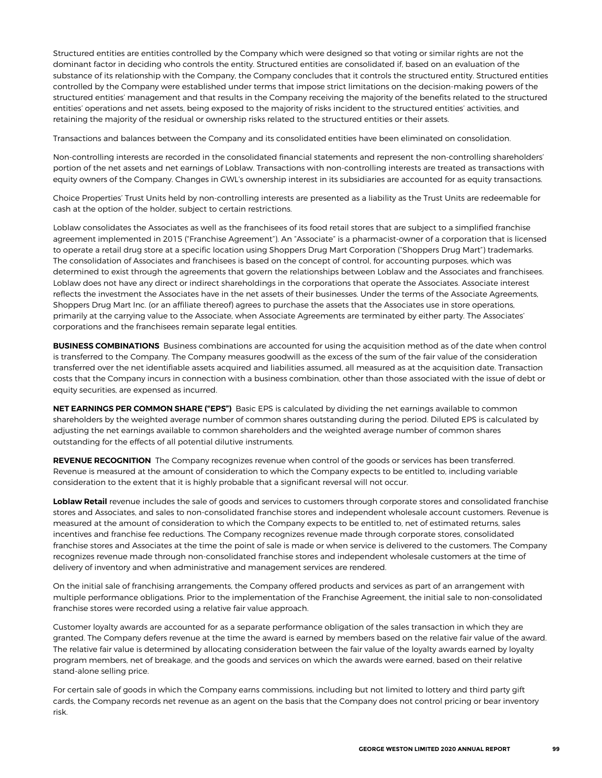Structured entities are entities controlled by the Company which were designed so that voting or similar rights are not the dominant factor in deciding who controls the entity. Structured entities are consolidated if, based on an evaluation of the substance of its relationship with the Company, the Company concludes that it controls the structured entity. Structured entities controlled by the Company were established under terms that impose strict limitations on the decision-making powers of the structured entities' management and that results in the Company receiving the majority of the benefits related to the structured entities' operations and net assets, being exposed to the majority of risks incident to the structured entities' activities, and retaining the majority of the residual or ownership risks related to the structured entities or their assets.

Transactions and balances between the Company and its consolidated entities have been eliminated on consolidation.

Non-controlling interests are recorded in the consolidated financial statements and represent the non-controlling shareholders' portion of the net assets and net earnings of Loblaw. Transactions with non-controlling interests are treated as transactions with equity owners of the Company. Changes in GWL's ownership interest in its subsidiaries are accounted for as equity transactions.

Choice Properties' Trust Units held by non-controlling interests are presented as a liability as the Trust Units are redeemable for cash at the option of the holder, subject to certain restrictions.

Loblaw consolidates the Associates as well as the franchisees of its food retail stores that are subject to a simplified franchise agreement implemented in 2015 ("Franchise Agreement"). An "Associate" is a pharmacist-owner of a corporation that is licensed to operate a retail drug store at a specific location using Shoppers Drug Mart Corporation ("Shoppers Drug Mart") trademarks. The consolidation of Associates and franchisees is based on the concept of control, for accounting purposes, which was determined to exist through the agreements that govern the relationships between Loblaw and the Associates and franchisees. Loblaw does not have any direct or indirect shareholdings in the corporations that operate the Associates. Associate interest reflects the investment the Associates have in the net assets of their businesses. Under the terms of the Associate Agreements, Shoppers Drug Mart Inc. (or an affiliate thereof) agrees to purchase the assets that the Associates use in store operations, primarily at the carrying value to the Associate, when Associate Agreements are terminated by either party. The Associates' corporations and the franchisees remain separate legal entities.

**BUSINESS COMBINATIONS** Business combinations are accounted for using the acquisition method as of the date when control is transferred to the Company. The Company measures goodwill as the excess of the sum of the fair value of the consideration transferred over the net identifiable assets acquired and liabilities assumed, all measured as at the acquisition date. Transaction costs that the Company incurs in connection with a business combination, other than those associated with the issue of debt or equity securities, are expensed as incurred.

**NET EARNINGS PER COMMON SHARE ("EPS")** Basic EPS is calculated by dividing the net earnings available to common shareholders by the weighted average number of common shares outstanding during the period. Diluted EPS is calculated by adjusting the net earnings available to common shareholders and the weighted average number of common shares outstanding for the effects of all potential dilutive instruments.

**REVENUE RECOGNITION** The Company recognizes revenue when control of the goods or services has been transferred. Revenue is measured at the amount of consideration to which the Company expects to be entitled to, including variable consideration to the extent that it is highly probable that a significant reversal will not occur.

**Loblaw Retail** revenue includes the sale of goods and services to customers through corporate stores and consolidated franchise stores and Associates, and sales to non-consolidated franchise stores and independent wholesale account customers. Revenue is measured at the amount of consideration to which the Company expects to be entitled to, net of estimated returns, sales incentives and franchise fee reductions. The Company recognizes revenue made through corporate stores, consolidated franchise stores and Associates at the time the point of sale is made or when service is delivered to the customers. The Company recognizes revenue made through non-consolidated franchise stores and independent wholesale customers at the time of delivery of inventory and when administrative and management services are rendered.

On the initial sale of franchising arrangements, the Company offered products and services as part of an arrangement with multiple performance obligations. Prior to the implementation of the Franchise Agreement, the initial sale to non-consolidated franchise stores were recorded using a relative fair value approach.

Customer loyalty awards are accounted for as a separate performance obligation of the sales transaction in which they are granted. The Company defers revenue at the time the award is earned by members based on the relative fair value of the award. The relative fair value is determined by allocating consideration between the fair value of the loyalty awards earned by loyalty program members, net of breakage, and the goods and services on which the awards were earned, based on their relative stand-alone selling price.

For certain sale of goods in which the Company earns commissions, including but not limited to lottery and third party gift cards, the Company records net revenue as an agent on the basis that the Company does not control pricing or bear inventory risk.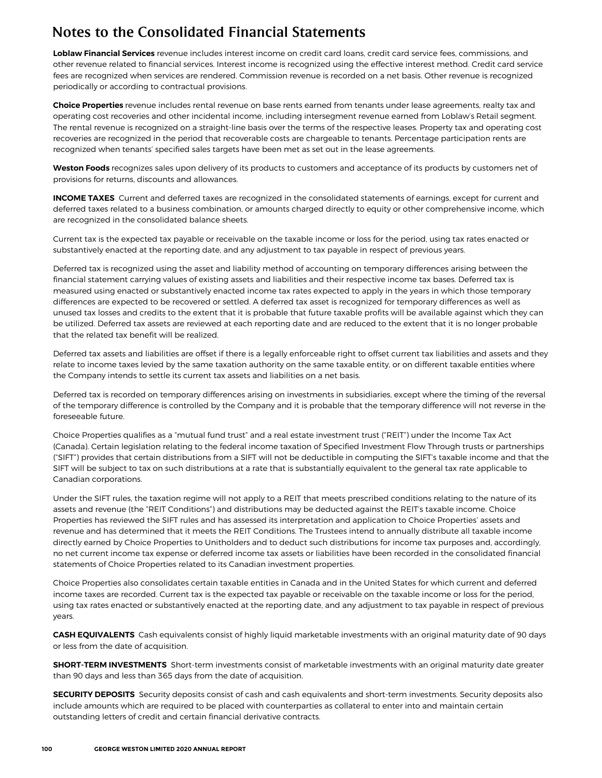**Loblaw Financial Services** revenue includes interest income on credit card loans, credit card service fees, commissions, and other revenue related to financial services. Interest income is recognized using the effective interest method. Credit card service fees are recognized when services are rendered. Commission revenue is recorded on a net basis. Other revenue is recognized periodically or according to contractual provisions.

**Choice Properties** revenue includes rental revenue on base rents earned from tenants under lease agreements, realty tax and operating cost recoveries and other incidental income, including intersegment revenue earned from Loblaw's Retail segment. The rental revenue is recognized on a straight-line basis over the terms of the respective leases. Property tax and operating cost recoveries are recognized in the period that recoverable costs are chargeable to tenants. Percentage participation rents are recognized when tenants' specified sales targets have been met as set out in the lease agreements.

**Weston Foods** recognizes sales upon delivery of its products to customers and acceptance of its products by customers net of provisions for returns, discounts and allowances.

**INCOME TAXES** Current and deferred taxes are recognized in the consolidated statements of earnings, except for current and deferred taxes related to a business combination, or amounts charged directly to equity or other comprehensive income, which are recognized in the consolidated balance sheets.

Current tax is the expected tax payable or receivable on the taxable income or loss for the period, using tax rates enacted or substantively enacted at the reporting date, and any adjustment to tax payable in respect of previous years.

Deferred tax is recognized using the asset and liability method of accounting on temporary differences arising between the financial statement carrying values of existing assets and liabilities and their respective income tax bases. Deferred tax is measured using enacted or substantively enacted income tax rates expected to apply in the years in which those temporary differences are expected to be recovered or settled. A deferred tax asset is recognized for temporary differences as well as unused tax losses and credits to the extent that it is probable that future taxable profits will be available against which they can be utilized. Deferred tax assets are reviewed at each reporting date and are reduced to the extent that it is no longer probable that the related tax benefit will be realized.

Deferred tax assets and liabilities are offset if there is a legally enforceable right to offset current tax liabilities and assets and they relate to income taxes levied by the same taxation authority on the same taxable entity, or on different taxable entities where the Company intends to settle its current tax assets and liabilities on a net basis.

Deferred tax is recorded on temporary differences arising on investments in subsidiaries, except where the timing of the reversal of the temporary difference is controlled by the Company and it is probable that the temporary difference will not reverse in the foreseeable future.

Choice Properties qualifies as a "mutual fund trust" and a real estate investment trust ("REIT") under the Income Tax Act (Canada). Certain legislation relating to the federal income taxation of Specified Investment Flow Through trusts or partnerships ("SIFT") provides that certain distributions from a SIFT will not be deductible in computing the SIFT's taxable income and that the SIFT will be subject to tax on such distributions at a rate that is substantially equivalent to the general tax rate applicable to Canadian corporations.

Under the SIFT rules, the taxation regime will not apply to a REIT that meets prescribed conditions relating to the nature of its assets and revenue (the "REIT Conditions") and distributions may be deducted against the REIT's taxable income. Choice Properties has reviewed the SIFT rules and has assessed its interpretation and application to Choice Properties' assets and revenue and has determined that it meets the REIT Conditions. The Trustees intend to annually distribute all taxable income directly earned by Choice Properties to Unitholders and to deduct such distributions for income tax purposes and, accordingly, no net current income tax expense or deferred income tax assets or liabilities have been recorded in the consolidated financial statements of Choice Properties related to its Canadian investment properties.

Choice Properties also consolidates certain taxable entities in Canada and in the United States for which current and deferred income taxes are recorded. Current tax is the expected tax payable or receivable on the taxable income or loss for the period, using tax rates enacted or substantively enacted at the reporting date, and any adjustment to tax payable in respect of previous years.

**CASH EQUIVALENTS** Cash equivalents consist of highly liquid marketable investments with an original maturity date of 90 days or less from the date of acquisition.

**SHORT-TERM INVESTMENTS** Short-term investments consist of marketable investments with an original maturity date greater than 90 days and less than 365 days from the date of acquisition.

**SECURITY DEPOSITS** Security deposits consist of cash and cash equivalents and short-term investments. Security deposits also include amounts which are required to be placed with counterparties as collateral to enter into and maintain certain outstanding letters of credit and certain financial derivative contracts.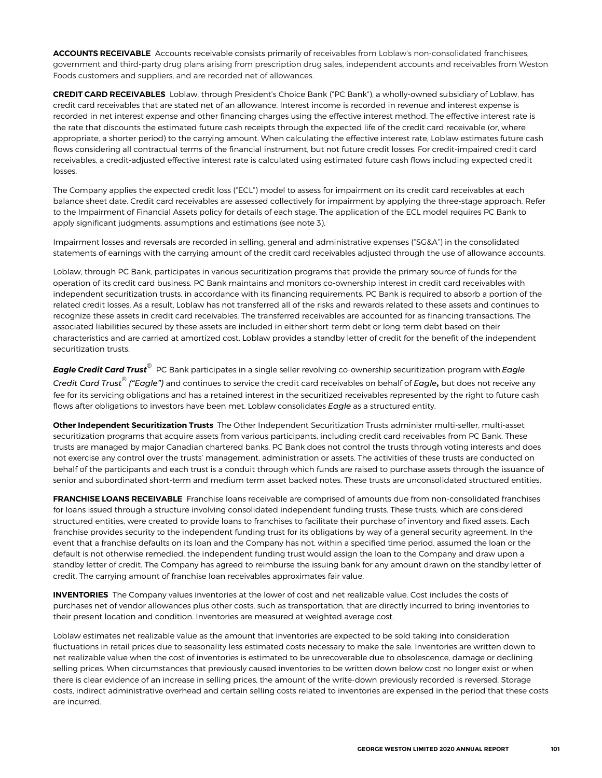**ACCOUNTS RECEIVABLE** Accounts receivable consists primarily of receivables from Loblaw's non-consolidated franchisees, government and third-party drug plans arising from prescription drug sales, independent accounts and receivables from Weston Foods customers and suppliers, and are recorded net of allowances.

**CREDIT CARD RECEIVABLES** Loblaw, through President's Choice Bank ("PC Bank"), a wholly-owned subsidiary of Loblaw, has credit card receivables that are stated net of an allowance. Interest income is recorded in revenue and interest expense is recorded in net interest expense and other financing charges using the effective interest method. The effective interest rate is the rate that discounts the estimated future cash receipts through the expected life of the credit card receivable (or, where appropriate, a shorter period) to the carrying amount. When calculating the effective interest rate, Loblaw estimates future cash flows considering all contractual terms of the financial instrument, but not future credit losses. For credit-impaired credit card receivables, a credit-adjusted effective interest rate is calculated using estimated future cash flows including expected credit losses.

The Company applies the expected credit loss ("ECL") model to assess for impairment on its credit card receivables at each balance sheet date. Credit card receivables are assessed collectively for impairment by applying the three-stage approach. Refer to the Impairment of Financial Assets policy for details of each stage. The application of the ECL model requires PC Bank to apply significant judgments, assumptions and estimations (see note 3).

Impairment losses and reversals are recorded in selling, general and administrative expenses ("SG&A") in the consolidated statements of earnings with the carrying amount of the credit card receivables adjusted through the use of allowance accounts.

Loblaw, through PC Bank, participates in various securitization programs that provide the primary source of funds for the operation of its credit card business. PC Bank maintains and monitors co-ownership interest in credit card receivables with independent securitization trusts, in accordance with its financing requirements. PC Bank is required to absorb a portion of the related credit losses. As a result, Loblaw has not transferred all of the risks and rewards related to these assets and continues to recognize these assets in credit card receivables. The transferred receivables are accounted for as financing transactions. The associated liabilities secured by these assets are included in either short-term debt or long-term debt based on their characteristics and are carried at amortized cost. Loblaw provides a standby letter of credit for the benefit of the independent securitization trusts.

*Eagle Credit Card Trust®* PC Bank participates in a single seller revolving co-ownership securitization program with *Eagle Credit Card Trust® ("Eagle")* and continues to service the credit card receivables on behalf of *Eagle***,** but does not receive any fee for its servicing obligations and has a retained interest in the securitized receivables represented by the right to future cash flows after obligations to investors have been met. Loblaw consolidates *Eagle* as a structured entity.

**Other Independent Securitization Trusts** The Other Independent Securitization Trusts administer multi-seller, multi-asset securitization programs that acquire assets from various participants, including credit card receivables from PC Bank. These trusts are managed by major Canadian chartered banks. PC Bank does not control the trusts through voting interests and does not exercise any control over the trusts' management, administration or assets. The activities of these trusts are conducted on behalf of the participants and each trust is a conduit through which funds are raised to purchase assets through the issuance of senior and subordinated short-term and medium term asset backed notes. These trusts are unconsolidated structured entities.

**FRANCHISE LOANS RECEIVABLE** Franchise loans receivable are comprised of amounts due from non-consolidated franchises for loans issued through a structure involving consolidated independent funding trusts. These trusts, which are considered structured entities, were created to provide loans to franchises to facilitate their purchase of inventory and fixed assets. Each franchise provides security to the independent funding trust for its obligations by way of a general security agreement. In the event that a franchise defaults on its loan and the Company has not, within a specified time period, assumed the loan or the default is not otherwise remedied, the independent funding trust would assign the loan to the Company and draw upon a standby letter of credit. The Company has agreed to reimburse the issuing bank for any amount drawn on the standby letter of credit. The carrying amount of franchise loan receivables approximates fair value.

**INVENTORIES** The Company values inventories at the lower of cost and net realizable value. Cost includes the costs of purchases net of vendor allowances plus other costs, such as transportation, that are directly incurred to bring inventories to their present location and condition. Inventories are measured at weighted average cost.

Loblaw estimates net realizable value as the amount that inventories are expected to be sold taking into consideration fluctuations in retail prices due to seasonality less estimated costs necessary to make the sale. Inventories are written down to net realizable value when the cost of inventories is estimated to be unrecoverable due to obsolescence, damage or declining selling prices. When circumstances that previously caused inventories to be written down below cost no longer exist or when there is clear evidence of an increase in selling prices, the amount of the write-down previously recorded is reversed. Storage costs, indirect administrative overhead and certain selling costs related to inventories are expensed in the period that these costs are incurred.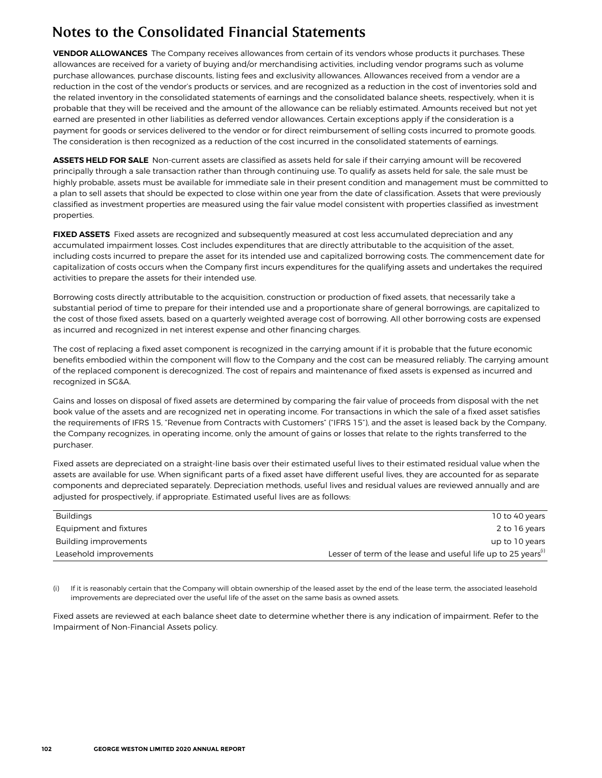**VENDOR ALLOWANCES** The Company receives allowances from certain of its vendors whose products it purchases. These allowances are received for a variety of buying and/or merchandising activities, including vendor programs such as volume purchase allowances, purchase discounts, listing fees and exclusivity allowances. Allowances received from a vendor are a reduction in the cost of the vendor's products or services, and are recognized as a reduction in the cost of inventories sold and the related inventory in the consolidated statements of earnings and the consolidated balance sheets, respectively, when it is probable that they will be received and the amount of the allowance can be reliably estimated. Amounts received but not yet earned are presented in other liabilities as deferred vendor allowances. Certain exceptions apply if the consideration is a payment for goods or services delivered to the vendor or for direct reimbursement of selling costs incurred to promote goods. The consideration is then recognized as a reduction of the cost incurred in the consolidated statements of earnings.

**ASSETS HELD FOR SALE** Non-current assets are classified as assets held for sale if their carrying amount will be recovered principally through a sale transaction rather than through continuing use. To qualify as assets held for sale, the sale must be highly probable, assets must be available for immediate sale in their present condition and management must be committed to a plan to sell assets that should be expected to close within one year from the date of classification. Assets that were previously classified as investment properties are measured using the fair value model consistent with properties classified as investment properties.

**FIXED ASSETS** Fixed assets are recognized and subsequently measured at cost less accumulated depreciation and any accumulated impairment losses. Cost includes expenditures that are directly attributable to the acquisition of the asset, including costs incurred to prepare the asset for its intended use and capitalized borrowing costs. The commencement date for capitalization of costs occurs when the Company first incurs expenditures for the qualifying assets and undertakes the required activities to prepare the assets for their intended use.

Borrowing costs directly attributable to the acquisition, construction or production of fixed assets, that necessarily take a substantial period of time to prepare for their intended use and a proportionate share of general borrowings, are capitalized to the cost of those fixed assets, based on a quarterly weighted average cost of borrowing. All other borrowing costs are expensed as incurred and recognized in net interest expense and other financing charges.

The cost of replacing a fixed asset component is recognized in the carrying amount if it is probable that the future economic benefits embodied within the component will flow to the Company and the cost can be measured reliably. The carrying amount of the replaced component is derecognized. The cost of repairs and maintenance of fixed assets is expensed as incurred and recognized in SG&A.

Gains and losses on disposal of fixed assets are determined by comparing the fair value of proceeds from disposal with the net book value of the assets and are recognized net in operating income. For transactions in which the sale of a fixed asset satisfies the requirements of IFRS 15, "Revenue from Contracts with Customers" ("IFRS 15"), and the asset is leased back by the Company, the Company recognizes, in operating income, only the amount of gains or losses that relate to the rights transferred to the purchaser.

Fixed assets are depreciated on a straight-line basis over their estimated useful lives to their estimated residual value when the assets are available for use. When significant parts of a fixed asset have different useful lives, they are accounted for as separate components and depreciated separately. Depreciation methods, useful lives and residual values are reviewed annually and are adjusted for prospectively, if appropriate. Estimated useful lives are as follows:

| <b>Buildings</b>       | 10 to 40 years                                                            |
|------------------------|---------------------------------------------------------------------------|
| Equipment and fixtures | 2 to 16 years                                                             |
| Building improvements  | up to 10 years                                                            |
| Leasehold improvements | Lesser of term of the lease and useful life up to 25 years <sup>(i)</sup> |

If it is reasonably certain that the Company will obtain ownership of the leased asset by the end of the lease term, the associated leasehold improvements are depreciated over the useful life of the asset on the same basis as owned assets.

Fixed assets are reviewed at each balance sheet date to determine whether there is any indication of impairment. Refer to the Impairment of Non-Financial Assets policy.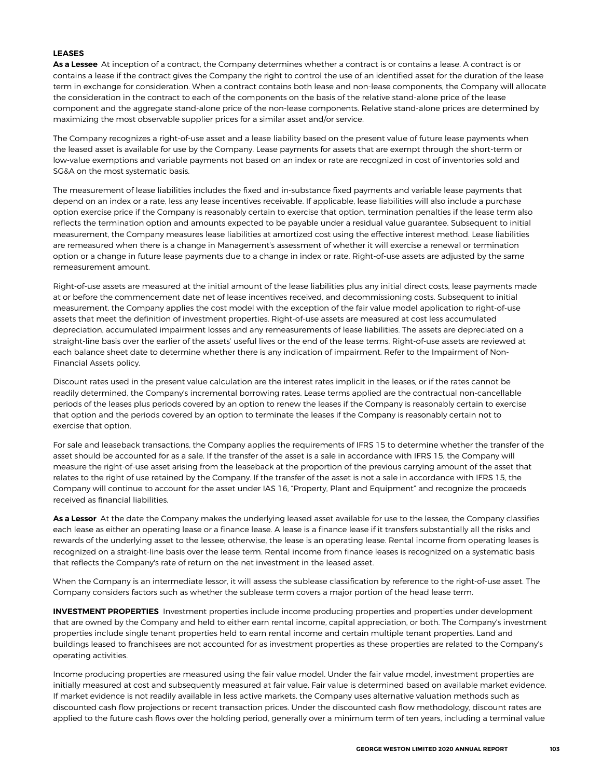### **LEASES**

**As a Lessee** At inception of a contract, the Company determines whether a contract is or contains a lease. A contract is or contains a lease if the contract gives the Company the right to control the use of an identified asset for the duration of the lease term in exchange for consideration. When a contract contains both lease and non-lease components, the Company will allocate the consideration in the contract to each of the components on the basis of the relative stand-alone price of the lease component and the aggregate stand-alone price of the non-lease components. Relative stand-alone prices are determined by maximizing the most observable supplier prices for a similar asset and/or service.

The Company recognizes a right-of-use asset and a lease liability based on the present value of future lease payments when the leased asset is available for use by the Company. Lease payments for assets that are exempt through the short-term or low-value exemptions and variable payments not based on an index or rate are recognized in cost of inventories sold and SG&A on the most systematic basis.

The measurement of lease liabilities includes the fixed and in-substance fixed payments and variable lease payments that depend on an index or a rate, less any lease incentives receivable. If applicable, lease liabilities will also include a purchase option exercise price if the Company is reasonably certain to exercise that option, termination penalties if the lease term also reflects the termination option and amounts expected to be payable under a residual value guarantee. Subsequent to initial measurement, the Company measures lease liabilities at amortized cost using the effective interest method. Lease liabilities are remeasured when there is a change in Management's assessment of whether it will exercise a renewal or termination option or a change in future lease payments due to a change in index or rate. Right-of-use assets are adjusted by the same remeasurement amount.

Right-of-use assets are measured at the initial amount of the lease liabilities plus any initial direct costs, lease payments made at or before the commencement date net of lease incentives received, and decommissioning costs. Subsequent to initial measurement, the Company applies the cost model with the exception of the fair value model application to right-of-use assets that meet the definition of investment properties. Right-of-use assets are measured at cost less accumulated depreciation, accumulated impairment losses and any remeasurements of lease liabilities. The assets are depreciated on a straight-line basis over the earlier of the assets' useful lives or the end of the lease terms. Right-of-use assets are reviewed at each balance sheet date to determine whether there is any indication of impairment. Refer to the Impairment of Non-Financial Assets policy.

Discount rates used in the present value calculation are the interest rates implicit in the leases, or if the rates cannot be readily determined, the Company's incremental borrowing rates. Lease terms applied are the contractual non-cancellable periods of the leases plus periods covered by an option to renew the leases if the Company is reasonably certain to exercise that option and the periods covered by an option to terminate the leases if the Company is reasonably certain not to exercise that option.

For sale and leaseback transactions, the Company applies the requirements of IFRS 15 to determine whether the transfer of the asset should be accounted for as a sale. If the transfer of the asset is a sale in accordance with IFRS 15, the Company will measure the right-of-use asset arising from the leaseback at the proportion of the previous carrying amount of the asset that relates to the right of use retained by the Company. If the transfer of the asset is not a sale in accordance with IFRS 15, the Company will continue to account for the asset under IAS 16, "Property, Plant and Equipment" and recognize the proceeds received as financial liabilities.

**As a Lessor** At the date the Company makes the underlying leased asset available for use to the lessee, the Company classifies each lease as either an operating lease or a finance lease. A lease is a finance lease if it transfers substantially all the risks and rewards of the underlying asset to the lessee; otherwise, the lease is an operating lease. Rental income from operating leases is recognized on a straight-line basis over the lease term. Rental income from finance leases is recognized on a systematic basis that reflects the Company's rate of return on the net investment in the leased asset.

When the Company is an intermediate lessor, it will assess the sublease classification by reference to the right-of-use asset. The Company considers factors such as whether the sublease term covers a major portion of the head lease term.

**INVESTMENT PROPERTIES** Investment properties include income producing properties and properties under development that are owned by the Company and held to either earn rental income, capital appreciation, or both. The Company's investment properties include single tenant properties held to earn rental income and certain multiple tenant properties. Land and buildings leased to franchisees are not accounted for as investment properties as these properties are related to the Company's operating activities.

Income producing properties are measured using the fair value model. Under the fair value model, investment properties are initially measured at cost and subsequently measured at fair value. Fair value is determined based on available market evidence. If market evidence is not readily available in less active markets, the Company uses alternative valuation methods such as discounted cash flow projections or recent transaction prices. Under the discounted cash flow methodology, discount rates are applied to the future cash flows over the holding period, generally over a minimum term of ten years, including a terminal value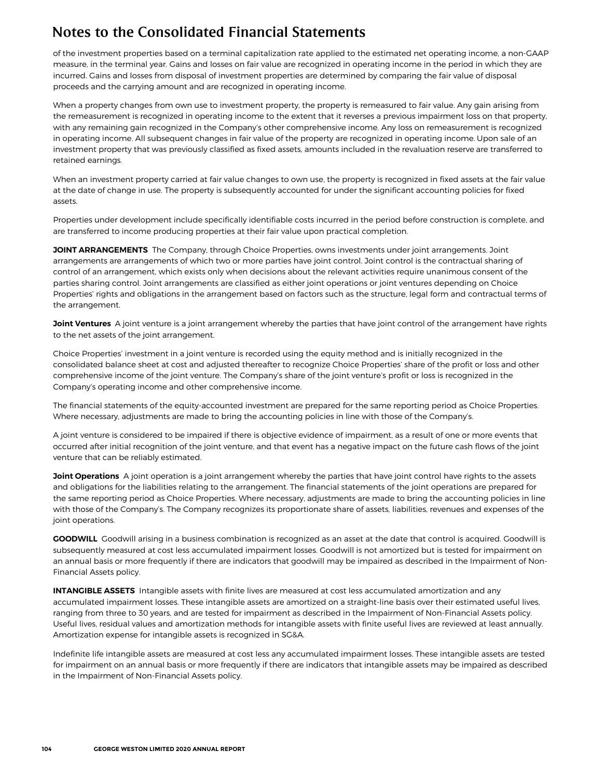of the investment properties based on a terminal capitalization rate applied to the estimated net operating income, a non-GAAP measure, in the terminal year. Gains and losses on fair value are recognized in operating income in the period in which they are incurred. Gains and losses from disposal of investment properties are determined by comparing the fair value of disposal proceeds and the carrying amount and are recognized in operating income.

When a property changes from own use to investment property, the property is remeasured to fair value. Any gain arising from the remeasurement is recognized in operating income to the extent that it reverses a previous impairment loss on that property, with any remaining gain recognized in the Company's other comprehensive income. Any loss on remeasurement is recognized in operating income. All subsequent changes in fair value of the property are recognized in operating income. Upon sale of an investment property that was previously classified as fixed assets, amounts included in the revaluation reserve are transferred to retained earnings.

When an investment property carried at fair value changes to own use, the property is recognized in fixed assets at the fair value at the date of change in use. The property is subsequently accounted for under the significant accounting policies for fixed assets.

Properties under development include specifically identifiable costs incurred in the period before construction is complete, and are transferred to income producing properties at their fair value upon practical completion.

**JOINT ARRANGEMENTS** The Company, through Choice Properties, owns investments under joint arrangements. Joint arrangements are arrangements of which two or more parties have joint control. Joint control is the contractual sharing of control of an arrangement, which exists only when decisions about the relevant activities require unanimous consent of the parties sharing control. Joint arrangements are classified as either joint operations or joint ventures depending on Choice Properties' rights and obligations in the arrangement based on factors such as the structure, legal form and contractual terms of the arrangement.

**Joint Ventures** A joint venture is a joint arrangement whereby the parties that have joint control of the arrangement have rights to the net assets of the joint arrangement.

Choice Properties' investment in a joint venture is recorded using the equity method and is initially recognized in the consolidated balance sheet at cost and adjusted thereafter to recognize Choice Properties' share of the profit or loss and other comprehensive income of the joint venture. The Company's share of the joint venture's profit or loss is recognized in the Company's operating income and other comprehensive income.

The financial statements of the equity-accounted investment are prepared for the same reporting period as Choice Properties. Where necessary, adjustments are made to bring the accounting policies in line with those of the Company's.

A joint venture is considered to be impaired if there is objective evidence of impairment, as a result of one or more events that occurred after initial recognition of the joint venture, and that event has a negative impact on the future cash flows of the joint venture that can be reliably estimated.

**Joint Operations** A joint operation is a joint arrangement whereby the parties that have joint control have rights to the assets and obligations for the liabilities relating to the arrangement. The financial statements of the joint operations are prepared for the same reporting period as Choice Properties. Where necessary, adjustments are made to bring the accounting policies in line with those of the Company's. The Company recognizes its proportionate share of assets, liabilities, revenues and expenses of the joint operations.

**GOODWILL** Goodwill arising in a business combination is recognized as an asset at the date that control is acquired. Goodwill is subsequently measured at cost less accumulated impairment losses. Goodwill is not amortized but is tested for impairment on an annual basis or more frequently if there are indicators that goodwill may be impaired as described in the Impairment of Non-Financial Assets policy.

**INTANGIBLE ASSETS** Intangible assets with finite lives are measured at cost less accumulated amortization and any accumulated impairment losses. These intangible assets are amortized on a straight-line basis over their estimated useful lives, ranging from three to 30 years, and are tested for impairment as described in the Impairment of Non-Financial Assets policy. Useful lives, residual values and amortization methods for intangible assets with finite useful lives are reviewed at least annually. Amortization expense for intangible assets is recognized in SG&A.

Indefinite life intangible assets are measured at cost less any accumulated impairment losses. These intangible assets are tested for impairment on an annual basis or more frequently if there are indicators that intangible assets may be impaired as described in the Impairment of Non-Financial Assets policy.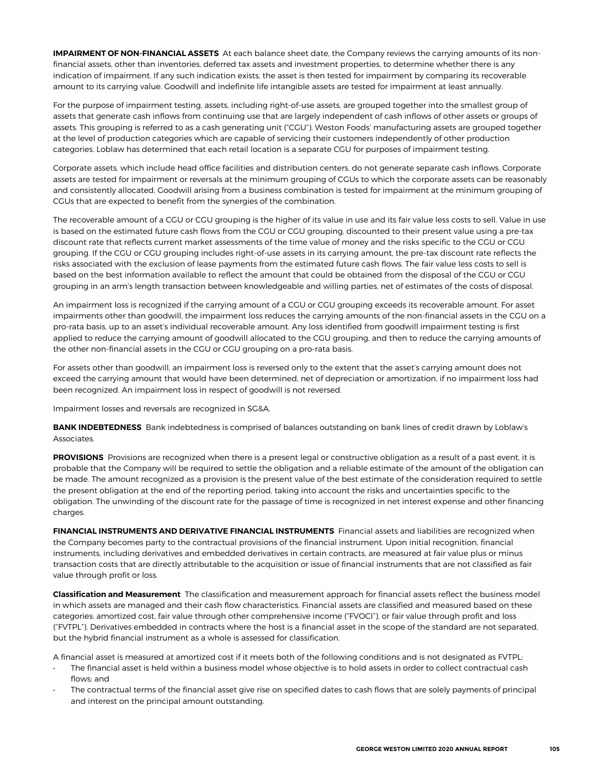**IMPAIRMENT OF NON-FINANCIAL ASSETS** At each balance sheet date, the Company reviews the carrying amounts of its nonfinancial assets, other than inventories, deferred tax assets and investment properties, to determine whether there is any indication of impairment. If any such indication exists, the asset is then tested for impairment by comparing its recoverable amount to its carrying value. Goodwill and indefinite life intangible assets are tested for impairment at least annually.

For the purpose of impairment testing, assets, including right-of-use assets, are grouped together into the smallest group of assets that generate cash inflows from continuing use that are largely independent of cash inflows of other assets or groups of assets. This grouping is referred to as a cash generating unit ("CGU"). Weston Foods' manufacturing assets are grouped together at the level of production categories which are capable of servicing their customers independently of other production categories. Loblaw has determined that each retail location is a separate CGU for purposes of impairment testing.

Corporate assets, which include head office facilities and distribution centers, do not generate separate cash inflows. Corporate assets are tested for impairment or reversals at the minimum grouping of CGUs to which the corporate assets can be reasonably and consistently allocated. Goodwill arising from a business combination is tested for impairment at the minimum grouping of CGUs that are expected to benefit from the synergies of the combination.

The recoverable amount of a CGU or CGU grouping is the higher of its value in use and its fair value less costs to sell. Value in use is based on the estimated future cash flows from the CGU or CGU grouping, discounted to their present value using a pre-tax discount rate that reflects current market assessments of the time value of money and the risks specific to the CGU or CGU grouping. If the CGU or CGU grouping includes right-of-use assets in its carrying amount, the pre-tax discount rate reflects the risks associated with the exclusion of lease payments from the estimated future cash flows. The fair value less costs to sell is based on the best information available to reflect the amount that could be obtained from the disposal of the CGU or CGU grouping in an arm's length transaction between knowledgeable and willing parties, net of estimates of the costs of disposal.

An impairment loss is recognized if the carrying amount of a CGU or CGU grouping exceeds its recoverable amount. For asset impairments other than goodwill, the impairment loss reduces the carrying amounts of the non-financial assets in the CGU on a pro-rata basis, up to an asset's individual recoverable amount. Any loss identified from goodwill impairment testing is first applied to reduce the carrying amount of goodwill allocated to the CGU grouping, and then to reduce the carrying amounts of the other non-financial assets in the CGU or CGU grouping on a pro-rata basis.

For assets other than goodwill, an impairment loss is reversed only to the extent that the asset's carrying amount does not exceed the carrying amount that would have been determined, net of depreciation or amortization, if no impairment loss had been recognized. An impairment loss in respect of goodwill is not reversed.

Impairment losses and reversals are recognized in SG&A.

**BANK INDEBTEDNESS** Bank indebtedness is comprised of balances outstanding on bank lines of credit drawn by Loblaw's **Associates** 

**PROVISIONS** Provisions are recognized when there is a present legal or constructive obligation as a result of a past event, it is probable that the Company will be required to settle the obligation and a reliable estimate of the amount of the obligation can be made. The amount recognized as a provision is the present value of the best estimate of the consideration required to settle the present obligation at the end of the reporting period, taking into account the risks and uncertainties specific to the obligation. The unwinding of the discount rate for the passage of time is recognized in net interest expense and other financing charges.

**FINANCIAL INSTRUMENTS AND DERIVATIVE FINANCIAL INSTRUMENTS** Financial assets and liabilities are recognized when the Company becomes party to the contractual provisions of the financial instrument. Upon initial recognition, financial instruments, including derivatives and embedded derivatives in certain contracts, are measured at fair value plus or minus transaction costs that are directly attributable to the acquisition or issue of financial instruments that are not classified as fair value through profit or loss.

**Classification and Measurement** The classification and measurement approach for financial assets reflect the business model in which assets are managed and their cash flow characteristics. Financial assets are classified and measured based on these categories: amortized cost, fair value through other comprehensive income ("FVOCI"), or fair value through profit and loss ("FVTPL"). Derivatives embedded in contracts where the host is a financial asset in the scope of the standard are not separated, but the hybrid financial instrument as a whole is assessed for classification.

A financial asset is measured at amortized cost if it meets both of the following conditions and is not designated as FVTPL:

- The financial asset is held within a business model whose objective is to hold assets in order to collect contractual cash flows; and
- The contractual terms of the financial asset give rise on specified dates to cash flows that are solely payments of principal and interest on the principal amount outstanding.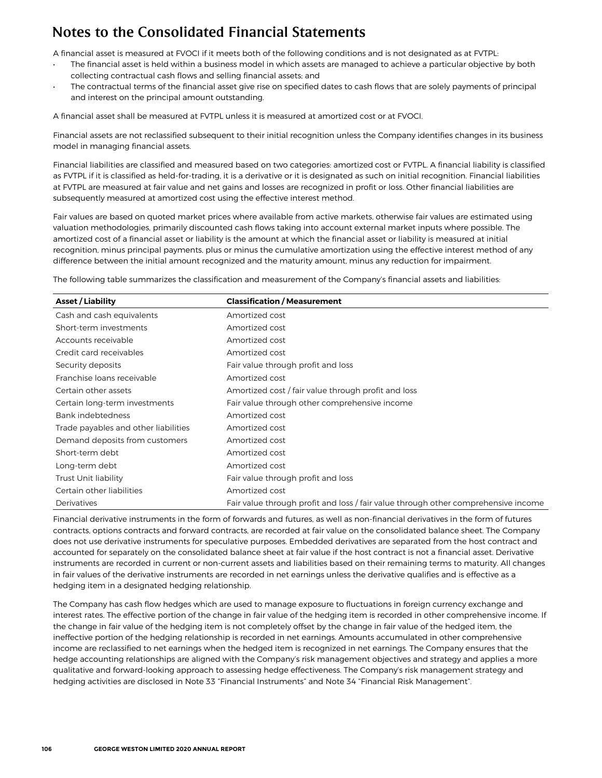A financial asset is measured at FVOCI if it meets both of the following conditions and is not designated as at FVTPL:

- The financial asset is held within a business model in which assets are managed to achieve a particular objective by both collecting contractual cash flows and selling financial assets; and
- The contractual terms of the financial asset give rise on specified dates to cash flows that are solely payments of principal and interest on the principal amount outstanding.

A financial asset shall be measured at FVTPL unless it is measured at amortized cost or at FVOCI.

Financial assets are not reclassified subsequent to their initial recognition unless the Company identifies changes in its business model in managing financial assets.

Financial liabilities are classified and measured based on two categories: amortized cost or FVTPL. A financial liability is classified as FVTPL if it is classified as held-for-trading, it is a derivative or it is designated as such on initial recognition. Financial liabilities at FVTPL are measured at fair value and net gains and losses are recognized in profit or loss. Other financial liabilities are subsequently measured at amortized cost using the effective interest method.

Fair values are based on quoted market prices where available from active markets, otherwise fair values are estimated using valuation methodologies, primarily discounted cash flows taking into account external market inputs where possible. The amortized cost of a financial asset or liability is the amount at which the financial asset or liability is measured at initial recognition, minus principal payments, plus or minus the cumulative amortization using the effective interest method of any difference between the initial amount recognized and the maturity amount, minus any reduction for impairment.

The following table summarizes the classification and measurement of the Company's financial assets and liabilities:

| <b>Asset / Liability</b>             | <b>Classification / Measurement</b>                                                |
|--------------------------------------|------------------------------------------------------------------------------------|
| Cash and cash equivalents            | Amortized cost                                                                     |
| Short-term investments               | Amortized cost                                                                     |
| Accounts receivable                  | Amortized cost                                                                     |
| Credit card receivables              | Amortized cost                                                                     |
| Security deposits                    | Fair value through profit and loss                                                 |
| Franchise Ioans receivable           | Amortized cost                                                                     |
| Certain other assets                 | Amortized cost / fair value through profit and loss                                |
| Certain long-term investments        | Fair value through other comprehensive income                                      |
| Bank indebtedness                    | Amortized cost                                                                     |
| Trade payables and other liabilities | Amortized cost                                                                     |
| Demand deposits from customers       | Amortized cost                                                                     |
| Short-term debt                      | Amortized cost                                                                     |
| Long-term debt                       | Amortized cost                                                                     |
| <b>Trust Unit liability</b>          | Fair value through profit and loss                                                 |
| Certain other liabilities            | Amortized cost                                                                     |
| Derivatives                          | Fair value through profit and loss / fair value through other comprehensive income |

Financial derivative instruments in the form of forwards and futures, as well as non-financial derivatives in the form of futures contracts, options contracts and forward contracts, are recorded at fair value on the consolidated balance sheet. The Company does not use derivative instruments for speculative purposes. Embedded derivatives are separated from the host contract and accounted for separately on the consolidated balance sheet at fair value if the host contract is not a financial asset. Derivative instruments are recorded in current or non-current assets and liabilities based on their remaining terms to maturity. All changes in fair values of the derivative instruments are recorded in net earnings unless the derivative qualifies and is effective as a hedging item in a designated hedging relationship.

The Company has cash flow hedges which are used to manage exposure to fluctuations in foreign currency exchange and interest rates. The effective portion of the change in fair value of the hedging item is recorded in other comprehensive income. If the change in fair value of the hedging item is not completely offset by the change in fair value of the hedged item, the ineffective portion of the hedging relationship is recorded in net earnings. Amounts accumulated in other comprehensive income are reclassified to net earnings when the hedged item is recognized in net earnings. The Company ensures that the hedge accounting relationships are aligned with the Company's risk management objectives and strategy and applies a more qualitative and forward-looking approach to assessing hedge effectiveness. The Company's risk management strategy and hedging activities are disclosed in Note 33 "Financial Instruments" and Note 34 "Financial Risk Management".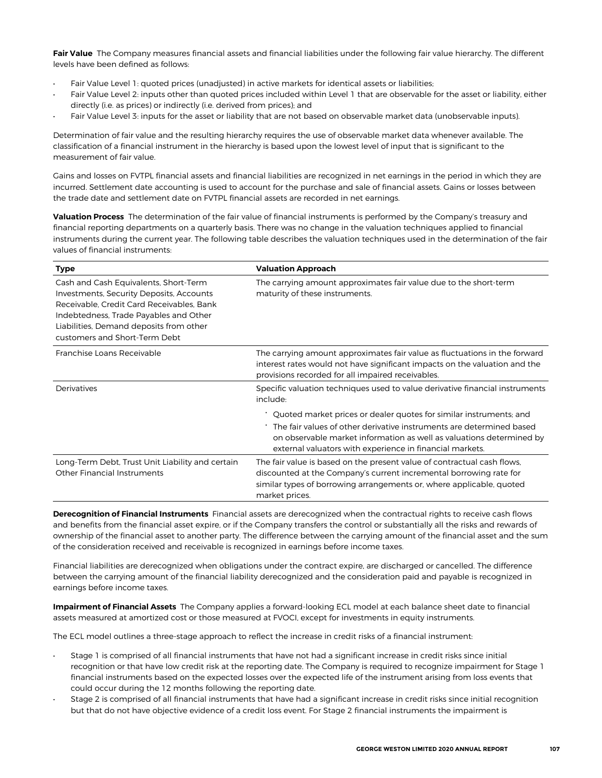Fair Value The Company measures financial assets and financial liabilities under the following fair value hierarchy. The different levels have been defined as follows:

- Fair Value Level 1: quoted prices (unadjusted) in active markets for identical assets or liabilities;
- Fair Value Level 2: inputs other than quoted prices included within Level 1 that are observable for the asset or liability, either directly (i.e. as prices) or indirectly (i.e. derived from prices); and
- Fair Value Level 3: inputs for the asset or liability that are not based on observable market data (unobservable inputs).

Determination of fair value and the resulting hierarchy requires the use of observable market data whenever available. The classification of a financial instrument in the hierarchy is based upon the lowest level of input that is significant to the measurement of fair value.

Gains and losses on FVTPL financial assets and financial liabilities are recognized in net earnings in the period in which they are incurred. Settlement date accounting is used to account for the purchase and sale of financial assets. Gains or losses between the trade date and settlement date on FVTPL financial assets are recorded in net earnings.

**Valuation Process** The determination of the fair value of financial instruments is performed by the Company's treasury and financial reporting departments on a quarterly basis. There was no change in the valuation techniques applied to financial instruments during the current year. The following table describes the valuation techniques used in the determination of the fair values of financial instruments:

| Type                                                                                                                                                                                                                                                 | <b>Valuation Approach</b>                                                                                                                                                                                                               |
|------------------------------------------------------------------------------------------------------------------------------------------------------------------------------------------------------------------------------------------------------|-----------------------------------------------------------------------------------------------------------------------------------------------------------------------------------------------------------------------------------------|
| Cash and Cash Equivalents, Short-Term<br>Investments, Security Deposits, Accounts<br>Receivable, Credit Card Receivables, Bank<br>Indebtedness, Trade Payables and Other<br>Liabilities, Demand deposits from other<br>customers and Short-Term Debt | The carrying amount approximates fair value due to the short-term<br>maturity of these instruments.                                                                                                                                     |
| Franchise Loans Receivable                                                                                                                                                                                                                           | The carrying amount approximates fair value as fluctuations in the forward<br>interest rates would not have significant impacts on the valuation and the<br>provisions recorded for all impaired receivables.                           |
| Derivatives                                                                                                                                                                                                                                          | Specific valuation techniques used to value derivative financial instruments<br>include:                                                                                                                                                |
|                                                                                                                                                                                                                                                      | Quoted market prices or dealer quotes for similar instruments; and                                                                                                                                                                      |
|                                                                                                                                                                                                                                                      | ' The fair values of other derivative instruments are determined based<br>on observable market information as well as valuations determined by<br>external valuators with experience in financial markets.                              |
| Long-Term Debt, Trust Unit Liability and certain<br>Other Financial Instruments                                                                                                                                                                      | The fair value is based on the present value of contractual cash flows,<br>discounted at the Company's current incremental borrowing rate for<br>similar types of borrowing arrangements or, where applicable, quoted<br>market prices. |

**Derecognition of Financial Instruments** Financial assets are derecognized when the contractual rights to receive cash flows and benefits from the financial asset expire, or if the Company transfers the control or substantially all the risks and rewards of ownership of the financial asset to another party. The difference between the carrying amount of the financial asset and the sum of the consideration received and receivable is recognized in earnings before income taxes.

Financial liabilities are derecognized when obligations under the contract expire, are discharged or cancelled. The difference between the carrying amount of the financial liability derecognized and the consideration paid and payable is recognized in earnings before income taxes.

**Impairment of Financial Assets** The Company applies a forward-looking ECL model at each balance sheet date to financial assets measured at amortized cost or those measured at FVOCI, except for investments in equity instruments.

The ECL model outlines a three-stage approach to reflect the increase in credit risks of a financial instrument:

- Stage 1 is comprised of all financial instruments that have not had a significant increase in credit risks since initial recognition or that have low credit risk at the reporting date. The Company is required to recognize impairment for Stage 1 financial instruments based on the expected losses over the expected life of the instrument arising from loss events that could occur during the 12 months following the reporting date.
- Stage 2 is comprised of all financial instruments that have had a significant increase in credit risks since initial recognition but that do not have objective evidence of a credit loss event. For Stage 2 financial instruments the impairment is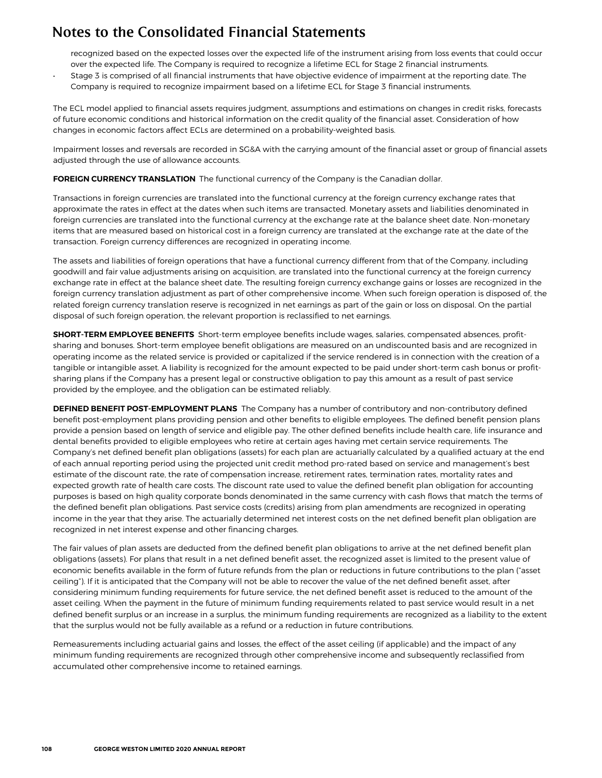recognized based on the expected losses over the expected life of the instrument arising from loss events that could occur over the expected life. The Company is required to recognize a lifetime ECL for Stage 2 financial instruments.

• Stage 3 is comprised of all financial instruments that have objective evidence of impairment at the reporting date. The Company is required to recognize impairment based on a lifetime ECL for Stage 3 financial instruments.

The ECL model applied to financial assets requires judgment, assumptions and estimations on changes in credit risks, forecasts of future economic conditions and historical information on the credit quality of the financial asset. Consideration of how changes in economic factors affect ECLs are determined on a probability-weighted basis.

Impairment losses and reversals are recorded in SG&A with the carrying amount of the financial asset or group of financial assets adjusted through the use of allowance accounts.

**FOREIGN CURRENCY TRANSLATION** The functional currency of the Company is the Canadian dollar.

Transactions in foreign currencies are translated into the functional currency at the foreign currency exchange rates that approximate the rates in effect at the dates when such items are transacted. Monetary assets and liabilities denominated in foreign currencies are translated into the functional currency at the exchange rate at the balance sheet date. Non-monetary items that are measured based on historical cost in a foreign currency are translated at the exchange rate at the date of the transaction. Foreign currency differences are recognized in operating income.

The assets and liabilities of foreign operations that have a functional currency different from that of the Company, including goodwill and fair value adjustments arising on acquisition, are translated into the functional currency at the foreign currency exchange rate in effect at the balance sheet date. The resulting foreign currency exchange gains or losses are recognized in the foreign currency translation adjustment as part of other comprehensive income. When such foreign operation is disposed of, the related foreign currency translation reserve is recognized in net earnings as part of the gain or loss on disposal. On the partial disposal of such foreign operation, the relevant proportion is reclassified to net earnings.

**SHORT-TERM EMPLOYEE BENEFITS** Short-term employee benefits include wages, salaries, compensated absences, profitsharing and bonuses. Short-term employee benefit obligations are measured on an undiscounted basis and are recognized in operating income as the related service is provided or capitalized if the service rendered is in connection with the creation of a tangible or intangible asset. A liability is recognized for the amount expected to be paid under short-term cash bonus or profitsharing plans if the Company has a present legal or constructive obligation to pay this amount as a result of past service provided by the employee, and the obligation can be estimated reliably.

**DEFINED BENEFIT POST-EMPLOYMENT PLANS** The Company has a number of contributory and non-contributory defined benefit post-employment plans providing pension and other benefits to eligible employees. The defined benefit pension plans provide a pension based on length of service and eligible pay. The other defined benefits include health care, life insurance and dental benefits provided to eligible employees who retire at certain ages having met certain service requirements. The Company's net defined benefit plan obligations (assets) for each plan are actuarially calculated by a qualified actuary at the end of each annual reporting period using the projected unit credit method pro-rated based on service and management's best estimate of the discount rate, the rate of compensation increase, retirement rates, termination rates, mortality rates and expected growth rate of health care costs. The discount rate used to value the defined benefit plan obligation for accounting purposes is based on high quality corporate bonds denominated in the same currency with cash flows that match the terms of the defined benefit plan obligations. Past service costs (credits) arising from plan amendments are recognized in operating income in the year that they arise. The actuarially determined net interest costs on the net defined benefit plan obligation are recognized in net interest expense and other financing charges.

The fair values of plan assets are deducted from the defined benefit plan obligations to arrive at the net defined benefit plan obligations (assets). For plans that result in a net defined benefit asset, the recognized asset is limited to the present value of economic benefits available in the form of future refunds from the plan or reductions in future contributions to the plan ("asset ceiling"). If it is anticipated that the Company will not be able to recover the value of the net defined benefit asset, after considering minimum funding requirements for future service, the net defined benefit asset is reduced to the amount of the asset ceiling. When the payment in the future of minimum funding requirements related to past service would result in a net defined benefit surplus or an increase in a surplus, the minimum funding requirements are recognized as a liability to the extent that the surplus would not be fully available as a refund or a reduction in future contributions.

Remeasurements including actuarial gains and losses, the effect of the asset ceiling (if applicable) and the impact of any minimum funding requirements are recognized through other comprehensive income and subsequently reclassified from accumulated other comprehensive income to retained earnings.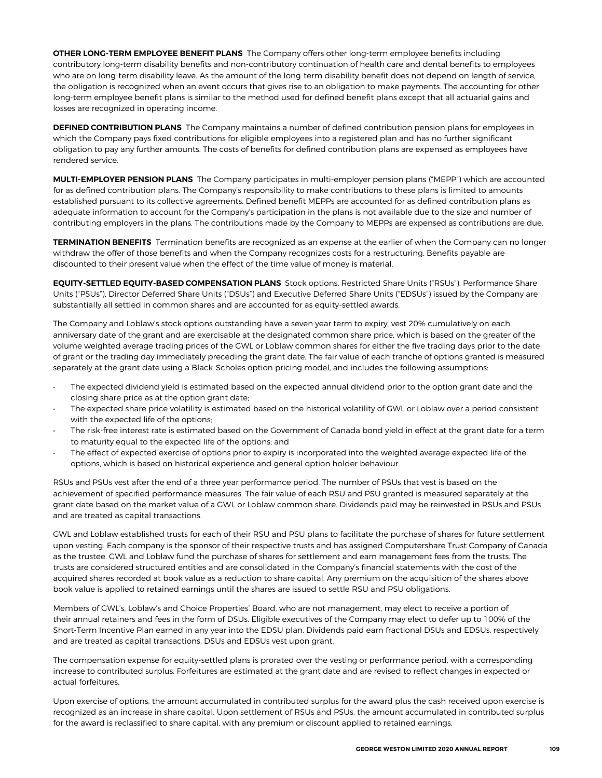**OTHER LONG-TERM EMPLOYEE BENEFIT PLANS** The Company offers other long-term employee benefits including contributory long-term disability benefits and non-contributory continuation of health care and dental benefits to employees who are on long-term disability leave. As the amount of the long-term disability benefit does not depend on length of service, the obligation is recognized when an event occurs that gives rise to an obligation to make payments. The accounting for other long-term employee benefit plans is similar to the method used for defined benefit plans except that all actuarial gains and losses are recognized in operating income.

**DEFINED CONTRIBUTION PLANS** The Company maintains a number of defined contribution pension plans for employees in which the Company pays fixed contributions for eligible employees into a registered plan and has no further significant obligation to pay any further amounts. The costs of benefits for defined contribution plans are expensed as employees have rendered service.

**MULTI-EMPLOYER PENSION PLANS** The Company participates in multi-employer pension plans ("MEPP") which are accounted for as defined contribution plans. The Company's responsibility to make contributions to these plans is limited to amounts established pursuant to its collective agreements. Defined benefit MEPPs are accounted for as defined contribution plans as adequate information to account for the Company's participation in the plans is not available due to the size and number of contributing employers in the plans. The contributions made by the Company to MEPPs are expensed as contributions are due.

**TERMINATION BENEFITS** Termination benefits are recognized as an expense at the earlier of when the Company can no longer withdraw the offer of those benefits and when the Company recognizes costs for a restructuring. Benefits payable are discounted to their present value when the effect of the time value of money is material.

**EQUITY-SETTLED EQUITY-BASED COMPENSATION PLANS** Stock options, Restricted Share Units ("RSUs"), Performance Share Units ("PSUs"), Director Deferred Share Units ("DSUs") and Executive Deferred Share Units ("EDSUs") issued by the Company are substantially all settled in common shares and are accounted for as equity-settled awards.

The Company and Loblaw's stock options outstanding have a seven year term to expiry, vest 20% cumulatively on each anniversary date of the grant and are exercisable at the designated common share price, which is based on the greater of the volume weighted average trading prices of the GWL or Loblaw common shares for either the five trading days prior to the date of grant or the trading day immediately preceding the grant date. The fair value of each tranche of options granted is measured separately at the grant date using a Black-Scholes option pricing model, and includes the following assumptions:

- The expected dividend yield is estimated based on the expected annual dividend prior to the option grant date and the closing share price as at the option grant date;
- The expected share price volatility is estimated based on the historical volatility of GWL or Loblaw over a period consistent with the expected life of the options;
- The risk-free interest rate is estimated based on the Government of Canada bond yield in effect at the grant date for a term to maturity equal to the expected life of the options; and
- The effect of expected exercise of options prior to expiry is incorporated into the weighted average expected life of the options, which is based on historical experience and general option holder behaviour.

RSUs and PSUs vest after the end of a three year performance period. The number of PSUs that vest is based on the achievement of specified performance measures. The fair value of each RSU and PSU granted is measured separately at the grant date based on the market value of a GWL or Loblaw common share. Dividends paid may be reinvested in RSUs and PSUs and are treated as capital transactions.

GWL and Loblaw established trusts for each of their RSU and PSU plans to facilitate the purchase of shares for future settlement upon vesting. Each company is the sponsor of their respective trusts and has assigned Computershare Trust Company of Canada as the trustee. GWL and Loblaw fund the purchase of shares for settlement and earn management fees from the trusts. The trusts are considered structured entities and are consolidated in the Company's financial statements with the cost of the acquired shares recorded at book value as a reduction to share capital. Any premium on the acquisition of the shares above book value is applied to retained earnings until the shares are issued to settle RSU and PSU obligations.

Members of GWL's, Loblaw's and Choice Properties' Board, who are not management, may elect to receive a portion of their annual retainers and fees in the form of DSUs. Eligible executives of the Company may elect to defer up to 100% of the Short-Term Incentive Plan earned in any year into the EDSU plan. Dividends paid earn fractional DSUs and EDSUs, respectively and are treated as capital transactions. DSUs and EDSUs vest upon grant.

The compensation expense for equity-settled plans is prorated over the vesting or performance period, with a corresponding increase to contributed surplus. Forfeitures are estimated at the grant date and are revised to reflect changes in expected or actual forfeitures.

Upon exercise of options, the amount accumulated in contributed surplus for the award plus the cash received upon exercise is recognized as an increase in share capital. Upon settlement of RSUs and PSUs, the amount accumulated in contributed surplus for the award is reclassified to share capital, with any premium or discount applied to retained earnings.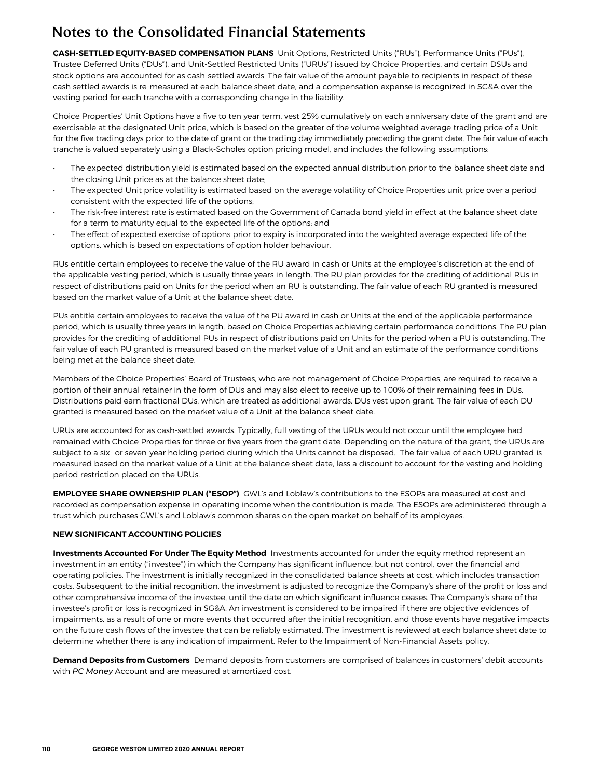**CASH-SETTLED EQUITY-BASED COMPENSATION PLANS** Unit Options, Restricted Units ("RUs"), Performance Units ("PUs"), Trustee Deferred Units ("DUs"), and Unit-Settled Restricted Units ("URUs") issued by Choice Properties, and certain DSUs and stock options are accounted for as cash-settled awards. The fair value of the amount payable to recipients in respect of these cash settled awards is re-measured at each balance sheet date, and a compensation expense is recognized in SG&A over the vesting period for each tranche with a corresponding change in the liability.

Choice Properties' Unit Options have a five to ten year term, vest 25% cumulatively on each anniversary date of the grant and are exercisable at the designated Unit price, which is based on the greater of the volume weighted average trading price of a Unit for the five trading days prior to the date of grant or the trading day immediately preceding the grant date. The fair value of each tranche is valued separately using a Black-Scholes option pricing model, and includes the following assumptions:

- The expected distribution yield is estimated based on the expected annual distribution prior to the balance sheet date and the closing Unit price as at the balance sheet date;
- The expected Unit price volatility is estimated based on the average volatility of Choice Properties unit price over a period consistent with the expected life of the options;
- The risk-free interest rate is estimated based on the Government of Canada bond yield in effect at the balance sheet date for a term to maturity equal to the expected life of the options; and
- The effect of expected exercise of options prior to expiry is incorporated into the weighted average expected life of the options, which is based on expectations of option holder behaviour.

RUs entitle certain employees to receive the value of the RU award in cash or Units at the employee's discretion at the end of the applicable vesting period, which is usually three years in length. The RU plan provides for the crediting of additional RUs in respect of distributions paid on Units for the period when an RU is outstanding. The fair value of each RU granted is measured based on the market value of a Unit at the balance sheet date.

PUs entitle certain employees to receive the value of the PU award in cash or Units at the end of the applicable performance period, which is usually three years in length, based on Choice Properties achieving certain performance conditions. The PU plan provides for the crediting of additional PUs in respect of distributions paid on Units for the period when a PU is outstanding. The fair value of each PU granted is measured based on the market value of a Unit and an estimate of the performance conditions being met at the balance sheet date.

Members of the Choice Properties' Board of Trustees, who are not management of Choice Properties, are required to receive a portion of their annual retainer in the form of DUs and may also elect to receive up to 100% of their remaining fees in DUs. Distributions paid earn fractional DUs, which are treated as additional awards. DUs vest upon grant. The fair value of each DU granted is measured based on the market value of a Unit at the balance sheet date.

URUs are accounted for as cash-settled awards. Typically, full vesting of the URUs would not occur until the employee had remained with Choice Properties for three or five years from the grant date. Depending on the nature of the grant, the URUs are subject to a six- or seven-year holding period during which the Units cannot be disposed. The fair value of each URU granted is measured based on the market value of a Unit at the balance sheet date, less a discount to account for the vesting and holding period restriction placed on the URUs.

**EMPLOYEE SHARE OWNERSHIP PLAN ("ESOP")** GWL's and Loblaw's contributions to the ESOPs are measured at cost and recorded as compensation expense in operating income when the contribution is made. The ESOPs are administered through a trust which purchases GWL's and Loblaw's common shares on the open market on behalf of its employees.

### **NEW SIGNIFICANT ACCOUNTING POLICIES**

**Investments Accounted For Under The Equity Method** Investments accounted for under the equity method represent an investment in an entity ("investee") in which the Company has significant influence, but not control, over the financial and operating policies. The investment is initially recognized in the consolidated balance sheets at cost, which includes transaction costs. Subsequent to the initial recognition, the investment is adjusted to recognize the Company's share of the profit or loss and other comprehensive income of the investee, until the date on which significant influence ceases. The Company's share of the investee's profit or loss is recognized in SG&A. An investment is considered to be impaired if there are objective evidences of impairments, as a result of one or more events that occurred after the initial recognition, and those events have negative impacts on the future cash flows of the investee that can be reliably estimated. The investment is reviewed at each balance sheet date to determine whether there is any indication of impairment. Refer to the Impairment of Non-Financial Assets policy.

**Demand Deposits from Customers** Demand deposits from customers are comprised of balances in customers' debit accounts with *PC Money* Account and are measured at amortized cost.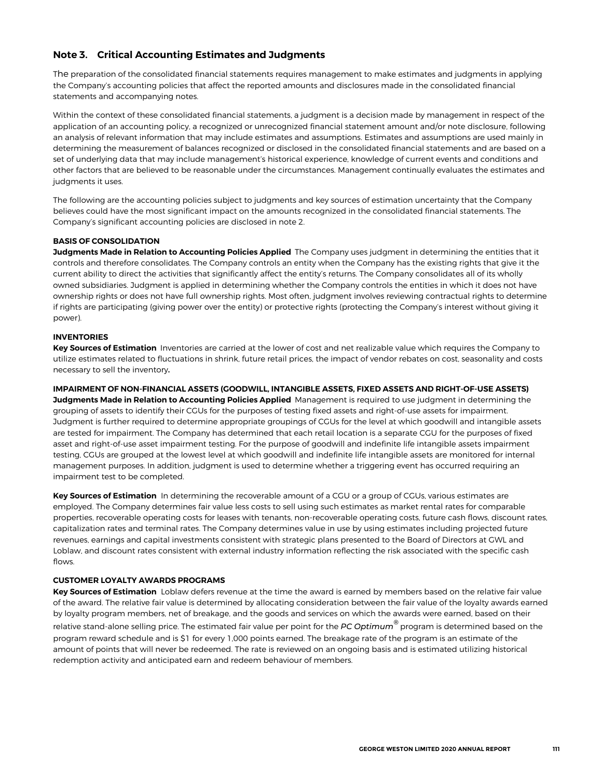## <span id="page-22-0"></span>**Note 3. Critical Accounting Estimates and Judgments**

The preparation of the consolidated financial statements requires management to make estimates and judgments in applying the Company's accounting policies that affect the reported amounts and disclosures made in the consolidated financial statements and accompanying notes.

Within the context of these consolidated financial statements, a judgment is a decision made by management in respect of the application of an accounting policy, a recognized or unrecognized financial statement amount and/or note disclosure, following an analysis of relevant information that may include estimates and assumptions. Estimates and assumptions are used mainly in determining the measurement of balances recognized or disclosed in the consolidated financial statements and are based on a set of underlying data that may include management's historical experience, knowledge of current events and conditions and other factors that are believed to be reasonable under the circumstances. Management continually evaluates the estimates and judgments it uses.

The following are the accounting policies subject to judgments and key sources of estimation uncertainty that the Company believes could have the most significant impact on the amounts recognized in the consolidated financial statements. The Company's significant accounting policies are disclosed in note 2.

### **BASIS OF CONSOLIDATION**

**Judgments Made in Relation to Accounting Policies Applied** The Company uses judgment in determining the entities that it controls and therefore consolidates. The Company controls an entity when the Company has the existing rights that give it the current ability to direct the activities that significantly affect the entity's returns. The Company consolidates all of its wholly owned subsidiaries. Judgment is applied in determining whether the Company controls the entities in which it does not have ownership rights or does not have full ownership rights. Most often, judgment involves reviewing contractual rights to determine if rights are participating (giving power over the entity) or protective rights (protecting the Company's interest without giving it power).

### **INVENTORIES**

**Key Sources of Estimation** Inventories are carried at the lower of cost and net realizable value which requires the Company to utilize estimates related to fluctuations in shrink, future retail prices, the impact of vendor rebates on cost, seasonality and costs necessary to sell the inventory**.** 

**IMPAIRMENT OF NON-FINANCIAL ASSETS (GOODWILL, INTANGIBLE ASSETS, FIXED ASSETS AND RIGHT-OF-USE ASSETS) Judgments Made in Relation to Accounting Policies Applied** Management is required to use judgment in determining the grouping of assets to identify their CGUs for the purposes of testing fixed assets and right-of-use assets for impairment. Judgment is further required to determine appropriate groupings of CGUs for the level at which goodwill and intangible assets are tested for impairment. The Company has determined that each retail location is a separate CGU for the purposes of fixed asset and right-of-use asset impairment testing. For the purpose of goodwill and indefinite life intangible assets impairment testing, CGUs are grouped at the lowest level at which goodwill and indefinite life intangible assets are monitored for internal management purposes. In addition, judgment is used to determine whether a triggering event has occurred requiring an impairment test to be completed.

**Key Sources of Estimation** In determining the recoverable amount of a CGU or a group of CGUs, various estimates are employed. The Company determines fair value less costs to sell using such estimates as market rental rates for comparable properties, recoverable operating costs for leases with tenants, non-recoverable operating costs, future cash flows, discount rates, capitalization rates and terminal rates. The Company determines value in use by using estimates including projected future revenues, earnings and capital investments consistent with strategic plans presented to the Board of Directors at GWL and Loblaw, and discount rates consistent with external industry information reflecting the risk associated with the specific cash flows.

#### **CUSTOMER LOYALTY AWARDS PROGRAMS**

**Key Sources of Estimation** Loblaw defers revenue at the time the award is earned by members based on the relative fair value of the award. The relative fair value is determined by allocating consideration between the fair value of the loyalty awards earned by loyalty program members, net of breakage, and the goods and services on which the awards were earned, based on their relative stand-alone selling price. The estimated fair value per point for the *PC Optimum®* program is determined based on the program reward schedule and is \$1 for every 1,000 points earned. The breakage rate of the program is an estimate of the amount of points that will never be redeemed. The rate is reviewed on an ongoing basis and is estimated utilizing historical redemption activity and anticipated earn and redeem behaviour of members.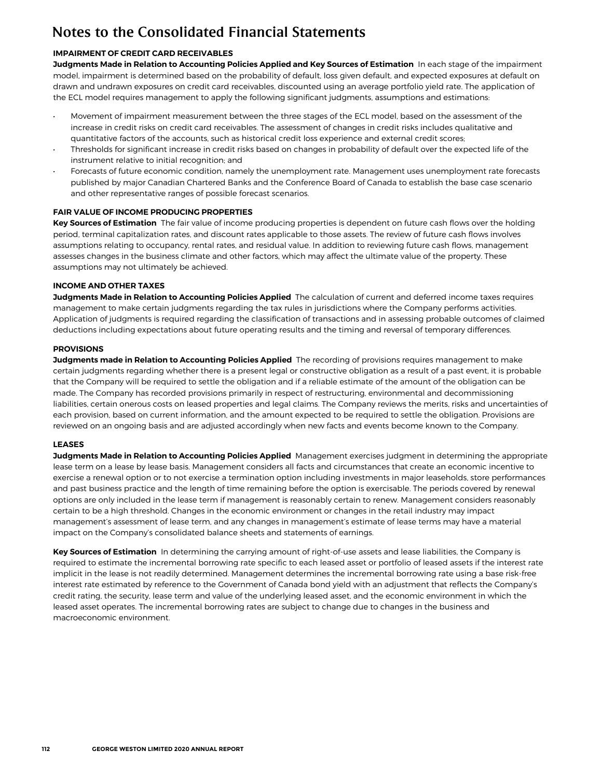### **IMPAIRMENT OF CREDIT CARD RECEIVABLES**

**Judgments Made in Relation to Accounting Policies Applied and Key Sources of Estimation** In each stage of the impairment model, impairment is determined based on the probability of default, loss given default, and expected exposures at default on drawn and undrawn exposures on credit card receivables, discounted using an average portfolio yield rate. The application of the ECL model requires management to apply the following significant judgments, assumptions and estimations:

- Movement of impairment measurement between the three stages of the ECL model, based on the assessment of the increase in credit risks on credit card receivables. The assessment of changes in credit risks includes qualitative and quantitative factors of the accounts, such as historical credit loss experience and external credit scores;
- Thresholds for significant increase in credit risks based on changes in probability of default over the expected life of the instrument relative to initial recognition; and
- Forecasts of future economic condition, namely the unemployment rate. Management uses unemployment rate forecasts published by major Canadian Chartered Banks and the Conference Board of Canada to establish the base case scenario and other representative ranges of possible forecast scenarios.

### **FAIR VALUE OF INCOME PRODUCING PROPERTIES**

**Key Sources of Estimation** The fair value of income producing properties is dependent on future cash flows over the holding period, terminal capitalization rates, and discount rates applicable to those assets. The review of future cash flows involves assumptions relating to occupancy, rental rates, and residual value. In addition to reviewing future cash flows, management assesses changes in the business climate and other factors, which may affect the ultimate value of the property. These assumptions may not ultimately be achieved.

#### **INCOME AND OTHER TAXES**

**Judgments Made in Relation to Accounting Policies Applied** The calculation of current and deferred income taxes requires management to make certain judgments regarding the tax rules in jurisdictions where the Company performs activities. Application of judgments is required regarding the classification of transactions and in assessing probable outcomes of claimed deductions including expectations about future operating results and the timing and reversal of temporary differences.

### **PROVISIONS**

**Judgments made in Relation to Accounting Policies Applied** The recording of provisions requires management to make certain judgments regarding whether there is a present legal or constructive obligation as a result of a past event, it is probable that the Company will be required to settle the obligation and if a reliable estimate of the amount of the obligation can be made. The Company has recorded provisions primarily in respect of restructuring, environmental and decommissioning liabilities, certain onerous costs on leased properties and legal claims. The Company reviews the merits, risks and uncertainties of each provision, based on current information, and the amount expected to be required to settle the obligation. Provisions are reviewed on an ongoing basis and are adjusted accordingly when new facts and events become known to the Company.

#### **LEASES**

**Judgments Made in Relation to Accounting Policies Applied** Management exercises judgment in determining the appropriate lease term on a lease by lease basis. Management considers all facts and circumstances that create an economic incentive to exercise a renewal option or to not exercise a termination option including investments in major leaseholds, store performances and past business practice and the length of time remaining before the option is exercisable. The periods covered by renewal options are only included in the lease term if management is reasonably certain to renew. Management considers reasonably certain to be a high threshold. Changes in the economic environment or changes in the retail industry may impact management's assessment of lease term, and any changes in management's estimate of lease terms may have a material impact on the Company's consolidated balance sheets and statements of earnings.

**Key Sources of Estimation** In determining the carrying amount of right-of-use assets and lease liabilities, the Company is required to estimate the incremental borrowing rate specific to each leased asset or portfolio of leased assets if the interest rate implicit in the lease is not readily determined. Management determines the incremental borrowing rate using a base risk-free interest rate estimated by reference to the Government of Canada bond yield with an adjustment that reflects the Company's credit rating, the security, lease term and value of the underlying leased asset, and the economic environment in which the leased asset operates. The incremental borrowing rates are subject to change due to changes in the business and macroeconomic environment.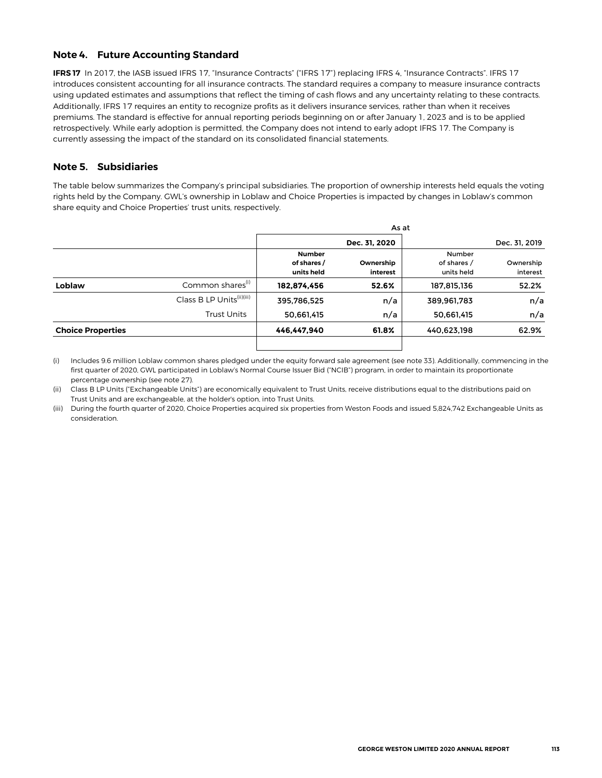### <span id="page-24-0"></span>**Note 4. Future Accounting Standard**

**IFRS 17** In 2017, the IASB issued IFRS 17, "Insurance Contracts" ("IFRS 17") replacing IFRS 4, "Insurance Contracts". IFRS 17 introduces consistent accounting for all insurance contracts. The standard requires a company to measure insurance contracts using updated estimates and assumptions that reflect the timing of cash flows and any uncertainty relating to these contracts. Additionally, IFRS 17 requires an entity to recognize profits as it delivers insurance services, rather than when it receives premiums. The standard is effective for annual reporting periods beginning on or after January 1, 2023 and is to be applied retrospectively. While early adoption is permitted, the Company does not intend to early adopt IFRS 17. The Company is currently assessing the impact of the standard on its consolidated financial statements.

### **Note 5. Subsidiaries**

The table below summarizes the Company's principal subsidiaries. The proportion of ownership interests held equals the voting rights held by the Company. GWL's ownership in Loblaw and Choice Properties is impacted by changes in Loblaw's common share equity and Choice Properties' trust units, respectively.

|                          |                                       | As at                                      |                       |                                     |                       |  |  |  |  |  |  |
|--------------------------|---------------------------------------|--------------------------------------------|-----------------------|-------------------------------------|-----------------------|--|--|--|--|--|--|
|                          |                                       |                                            | Dec. 31, 2020         |                                     | Dec. 31, 2019         |  |  |  |  |  |  |
|                          |                                       | <b>Number</b><br>of shares /<br>units held | Ownership<br>interest | Number<br>of shares /<br>units held | Ownership<br>interest |  |  |  |  |  |  |
| Loblaw                   | Common shares <sup>(1)</sup>          | 182,874,456                                | 52.6%                 | 187,815,136                         | 52.2%                 |  |  |  |  |  |  |
|                          | Class B LP Units <sup>(ii)(iii)</sup> | 395,786,525                                | n/a                   | 389,961,783                         | n/a                   |  |  |  |  |  |  |
|                          | Trust Units                           | 50,661,415                                 | n/a                   | 50,661,415                          | n/a                   |  |  |  |  |  |  |
| <b>Choice Properties</b> |                                       | 446,447,940                                | 61.8%                 | 440,623,198                         | 62.9%                 |  |  |  |  |  |  |

(i) Includes 9.6 million Loblaw common shares pledged under the equity forward sale agreement (see note 33). Additionally, commencing in the first quarter of 2020, GWL participated in Loblaw's Normal Course Issuer Bid ("NCIB") program, in order to maintain its proportionate percentage ownership (see note 27).

(ii) Class B LP Units ("Exchangeable Units") are economically equivalent to Trust Units, receive distributions equal to the distributions paid on Trust Units and are exchangeable, at the holder's option, into Trust Units.

(iii) During the fourth quarter of 2020, Choice Properties acquired six properties from Weston Foods and issued 5,824,742 Exchangeable Units as consideration.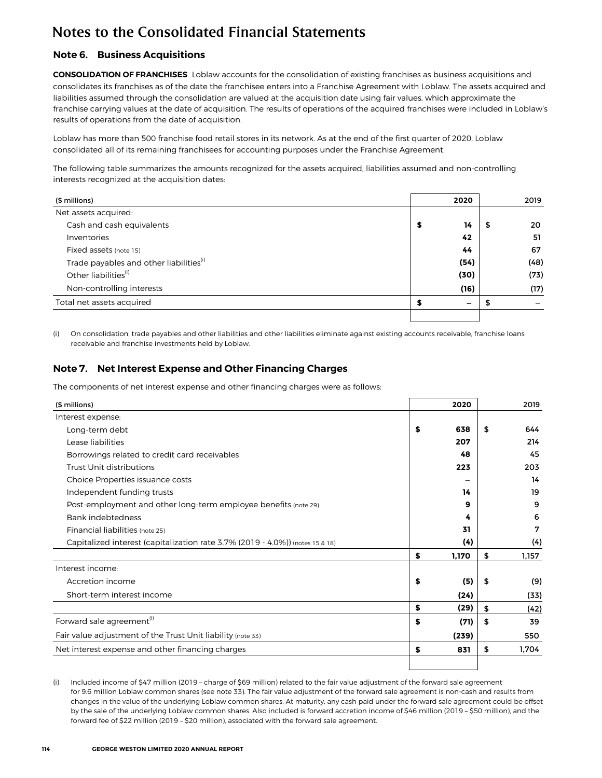## <span id="page-25-0"></span>**Note 6. Business Acquisitions**

**CONSOLIDATION OF FRANCHISES** Loblaw accounts for the consolidation of existing franchises as business acquisitions and consolidates its franchises as of the date the franchisee enters into a Franchise Agreement with Loblaw. The assets acquired and liabilities assumed through the consolidation are valued at the acquisition date using fair values, which approximate the franchise carrying values at the date of acquisition. The results of operations of the acquired franchises were included in Loblaw's results of operations from the date of acquisition.

Loblaw has more than 500 franchise food retail stores in its network. As at the end of the first quarter of 2020, Loblaw consolidated all of its remaining franchisees for accounting purposes under the Franchise Agreement.

The following table summarizes the amounts recognized for the assets acquired, liabilities assumed and non-controlling interests recognized at the acquisition dates:

| (\$ millions)                                       | 2020     |   | 2019 |
|-----------------------------------------------------|----------|---|------|
| Net assets acquired:                                |          |   |      |
| Cash and cash equivalents                           | 14<br>\$ | 5 | 20   |
| Inventories                                         | 42       |   | 51   |
| Fixed assets (note 15)                              | 44       |   | 67   |
| Trade payables and other liabilities <sup>(i)</sup> | (54)     |   | (48) |
| Other liabilities <sup>(i)</sup>                    | (30)     |   | (73) |
| Non-controlling interests                           | (16)     |   | (17) |
| Total net assets acquired                           |          |   |      |
|                                                     |          |   |      |

(i) On consolidation, trade payables and other liabilities and other liabilities eliminate against existing accounts receivable, franchise loans receivable and franchise investments held by Loblaw.

## **Note 7. Net Interest Expense and Other Financing Charges**

The components of net interest expense and other financing charges were as follows:

| (\$ millions)                                                                    | 2020        | 2019        |
|----------------------------------------------------------------------------------|-------------|-------------|
| Interest expense:                                                                |             |             |
| Long-term debt                                                                   | \$<br>638   | \$<br>644   |
| Lease liabilities                                                                | 207         | 214         |
| Borrowings related to credit card receivables                                    | 48          | 45          |
| Trust Unit distributions                                                         | 223         | 203         |
| Choice Properties issuance costs                                                 |             | 14          |
| Independent funding trusts                                                       | 14          | 19          |
| Post-employment and other long-term employee benefits (note 29)                  | 9           | 9           |
| Bank indebtedness                                                                | 4           | 6           |
| Financial liabilities (note 25)                                                  | 31          | 7           |
| Capitalized interest (capitalization rate $3.7\%$ (2019 - 4.0%)) (notes 15 & 18) | (4)         | (4)         |
|                                                                                  | \$<br>1,170 | \$<br>1,157 |
| Interest income:                                                                 |             |             |
| Accretion income                                                                 | \$<br>(5)   | \$<br>(9)   |
| Short-term interest income                                                       | (24)        | (33)        |
|                                                                                  | \$<br>(29)  | \$<br>(42)  |
| Forward sale agreement <sup>(i)</sup>                                            | \$<br>(71)  | \$<br>39    |
| Fair value adjustment of the Trust Unit liability (note 33)                      | (239)       | 550         |
| Net interest expense and other financing charges                                 | \$<br>831   | \$<br>1,704 |
|                                                                                  |             |             |

(i) Included income of \$47 million (2019 – charge of \$69 million) related to the fair value adjustment of the forward sale agreement for 9.6 million Loblaw common shares (see note 33). The fair value adjustment of the forward sale agreement is non-cash and results from changes in the value of the underlying Loblaw common shares. At maturity, any cash paid under the forward sale agreement could be offset by the sale of the underlying Loblaw common shares. Also included is forward accretion income of \$46 million (2019 – \$50 million), and the forward fee of \$22 million (2019 – \$20 million), associated with the forward sale agreement.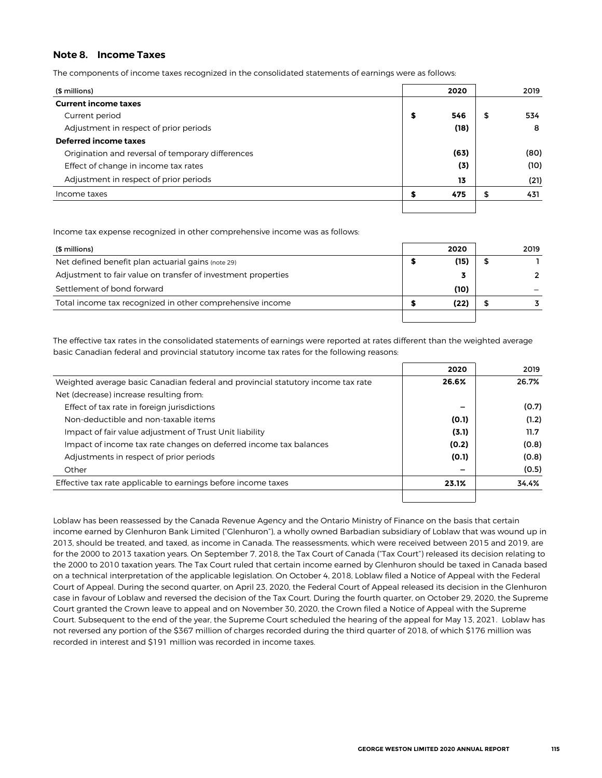### <span id="page-26-0"></span>**Note 8. Income Taxes**

The components of income taxes recognized in the consolidated statements of earnings were as follows:

| (\$ millions)                                     |   | 2020 | 2019      |
|---------------------------------------------------|---|------|-----------|
| <b>Current income taxes</b>                       |   |      |           |
| Current period                                    | s | 546  | \$<br>534 |
| Adjustment in respect of prior periods            |   | (18) | 8         |
| Deferred income taxes                             |   |      |           |
| Origination and reversal of temporary differences |   | (63) | (80)      |
| Effect of change in income tax rates              |   | (3)  | (10)      |
| Adjustment in respect of prior periods            |   | 13   | (21)      |
| Income taxes                                      |   | 475  | \$<br>431 |
|                                                   |   |      |           |

Income tax expense recognized in other comprehensive income was as follows:

| (\$ millions)                                                 | 2020 | 2019 |
|---------------------------------------------------------------|------|------|
| Net defined benefit plan actuarial gains (note 29)            | (15) |      |
| Adjustment to fair value on transfer of investment properties |      |      |
| Settlement of bond forward                                    | (10) |      |
| Total income tax recognized in other comprehensive income     | (22) |      |
|                                                               |      |      |

The effective tax rates in the consolidated statements of earnings were reported at rates different than the weighted average basic Canadian federal and provincial statutory income tax rates for the following reasons:

|                                                                                  | 2020  | 2019  |
|----------------------------------------------------------------------------------|-------|-------|
| Weighted average basic Canadian federal and provincial statutory income tax rate | 26.6% | 26.7% |
| Net (decrease) increase resulting from:                                          |       |       |
| Effect of tax rate in foreign jurisdictions                                      | -     | (0.7) |
| Non-deductible and non-taxable items                                             | (0.1) | (1.2) |
| Impact of fair value adjustment of Trust Unit liability                          | (3.1) | 11.7  |
| Impact of income tax rate changes on deferred income tax balances                | (0.2) | (0.8) |
| Adjustments in respect of prior periods                                          | (0.1) | (0.8) |
| Other                                                                            | -     | (0.5) |
| Effective tax rate applicable to earnings before income taxes                    | 23.1% | 34.4% |
|                                                                                  |       |       |

Loblaw has been reassessed by the Canada Revenue Agency and the Ontario Ministry of Finance on the basis that certain income earned by Glenhuron Bank Limited ("Glenhuron"), a wholly owned Barbadian subsidiary of Loblaw that was wound up in 2013, should be treated, and taxed, as income in Canada. The reassessments, which were received between 2015 and 2019, are for the 2000 to 2013 taxation years. On September 7, 2018, the Tax Court of Canada ("Tax Court") released its decision relating to the 2000 to 2010 taxation years. The Tax Court ruled that certain income earned by Glenhuron should be taxed in Canada based on a technical interpretation of the applicable legislation. On October 4, 2018, Loblaw filed a Notice of Appeal with the Federal Court of Appeal. During the second quarter, on April 23, 2020, the Federal Court of Appeal released its decision in the Glenhuron case in favour of Loblaw and reversed the decision of the Tax Court. During the fourth quarter, on October 29, 2020, the Supreme Court granted the Crown leave to appeal and on November 30, 2020, the Crown filed a Notice of Appeal with the Supreme Court. Subsequent to the end of the year, the Supreme Court scheduled the hearing of the appeal for May 13, 2021. Loblaw has not reversed any portion of the \$367 million of charges recorded during the third quarter of 2018, of which \$176 million was recorded in interest and \$191 million was recorded in income taxes.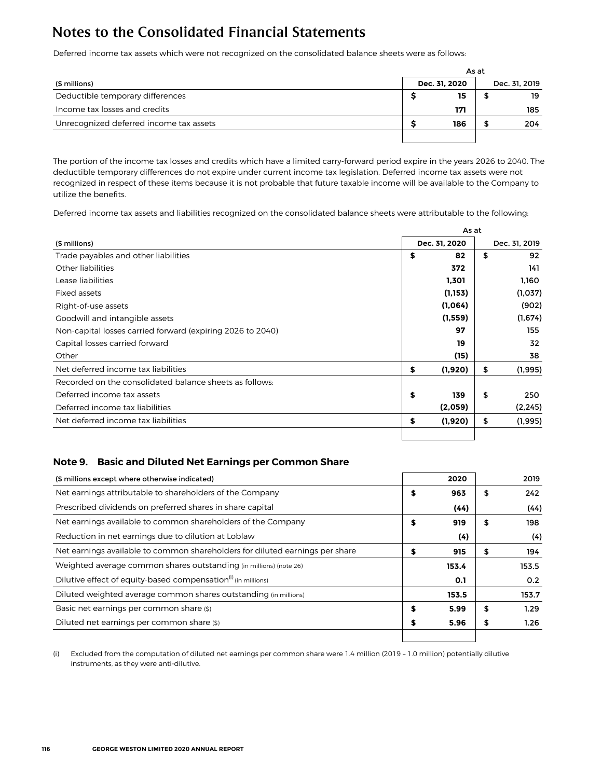<span id="page-27-0"></span>Deferred income tax assets which were not recognized on the consolidated balance sheets were as follows:

|                                         |               | As at |               |
|-----------------------------------------|---------------|-------|---------------|
| (\$ millions)                           | Dec. 31. 2020 |       | Dec. 31, 2019 |
| Deductible temporary differences        | 15            |       | 19            |
| Income tax losses and credits           | 171           |       | 185           |
| Unrecognized deferred income tax assets | 186           |       | 204           |
|                                         |               |       |               |

The portion of the income tax losses and credits which have a limited carry-forward period expire in the years 2026 to 2040. The deductible temporary differences do not expire under current income tax legislation. Deferred income tax assets were not recognized in respect of these items because it is not probable that future taxable income will be available to the Company to utilize the benefits.

Deferred income tax assets and liabilities recognized on the consolidated balance sheets were attributable to the following:

|                                                            |    | As at         |    |               |  |  |  |  |  |
|------------------------------------------------------------|----|---------------|----|---------------|--|--|--|--|--|
| (\$ millions)                                              |    | Dec. 31, 2020 |    | Dec. 31, 2019 |  |  |  |  |  |
| Trade payables and other liabilities                       | \$ | 82            | \$ | 92            |  |  |  |  |  |
| Other liabilities                                          |    | 372           |    | 141           |  |  |  |  |  |
| Lease liabilities                                          |    | 1,301         |    | 1,160         |  |  |  |  |  |
| Fixed assets                                               |    | (1, 153)      |    | (1,037)       |  |  |  |  |  |
| Right-of-use assets                                        |    | (1,064)       |    | (902)         |  |  |  |  |  |
| (1,559)<br>Goodwill and intangible assets                  |    |               |    | (1,674)       |  |  |  |  |  |
| Non-capital losses carried forward (expiring 2026 to 2040) |    | 97            |    | 155           |  |  |  |  |  |
| Capital losses carried forward                             |    | 19            |    | 32            |  |  |  |  |  |
| Other                                                      |    | (15)          |    | 38            |  |  |  |  |  |
| Net deferred income tax liabilities                        | \$ | (1,920)       | \$ | (1,995)       |  |  |  |  |  |
| Recorded on the consolidated balance sheets as follows:    |    |               |    |               |  |  |  |  |  |
| Deferred income tax assets                                 | \$ | 139           | \$ | 250           |  |  |  |  |  |
| Deferred income tax liabilities                            |    | (2,059)       |    | (2, 245)      |  |  |  |  |  |
| Net deferred income tax liabilities                        | \$ | (1,920)       | \$ | (1, 995)      |  |  |  |  |  |
|                                                            |    |               |    |               |  |  |  |  |  |

## **Note 9. Basic and Diluted Net Earnings per Common Share**

| (\$ millions except where otherwise indicated)                               |    | 2020  |    | 2019  |
|------------------------------------------------------------------------------|----|-------|----|-------|
| Net earnings attributable to shareholders of the Company                     | S  | 963   | S  | 242   |
| Prescribed dividends on preferred shares in share capital                    |    | (44)  |    | (44)  |
| Net earnings available to common shareholders of the Company                 | \$ | 919   | S  | 198   |
| Reduction in net earnings due to dilution at Loblaw                          |    | (4)   |    | (4)   |
| Net earnings available to common shareholders for diluted earnings per share | S  | 915   | \$ | 194   |
| Weighted average common shares outstanding (in millions) (note 26)           |    | 153.4 |    | 153.5 |
| Dilutive effect of equity-based compensation <sup>(i)</sup> (in millions)    |    | 0.1   |    | 0.2   |
| Diluted weighted average common shares outstanding (in millions)             |    | 153.5 |    | 153.7 |
| Basic net earnings per common share (\$)                                     | S  | 5.99  | \$ | 1.29  |
| Diluted net earnings per common share (\$)                                   | S  | 5.96  | \$ | 1.26  |
|                                                                              |    |       |    |       |

(i) Excluded from the computation of diluted net earnings per common share were 1.4 million (2019 – 1.0 million) potentially dilutive instruments, as they were anti-dilutive.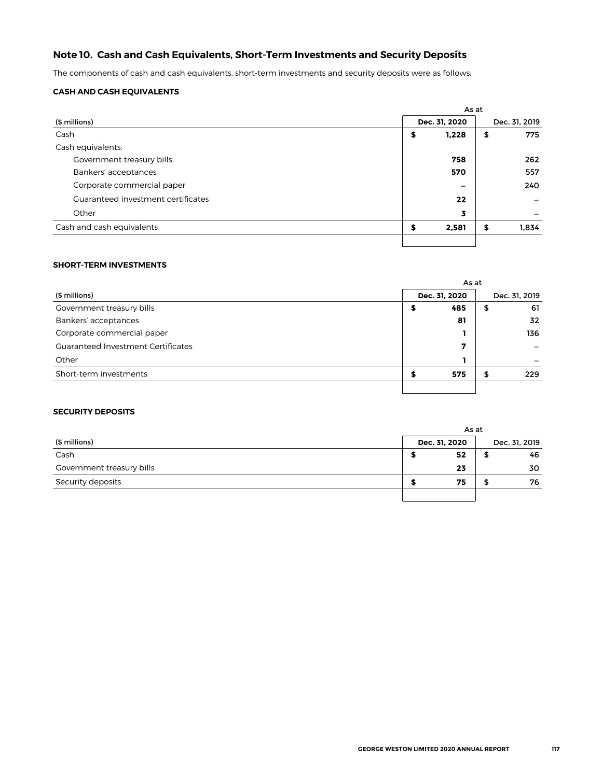## <span id="page-28-0"></span>**Note 10. Cash and Cash Equivalents, Short-Term Investments and Security Deposits**

The components of cash and cash equivalents, short-term investments and security deposits were as follows:

### **CASH AND CASH EQUIVALENTS**

|                                    | As at |                          |               |       |  |  |  |  |
|------------------------------------|-------|--------------------------|---------------|-------|--|--|--|--|
| (\$ millions)                      |       | Dec. 31, 2020            | Dec. 31, 2019 |       |  |  |  |  |
| Cash                               | \$    | 1,228                    | \$            | 775   |  |  |  |  |
| Cash equivalents:                  |       |                          |               |       |  |  |  |  |
| Government treasury bills          |       | 758                      |               | 262   |  |  |  |  |
| Bankers' acceptances               |       | 570                      |               | 557   |  |  |  |  |
| Corporate commercial paper         |       | $\overline{\phantom{0}}$ |               | 240   |  |  |  |  |
| Guaranteed investment certificates |       | 22                       |               |       |  |  |  |  |
| Other                              |       | 3                        |               |       |  |  |  |  |
| Cash and cash equivalents          | S     | 2,581                    | \$            | 1,834 |  |  |  |  |
|                                    |       |                          |               |       |  |  |  |  |

### **SHORT-TERM INVESTMENTS**

|                                           | As at |               |    |               |  |  |  |  |  |
|-------------------------------------------|-------|---------------|----|---------------|--|--|--|--|--|
| (\$ millions)                             |       | Dec. 31, 2020 |    | Dec. 31, 2019 |  |  |  |  |  |
| Government treasury bills                 | Э     | 485           | \$ | 61            |  |  |  |  |  |
| Bankers' acceptances                      |       | 81            |    | 32            |  |  |  |  |  |
| Corporate commercial paper                |       |               |    | 136           |  |  |  |  |  |
| <b>Guaranteed Investment Certificates</b> |       | 7             |    |               |  |  |  |  |  |
| Other                                     |       |               |    |               |  |  |  |  |  |
| Short-term investments                    |       | 575           | \$ | 229           |  |  |  |  |  |
|                                           |       |               |    |               |  |  |  |  |  |

### **SECURITY DEPOSITS**

|                           |               | As at |               |
|---------------------------|---------------|-------|---------------|
| (\$ millions)             | Dec. 31, 2020 |       | Dec. 31, 2019 |
| Cash                      | 52            |       | 46            |
| Government treasury bills | 23            |       | 30            |
| Security deposits         | 75            |       | 76            |
|                           |               |       |               |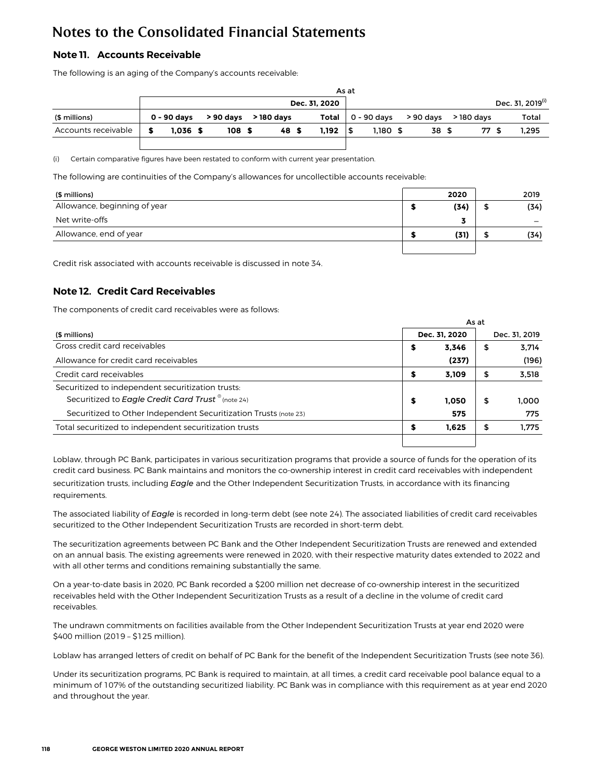## <span id="page-29-0"></span>**Note 11. Accounts Receivable**

The following is an aging of the Company's accounts receivable:

|                     | As at       |  |                  |  |            |  |               |  |          |                             |            |                              |
|---------------------|-------------|--|------------------|--|------------|--|---------------|--|----------|-----------------------------|------------|------------------------------|
|                     |             |  |                  |  |            |  | Dec. 31. 2020 |  |          |                             |            | Dec. 31, 2019 <sup>(i)</sup> |
| (\$ millions)       | 0 - 90 davs |  | > 90 days        |  | > 180 davs |  | Total         |  |          | 0 - 90 davs       > 90 davs | > 180 davs | Total                        |
| Accounts receivable | $1.036$ \$  |  | 108 <sub>s</sub> |  | 48 \$      |  | 1.192         |  | 1.180 \$ | 38 \$                       | 77 S       | 1.295                        |
|                     |             |  |                  |  |            |  |               |  |          |                             |            |                              |

(i) Certain comparative figures have been restated to conform with current year presentation.

The following are continuities of the Company's allowances for uncollectible accounts receivable:

| (\$ millions)                | 2020 | 2019 |
|------------------------------|------|------|
| Allowance, beginning of year | (34) | (34) |
| Net write-offs               |      |      |
| Allowance, end of year       | (31) | (34) |
|                              |      |      |

Credit risk associated with accounts receivable is discussed in note 34.

## **Note 12. Credit Card Receivables**

The components of credit card receivables were as follows:

|                                                                  |                                      |       | As at |               |
|------------------------------------------------------------------|--------------------------------------|-------|-------|---------------|
| (\$ millions)                                                    | Dec. 31, 2020<br>\$<br>\$<br>\$<br>S |       |       | Dec. 31, 2019 |
| Gross credit card receivables                                    |                                      | 3.346 | \$    | 3.714         |
| Allowance for credit card receivables                            |                                      | (237) |       | (196)         |
| Credit card receivables                                          |                                      | 3.109 | \$    | 3,518         |
| Securitized to independent securitization trusts:                |                                      |       |       |               |
| Securitized to Eagle Credit Card Trust <sup>®</sup> (note 24)    |                                      | 1.050 | \$    | 1.000         |
| Securitized to Other Independent Securitization Trusts (note 23) |                                      | 575   |       | 775           |
| Total securitized to independent securitization trusts           |                                      | 1.625 | \$    | 1.775         |
|                                                                  |                                      |       |       |               |

Loblaw, through PC Bank, participates in various securitization programs that provide a source of funds for the operation of its credit card business. PC Bank maintains and monitors the co-ownership interest in credit card receivables with independent securitization trusts, including *Eagle* and the Other Independent Securitization Trusts, in accordance with its financing requirements.

The associated liability of *Eagle* is recorded in long-term debt (see note 24). The associated liabilities of credit card receivables securitized to the Other Independent Securitization Trusts are recorded in short-term debt.

The securitization agreements between PC Bank and the Other Independent Securitization Trusts are renewed and extended on an annual basis. The existing agreements were renewed in 2020, with their respective maturity dates extended to 2022 and with all other terms and conditions remaining substantially the same.

On a year-to-date basis in 2020, PC Bank recorded a \$200 million net decrease of co-ownership interest in the securitized receivables held with the Other Independent Securitization Trusts as a result of a decline in the volume of credit card receivables.

The undrawn commitments on facilities available from the Other Independent Securitization Trusts at year end 2020 were \$400 million (2019 – \$125 million).

Loblaw has arranged letters of credit on behalf of PC Bank for the benefit of the Independent Securitization Trusts (see note 36).

Under its securitization programs, PC Bank is required to maintain, at all times, a credit card receivable pool balance equal to a minimum of 107% of the outstanding securitized liability. PC Bank was in compliance with this requirement as at year end 2020 and throughout the year.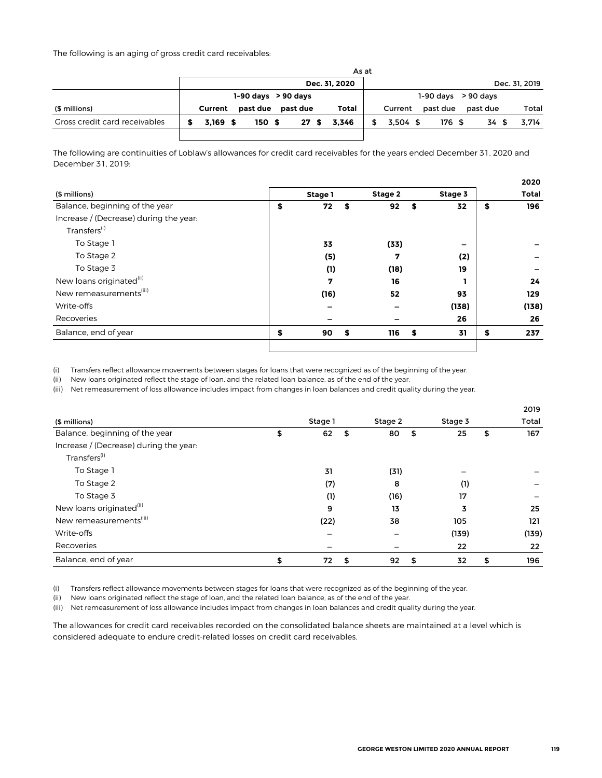The following is an aging of gross credit card receivables:

|                               |            |                         |  |          |     | As at         |            |                         |          |               |
|-------------------------------|------------|-------------------------|--|----------|-----|---------------|------------|-------------------------|----------|---------------|
|                               |            |                         |  |          |     | Dec. 31, 2020 |            |                         |          | Dec. 31, 2019 |
|                               |            | $1-90$ days $> 90$ days |  |          |     |               |            | $1-90$ days $> 90$ days |          |               |
| (\$ millions)                 | Current    | past due                |  | past due |     | Total         | Current    | past due                | past due | Total         |
| Gross credit card receivables | $3.169$ \$ | 150S                    |  |          | 27S | 3.346         | $3.504$ \$ | 176 \$                  | 34 \$    | 3.714         |
|                               |            |                         |  |          |     |               |            |                         |          |               |

The following are continuities of Loblaw's allowances for credit card receivables for the years ended December 31, 2020 and December 31, 2019:

|                                        |                |         |         | 2020         |
|----------------------------------------|----------------|---------|---------|--------------|
| (\$ millions)                          | Stage 1        | Stage 2 | Stage 3 | <b>Total</b> |
| Balance, beginning of the year         | \$<br>72<br>\$ | 92      | 32<br>S | \$<br>196    |
| Increase / (Decrease) during the year: |                |         |         |              |
| Transfers <sup>(i)</sup>               |                |         |         |              |
| To Stage 1                             | 33             | (33)    | -       |              |
| To Stage 2                             | (5)            | 7       | (2)     |              |
| To Stage 3                             | (1)            | (18)    | 19      |              |
| New loans originated <sup>(ii)</sup>   | 7              | 16      |         | 24           |
| New remeasurements <sup>(iii)</sup>    | (16)           | 52      | 93      | 129          |
| Write-offs                             |                |         | (138)   | (138)        |
| Recoveries                             |                |         | 26      | 26           |
| Balance, end of year                   | \$<br>90<br>S  | 116     | 31<br>S | \$<br>237    |
|                                        |                |         |         |              |

(i) Transfers reflect allowance movements between stages for loans that were recognized as of the beginning of the year.

(ii) New loans originated reflect the stage of loan, and the related loan balance, as of the end of the year.

(iii) Net remeasurement of loss allowance includes impact from changes in loan balances and credit quality during the year.

|                                        |          |          |         |       | 2019      |
|----------------------------------------|----------|----------|---------|-------|-----------|
| (\$ millions)                          | Stage 1  | Stage 2  | Stage 3 |       | Total     |
| Balance, beginning of the year         | \$<br>62 | 80<br>\$ | \$      | 25    | \$<br>167 |
| Increase / (Decrease) during the year: |          |          |         |       |           |
| Transfers <sup>(i)</sup>               |          |          |         |       |           |
| To Stage 1                             | 31       | (31)     |         |       |           |
| To Stage 2                             | (7)      | 8        |         | (1)   |           |
| To Stage 3                             | (1)      | (16)     |         | 17    |           |
| New loans originated <sup>(ii)</sup>   | 9        | 13       |         | 3     | 25        |
| New remeasurements <sup>(iii)</sup>    | (22)     | 38       |         | 105   | 121       |
| Write-offs                             |          |          |         | (139) | (139)     |
| Recoveries                             |          |          |         | 22    | 22        |
| Balance, end of year                   | \$<br>72 | 92<br>\$ | \$      | 32    | \$<br>196 |

(i) Transfers reflect allowance movements between stages for loans that were recognized as of the beginning of the year.

(ii) New loans originated reflect the stage of loan, and the related loan balance, as of the end of the year.

(iii) Net remeasurement of loss allowance includes impact from changes in loan balances and credit quality during the year.

The allowances for credit card receivables recorded on the consolidated balance sheets are maintained at a level which is considered adequate to endure credit-related losses on credit card receivables.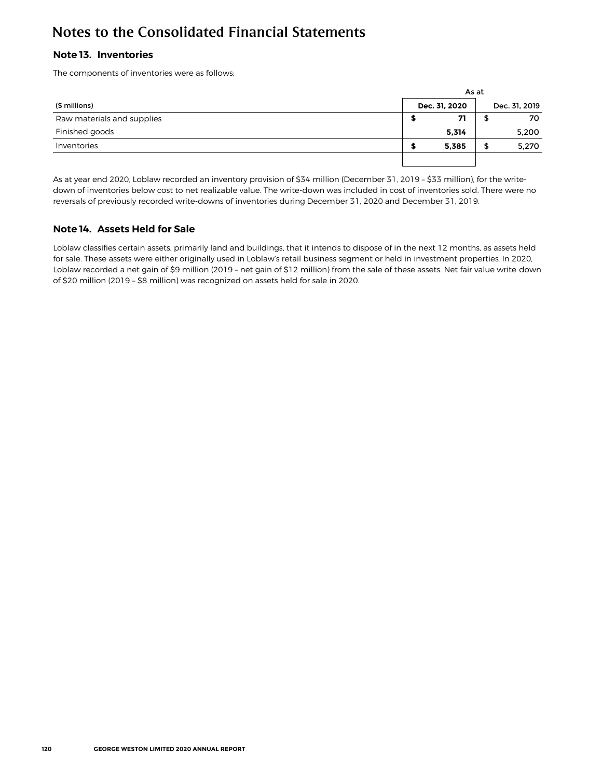## <span id="page-31-0"></span>**Note 13. Inventories**

The components of inventories were as follows:

|                            |               | As at  |               |
|----------------------------|---------------|--------|---------------|
| (\$ millions)              | Dec. 31, 2020 |        | Dec. 31, 2019 |
| Raw materials and supplies | 71            |        | 70            |
| Finished goods             | 5,314         |        | 5,200         |
| Inventories                | 5,385         | σ<br>ъ | 5,270         |
|                            |               |        |               |

As at year end 2020, Loblaw recorded an inventory provision of \$34 million (December 31, 2019 – \$33 million), for the writedown of inventories below cost to net realizable value. The write-down was included in cost of inventories sold. There were no reversals of previously recorded write-downs of inventories during December 31, 2020 and December 31, 2019.

## **Note 14. Assets Held for Sale**

Loblaw classifies certain assets, primarily land and buildings, that it intends to dispose of in the next 12 months, as assets held for sale. These assets were either originally used in Loblaw's retail business segment or held in investment properties. In 2020, Loblaw recorded a net gain of \$9 million (2019 – net gain of \$12 million) from the sale of these assets. Net fair value write-down of \$20 million (2019 – \$8 million) was recognized on assets held for sale in 2020.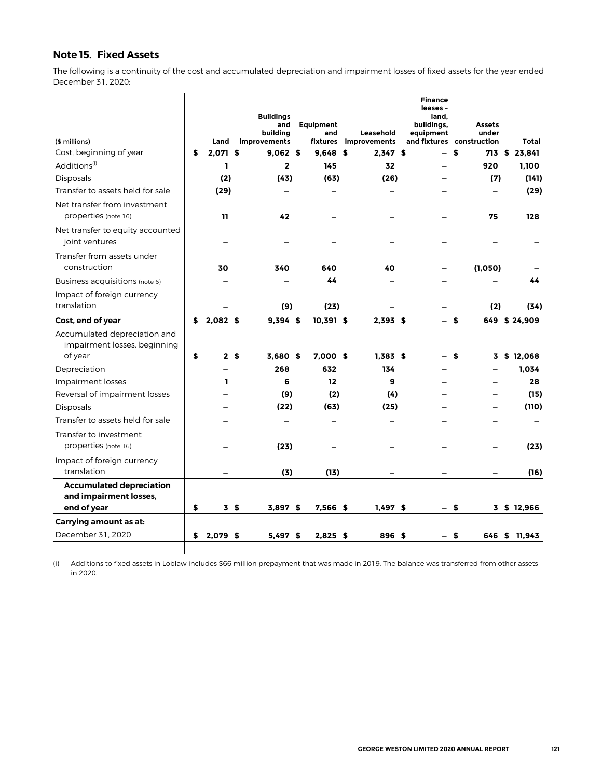## <span id="page-32-0"></span>**Note 15. Fixed Assets**

The following is a continuity of the cost and accumulated depreciation and impairment losses of fixed assets for the year ended December 31, 2020:

| (\$ millions)                                                            | Land             | <b>Buildings</b><br>and<br>building<br>improvements | <b>Equipment</b><br>and<br>fixtures | Leasehold<br>improvements | <b>Finance</b><br>leases -<br>land.<br>buildings,<br>equipment<br>and fixtures | construction | <b>Assets</b><br>under | Total         |
|--------------------------------------------------------------------------|------------------|-----------------------------------------------------|-------------------------------------|---------------------------|--------------------------------------------------------------------------------|--------------|------------------------|---------------|
| Cost, beginning of year                                                  | \$<br>2,071 \$   | 9.062 S                                             | 9,648                               | \$<br>$2,347$ \$          | $\overline{\phantom{0}}$                                                       | \$           |                        | 713 \$ 23,841 |
| Additions <sup>(1)</sup>                                                 | ı                | $\overline{\mathbf{2}}$                             | 145                                 | 32                        |                                                                                |              | 920                    | 1,100         |
| Disposals                                                                | (2)              | (43)                                                | (63)                                | (26)                      |                                                                                |              | (7)                    | (141)         |
| Transfer to assets held for sale                                         | (29)             |                                                     |                                     |                           |                                                                                |              |                        | (29)          |
| Net transfer from investment<br>properties (note 16)                     | 11               | 42                                                  |                                     |                           |                                                                                |              | 75                     | 128           |
| Net transfer to equity accounted<br>joint ventures                       |                  |                                                     |                                     |                           |                                                                                |              |                        |               |
| Transfer from assets under<br>construction                               | 30               | 340                                                 | 640                                 | 40                        |                                                                                |              | (1,050)                |               |
| Business acquisitions (note 6)                                           |                  |                                                     | 44                                  |                           |                                                                                |              |                        | 44            |
| Impact of foreign currency<br>translation                                |                  | (9)                                                 | (23)                                |                           |                                                                                |              | (2)                    | (34)          |
| Cost, end of year                                                        | \$<br>$2,082$ \$ | 9,394 \$                                            | 10,391 \$                           | $2,393$ \$                |                                                                                | $-$ \$       |                        | 649 \$24,909  |
| Accumulated depreciation and<br>impairment losses, beginning<br>of year  | \$               | 2 <sub>5</sub><br>3.680S                            | $7.000$ \$                          | 1.383S                    |                                                                                | S            | 3                      | \$12,068      |
| Depreciation                                                             |                  | 268                                                 | 632                                 | 134                       |                                                                                |              |                        | 1,034         |
| Impairment losses                                                        | ı                | 6                                                   | 12                                  | 9                         |                                                                                |              |                        | 28            |
| Reversal of impairment losses                                            |                  | (9)                                                 | (2)                                 | (4)                       |                                                                                |              |                        | (15)          |
| <b>Disposals</b>                                                         |                  | (22)                                                | (63)                                | (25)                      |                                                                                |              |                        | (110)         |
| Transfer to assets held for sale                                         |                  |                                                     |                                     |                           |                                                                                |              |                        |               |
| Transfer to investment<br>properties (note 16)                           |                  | (23)                                                |                                     |                           |                                                                                |              |                        | (23)          |
| Impact of foreign currency<br>translation                                |                  | (3)                                                 | (13)                                |                           |                                                                                |              |                        | (16)          |
| <b>Accumulated depreciation</b><br>and impairment losses,<br>end of year | \$               | 3 <sup>5</sup><br>3.897S                            | 7.566 \$                            | $1.497$ \$                | – \$                                                                           |              |                        | 3 \$ 12,966   |
| Carrying amount as at:                                                   |                  |                                                     |                                     |                           |                                                                                |              |                        |               |
| December 31, 2020                                                        | \$<br>2,079 \$   | $5,497$ \$                                          | $2,825$ \$                          | 896 \$                    |                                                                                | \$           | 646                    | \$ 11,943     |

(i) Additions to fixed assets in Loblaw includes \$66 million prepayment that was made in 2019. The balance was transferred from other assets in 2020.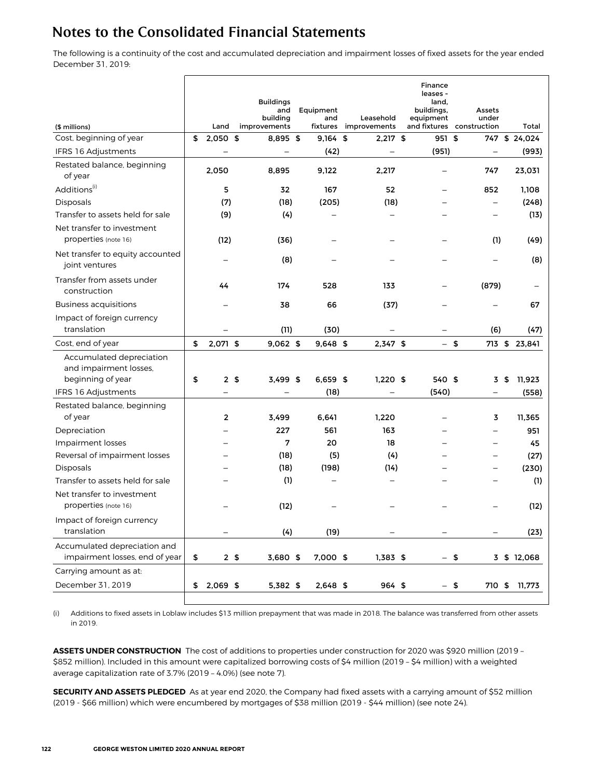The following is a continuity of the cost and accumulated depreciation and impairment losses of fixed assets for the year ended December 31, 2019:

| <b>Buildings</b><br>land,<br>and<br>Equipment<br>buildings,<br>building<br>and<br>Leasehold<br>equipment<br>and fixtures<br>(\$ millions)<br>Land<br>improvements<br>fixtures<br>improvements | Assets<br>under<br>construction | Total         |
|-----------------------------------------------------------------------------------------------------------------------------------------------------------------------------------------------|---------------------------------|---------------|
| Cost, beginning of year<br>$2,050$ \$<br>\$<br>8,895<br>\$<br>$9.164$ \$<br>$2,217$ \$<br>951 \$                                                                                              | 747                             | \$24,024      |
| IFRS 16 Adjustments<br>(42)<br>(951)<br>$\overline{\phantom{0}}$                                                                                                                              |                                 | (993)         |
| Restated balance, beginning<br>2,050<br>8,895<br>9,122<br>2,217<br>of year                                                                                                                    | 747                             | 23,031        |
| Additions <sup>(i)</sup><br>5<br>32<br>167<br>52                                                                                                                                              | 852                             | 1,108         |
| Disposals<br>(7)<br>(18)<br>(205)<br>(18)                                                                                                                                                     |                                 | (248)         |
| Transfer to assets held for sale<br>(9)<br>(4)                                                                                                                                                |                                 | (13)          |
| Net transfer to investment<br>properties (note 16)<br>(12)<br>(36)                                                                                                                            | (1)                             | (49)          |
| Net transfer to equity accounted<br>(8)<br>joint ventures                                                                                                                                     |                                 | (8)           |
| Transfer from assets under<br>44<br>174<br>528<br>133<br>construction                                                                                                                         | (879)                           |               |
| Business acquisitions<br>38<br>66<br>(37)                                                                                                                                                     |                                 | 67            |
| Impact of foreign currency<br>translation<br>(11)<br>(30)                                                                                                                                     | (6)                             | (47)          |
| \$<br>2,071 \$<br>$9,062$ \$<br>Cost, end of year<br>9,648 \$<br>$2,347$ \$<br>$-5$                                                                                                           |                                 | 713 \$ 23,841 |
| Accumulated depreciation<br>and impairment losses,<br>beginning of year<br>\$<br>2 <sub>5</sub><br>$3,499$ \$<br>$6,659$ \$<br>$1,220$ \$<br>540 \$                                           | 3\$                             | 11,923        |
| IFRS 16 Adjustments<br>(18)<br>(540)                                                                                                                                                          |                                 | (558)         |
| Restated balance, beginning<br>of year<br>2<br>1,220<br>3,499<br>6,641                                                                                                                        | 3                               | 11,365        |
| 227<br>561<br>163<br>Depreciation                                                                                                                                                             |                                 | 951           |
| 7<br>20<br>Impairment losses<br>18                                                                                                                                                            | $\overline{\phantom{0}}$        | 45            |
| Reversal of impairment losses<br>(18)<br>(5)<br>(4)                                                                                                                                           | —                               | (27)          |
| (18)<br>Disposals<br>(198)<br>(14)                                                                                                                                                            |                                 | (230)         |
| Transfer to assets held for sale<br>(1)                                                                                                                                                       |                                 | (1)           |
| Net transfer to investment<br>properties (note 16)<br>(12)                                                                                                                                    |                                 | (12)          |
| Impact of foreign currency<br>translation<br>(4)<br>(19)<br>—                                                                                                                                 |                                 | (23)          |
| Accumulated depreciation and<br>impairment losses, end of year<br>\$<br>2 <sub>5</sub><br>3,680 \$<br>7,000 \$<br>1,383 \$<br>$-$ \$                                                          |                                 | 3 \$ 12,068   |
| Carrying amount as at:                                                                                                                                                                        |                                 |               |
| December 31, 2019<br>$2,069$ \$<br>5,382 \$<br>964 \$<br>\$<br>2,648 \$<br>$-$ \$                                                                                                             | 710 \$                          | 11,773        |

(i) Additions to fixed assets in Loblaw includes \$13 million prepayment that was made in 2018. The balance was transferred from other assets in 2019.

**ASSETS UNDER CONSTRUCTION** The cost of additions to properties under construction for 2020 was \$920 million (2019 – \$852 million). Included in this amount were capitalized borrowing costs of \$4 million (2019 – \$4 million) with a weighted average capitalization rate of 3.7% (2019 – 4.0%) (see note 7).

**SECURITY AND ASSETS PLEDGED** As at year end 2020, the Company had fixed assets with a carrying amount of \$52 million (2019 - \$66 million) which were encumbered by mortgages of \$38 million (2019 - \$44 million) (see note 24).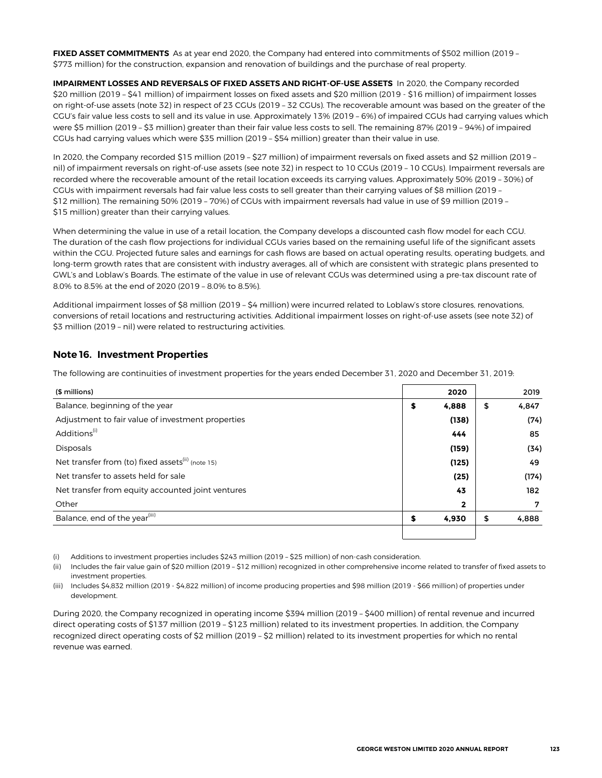<span id="page-34-0"></span>**FIXED ASSET COMMITMENTS** As at year end 2020, the Company had entered into commitments of \$502 million (2019 – \$773 million) for the construction, expansion and renovation of buildings and the purchase of real property.

**IMPAIRMENT LOSSES AND REVERSALS OF FIXED ASSETS AND RIGHT-OF-USE ASSETS** In 2020, the Company recorded \$20 million (2019 – \$41 million) of impairment losses on fixed assets and \$20 million (2019 - \$16 million) of impairment losses on right-of-use assets (note 32) in respect of 23 CGUs (2019 – 32 CGUs). The recoverable amount was based on the greater of the CGU's fair value less costs to sell and its value in use. Approximately 13% (2019 – 6%) of impaired CGUs had carrying values which were \$5 million (2019 – \$3 million) greater than their fair value less costs to sell. The remaining 87% (2019 – 94%) of impaired CGUs had carrying values which were \$35 million (2019 – \$54 million) greater than their value in use.

In 2020, the Company recorded \$15 million (2019 – \$27 million) of impairment reversals on fixed assets and \$2 million (2019 – nil) of impairment reversals on right-of-use assets (see note 32) in respect to 10 CGUs (2019 – 10 CGUs). Impairment reversals are recorded where the recoverable amount of the retail location exceeds its carrying values. Approximately 50% (2019 – 30%) of CGUs with impairment reversals had fair value less costs to sell greater than their carrying values of \$8 million (2019 – \$12 million). The remaining 50% (2019 – 70%) of CGUs with impairment reversals had value in use of \$9 million (2019 – \$15 million) greater than their carrying values.

When determining the value in use of a retail location, the Company develops a discounted cash flow model for each CGU. The duration of the cash flow projections for individual CGUs varies based on the remaining useful life of the significant assets within the CGU. Projected future sales and earnings for cash flows are based on actual operating results, operating budgets, and long-term growth rates that are consistent with industry averages, all of which are consistent with strategic plans presented to GWL's and Loblaw's Boards. The estimate of the value in use of relevant CGUs was determined using a pre-tax discount rate of 8.0% to 8.5% at the end of 2020 (2019 – 8.0% to 8.5%).

Additional impairment losses of \$8 million (2019 – \$4 million) were incurred related to Loblaw's store closures, renovations, conversions of retail locations and restructuring activities. Additional impairment losses on right-of-use assets (see note 32) of \$3 million (2019 – nil) were related to restructuring activities.

### **Note 16. Investment Properties**

The following are continuities of investment properties for the years ended December 31, 2020 and December 31, 2019:

| (\$ millions)                                                 |    | 2020         | 2019        |
|---------------------------------------------------------------|----|--------------|-------------|
| Balance, beginning of the year                                | \$ | 4,888        | \$<br>4,847 |
| Adjustment to fair value of investment properties             |    | (138)        | (74)        |
| Additions <sup>(i)</sup>                                      |    | 444          | 85          |
| <b>Disposals</b>                                              |    | (159)        | (34)        |
| Net transfer from (to) fixed assets <sup>(ii)</sup> (note 15) |    | (125)        | 49          |
| Net transfer to assets held for sale                          |    | (25)         | (174)       |
| Net transfer from equity accounted joint ventures             |    | 43           | 182         |
| Other                                                         |    | $\mathbf{2}$ | 7           |
| Balance, end of the year <sup>(iii)</sup>                     | S  | 4,930        | \$<br>4,888 |
|                                                               |    |              |             |

(i) Additions to investment properties includes \$243 million (2019 – \$25 million) of non-cash consideration.

(ii) Includes the fair value gain of \$20 million (2019 – \$12 million) recognized in other comprehensive income related to transfer of fixed assets to investment properties.

(iii) Includes \$4,832 million (2019 - \$4,822 million) of income producing properties and \$98 million (2019 - \$66 million) of properties under development.

During 2020, the Company recognized in operating income \$394 million (2019 – \$400 million) of rental revenue and incurred direct operating costs of \$137 million (2019 – \$123 million) related to its investment properties. In addition, the Company recognized direct operating costs of \$2 million (2019 – \$2 million) related to its investment properties for which no rental revenue was earned.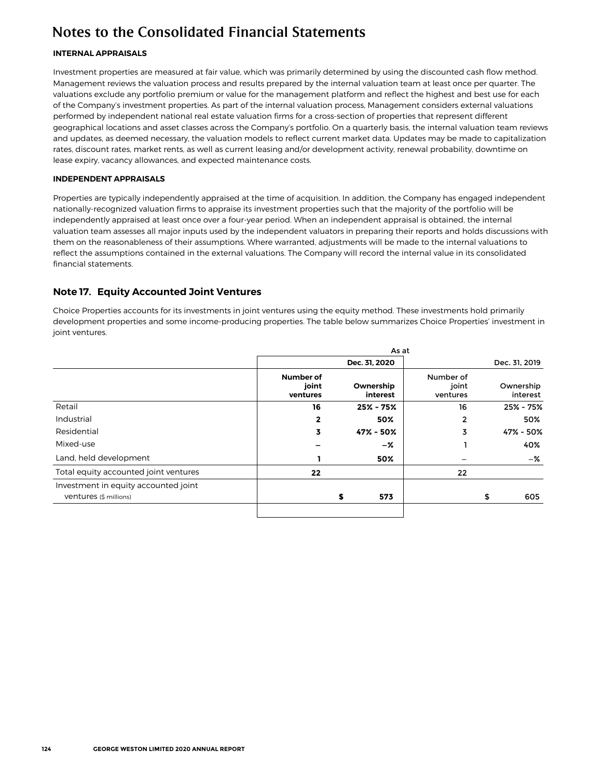### <span id="page-35-0"></span>**INTERNAL APPRAISALS**

Investment properties are measured at fair value, which was primarily determined by using the discounted cash flow method. Management reviews the valuation process and results prepared by the internal valuation team at least once per quarter. The valuations exclude any portfolio premium or value for the management platform and reflect the highest and best use for each of the Company's investment properties. As part of the internal valuation process, Management considers external valuations performed by independent national real estate valuation firms for a cross-section of properties that represent different geographical locations and asset classes across the Company's portfolio. On a quarterly basis, the internal valuation team reviews and updates, as deemed necessary, the valuation models to reflect current market data. Updates may be made to capitalization rates, discount rates, market rents, as well as current leasing and/or development activity, renewal probability, downtime on lease expiry, vacancy allowances, and expected maintenance costs.

### **INDEPENDENT APPRAISALS**

Properties are typically independently appraised at the time of acquisition. In addition, the Company has engaged independent nationally-recognized valuation firms to appraise its investment properties such that the majority of the portfolio will be independently appraised at least once over a four-year period. When an independent appraisal is obtained, the internal valuation team assesses all major inputs used by the independent valuators in preparing their reports and holds discussions with them on the reasonableness of their assumptions. Where warranted, adjustments will be made to the internal valuations to reflect the assumptions contained in the external valuations. The Company will record the internal value in its consolidated financial statements.

## **Note 17. Equity Accounted Joint Ventures**

Choice Properties accounts for its investments in joint ventures using the equity method. These investments hold primarily development properties and some income-producing properties. The table below summarizes Choice Properties' investment in joint ventures.

|                                                                |                                       | Dec. 31, 2020         |                                |    | Dec. 31, 2019         |
|----------------------------------------------------------------|---------------------------------------|-----------------------|--------------------------------|----|-----------------------|
|                                                                | <b>Number of</b><br>joint<br>ventures | Ownership<br>interest | Number of<br>joint<br>ventures |    | Ownership<br>interest |
| Retail                                                         | 16                                    | $25\% - 75\%$         | 16                             |    | 25% - 75%             |
| Industrial                                                     | $\mathbf{2}$                          | 50%                   | $\overline{2}$                 |    | 50%                   |
| Residential                                                    | 3                                     | 47% - 50%             | 3                              |    | 47% - 50%             |
| Mixed-use                                                      |                                       | -%                    |                                |    | 40%                   |
| Land, held development                                         |                                       | 50%                   |                                |    | -%                    |
| Total equity accounted joint ventures                          | 22                                    |                       | 22                             |    |                       |
| Investment in equity accounted joint<br>Ventures (\$ millions) |                                       | 573<br>\$             |                                | \$ | 605                   |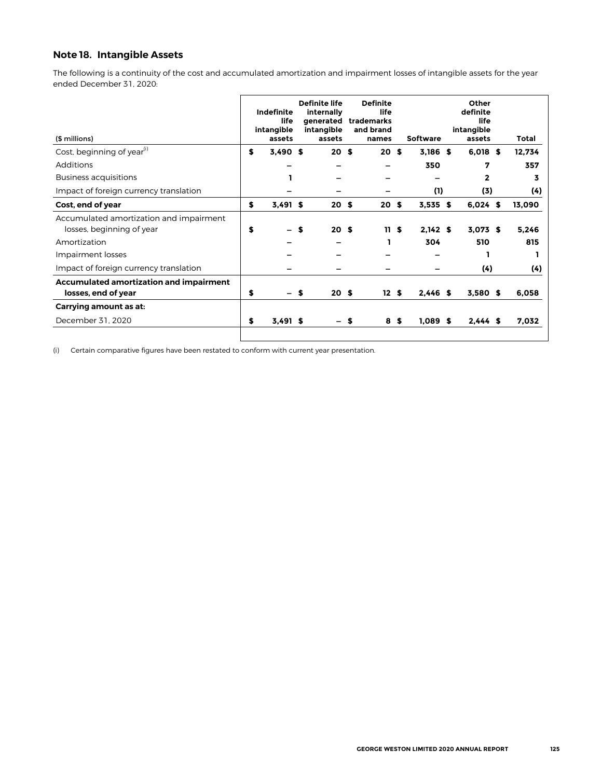## **Note 18. Intangible Assets**

The following is a continuity of the cost and accumulated amortization and impairment losses of intangible assets for the year ended December 31, 2020:

| (\$ millions)                                                        | <b>Indefinite</b><br>life<br>intangible<br>assets |    | <b>Definite life</b><br>internally<br>generated<br>intangible<br>assets |     | <b>Definite</b><br>life<br>trademarks<br>and brand<br>names |      | <b>Software</b> | Other<br>definite<br>life<br>intangible<br>assets | Total  |
|----------------------------------------------------------------------|---------------------------------------------------|----|-------------------------------------------------------------------------|-----|-------------------------------------------------------------|------|-----------------|---------------------------------------------------|--------|
| Cost, beginning of year <sup>(i)</sup>                               | \$<br>3,490 \$                                    |    | 20S                                                                     |     | 20S                                                         |      | $3,186$ \$      | $6,018$ \$                                        | 12,734 |
| Additions                                                            |                                                   |    |                                                                         |     |                                                             |      | 350             | 7                                                 | 357    |
| <b>Business acquisitions</b>                                         |                                                   |    |                                                                         |     |                                                             |      |                 | 2                                                 | 3      |
| Impact of foreign currency translation                               |                                                   |    |                                                                         |     |                                                             |      | (1)             | (3)                                               | (4)    |
| Cost, end of year                                                    | \$<br>$3,491$ \$                                  |    | 20 <sup>5</sup>                                                         |     | 20                                                          | - \$ | $3,535$ \$      | $6,024$ \$                                        | 13,090 |
| Accumulated amortization and impairment<br>losses, beginning of year | \$                                                | \$ | 20 <sub>s</sub>                                                         |     | 11S                                                         |      | 2.142S          | $3,073$ \$                                        | 5.246  |
| Amortization                                                         |                                                   |    |                                                                         |     |                                                             |      | 304             | 510                                               | 815    |
| Impairment losses                                                    |                                                   |    |                                                                         |     |                                                             |      |                 |                                                   |        |
| Impact of foreign currency translation                               |                                                   |    |                                                                         |     |                                                             |      |                 | (4)                                               | (4)    |
| Accumulated amortization and impairment<br>losses, end of year       | \$                                                | S. | 20 <sup>5</sup>                                                         |     | 12S                                                         |      | $2,446$ \$      | $3,580$ \$                                        | 6,058  |
| Carrying amount as at:                                               |                                                   |    |                                                                         |     |                                                             |      |                 |                                                   |        |
| December 31, 2020                                                    | \$<br>$3,491$ \$                                  |    |                                                                         | – S | 8\$                                                         |      | $1,089$ \$      | $2,444$ \$                                        | 7,032  |
|                                                                      |                                                   |    |                                                                         |     |                                                             |      |                 |                                                   |        |

(i) Certain comparative figures have been restated to conform with current year presentation.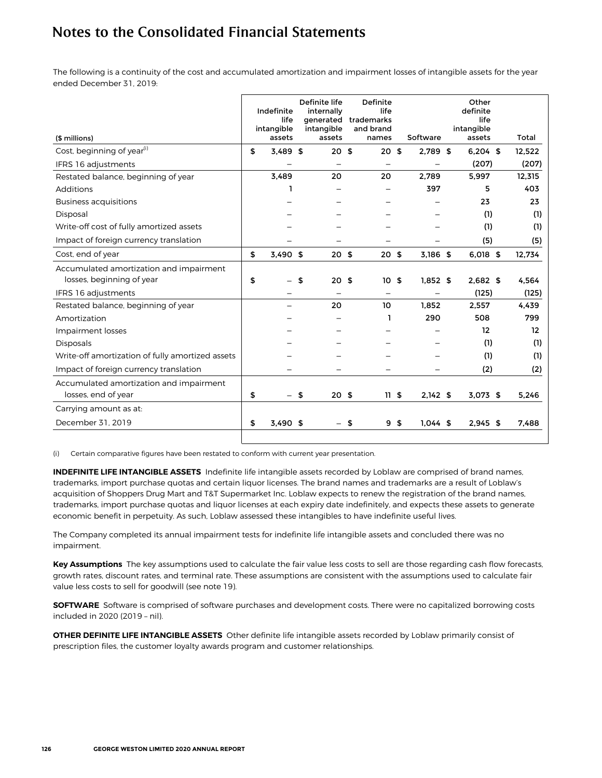The following is a continuity of the cost and accumulated amortization and impairment losses of intangible assets for the year ended December 31, 2019:

| (\$ millions)                                                        | Indefinite<br>life<br>intangible<br>assets | Definite life<br>internally<br>generated<br>intangible<br>assets | Definite<br>life<br>trademarks<br>and brand<br>names | Software         | Other<br>definite<br>life<br>intangible<br>assets | Total  |
|----------------------------------------------------------------------|--------------------------------------------|------------------------------------------------------------------|------------------------------------------------------|------------------|---------------------------------------------------|--------|
| Cost, beginning of year <sup>(i)</sup>                               | \$<br>3.489 \$                             | 20S                                                              | 20                                                   | \$<br>2,789 \$   | $6,204$ \$                                        | 12.522 |
| IFRS 16 adjustments                                                  |                                            |                                                                  |                                                      |                  | (207)                                             | (207)  |
| Restated balance, beginning of year                                  | 3.489                                      | 20                                                               | 20                                                   | 2.789            | 5,997                                             | 12,315 |
| Additions                                                            |                                            |                                                                  |                                                      | 397              | 5                                                 | 403    |
| <b>Business acquisitions</b>                                         |                                            |                                                                  |                                                      |                  | 23                                                | 23     |
| Disposal                                                             |                                            |                                                                  |                                                      |                  | (1)                                               | (1)    |
| Write-off cost of fully amortized assets                             |                                            |                                                                  |                                                      |                  | (1)                                               | (1)    |
| Impact of foreign currency translation                               |                                            |                                                                  |                                                      |                  | (5)                                               | (5)    |
| Cost, end of year                                                    | \$<br>$3.490$ \$                           | 20 <sub>5</sub>                                                  | 20 <sub>5</sub>                                      | 3.186 \$         | 6,018 \$                                          | 12,734 |
| Accumulated amortization and impairment<br>losses, beginning of year | \$                                         | \$<br>20 <sub>5</sub>                                            | 10                                                   | \$<br>$1.852$ \$ | $2.682$ \$                                        | 4.564  |
| IFRS 16 adjustments                                                  |                                            |                                                                  |                                                      |                  | (125)                                             | (125)  |
| Restated balance, beginning of year                                  |                                            | 20                                                               | 10                                                   | 1.852            | 2.557                                             | 4.439  |
| Amortization                                                         |                                            |                                                                  |                                                      | 290              | 508                                               | 799    |
| Impairment losses                                                    |                                            |                                                                  |                                                      |                  | 12                                                | 12     |
| <b>Disposals</b>                                                     |                                            |                                                                  |                                                      |                  | (1)                                               | (1)    |
| Write-off amortization of fully amortized assets                     |                                            |                                                                  |                                                      |                  | (1)                                               | (1)    |
| Impact of foreign currency translation                               |                                            |                                                                  |                                                      |                  | (2)                                               | (2)    |
| Accumulated amortization and impairment<br>losses, end of year       | \$                                         | \$<br>20 <sup>5</sup>                                            | 11 <sub>5</sub>                                      | $2,142$ \$       | $3,073$ \$                                        | 5,246  |
| Carrying amount as at:                                               |                                            |                                                                  |                                                      |                  |                                                   |        |
| December 31, 2019                                                    | \$<br>$3.490$ \$                           |                                                                  | \$<br>9                                              | \$<br>$1.044$ \$ | $2,945$ \$                                        | 7,488  |

(i) Certain comparative figures have been restated to conform with current year presentation.

**INDEFINITE LIFE INTANGIBLE ASSETS** Indefinite life intangible assets recorded by Loblaw are comprised of brand names, trademarks, import purchase quotas and certain liquor licenses. The brand names and trademarks are a result of Loblaw's acquisition of Shoppers Drug Mart and T&T Supermarket Inc. Loblaw expects to renew the registration of the brand names, trademarks, import purchase quotas and liquor licenses at each expiry date indefinitely, and expects these assets to generate economic benefit in perpetuity. As such, Loblaw assessed these intangibles to have indefinite useful lives.

The Company completed its annual impairment tests for indefinite life intangible assets and concluded there was no impairment.

**Key Assumptions** The key assumptions used to calculate the fair value less costs to sell are those regarding cash flow forecasts, growth rates, discount rates, and terminal rate. These assumptions are consistent with the assumptions used to calculate fair value less costs to sell for goodwill (see note 19).

**SOFTWARE** Software is comprised of software purchases and development costs. There were no capitalized borrowing costs included in 2020 (2019 – nil).

**OTHER DEFINITE LIFE INTANGIBLE ASSETS** Other definite life intangible assets recorded by Loblaw primarily consist of prescription files, the customer loyalty awards program and customer relationships.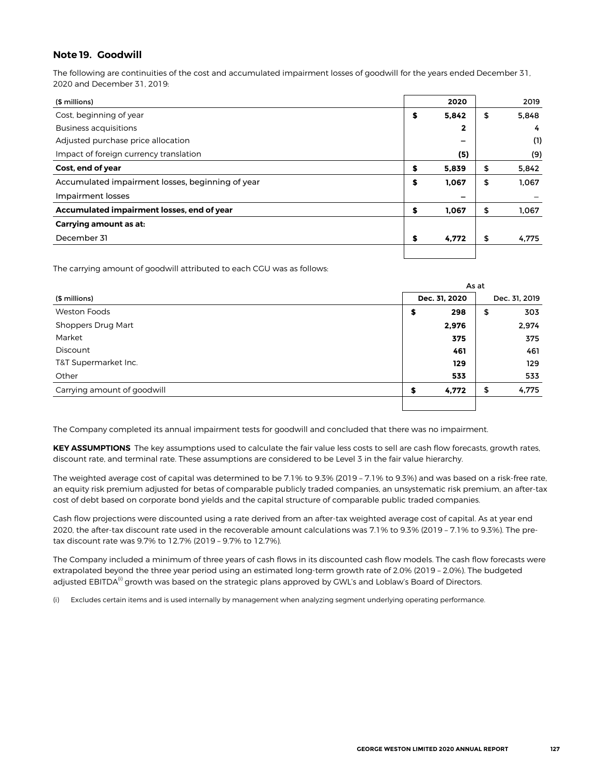### **Note 19. Goodwill**

The following are continuities of the cost and accumulated impairment losses of goodwill for the years ended December 31, 2020 and December 31, 2019:

| (\$ millions)                                    | 2020        | 2019        |
|--------------------------------------------------|-------------|-------------|
| Cost, beginning of year                          | \$<br>5,842 | \$<br>5,848 |
| <b>Business acquisitions</b>                     | 2           | 4           |
| Adjusted purchase price allocation               | -           | (1)         |
| Impact of foreign currency translation           | (5)         | (9)         |
| Cost, end of year                                | \$<br>5.839 | \$<br>5,842 |
| Accumulated impairment losses, beginning of year | \$<br>1,067 | \$<br>1,067 |
| Impairment losses                                | -           |             |
| Accumulated impairment losses, end of year       | \$<br>1.067 | \$<br>1,067 |
| Carrying amount as at:                           |             |             |
| December 31                                      | \$<br>4,772 | \$<br>4,775 |
|                                                  |             |             |

The carrying amount of goodwill attributed to each CGU was as follows:

|                             |               | As at |               |  |  |  |
|-----------------------------|---------------|-------|---------------|--|--|--|
| (\$ millions)               | Dec. 31, 2020 |       | Dec. 31, 2019 |  |  |  |
| Weston Foods                | 298<br>\$     | \$    | 303           |  |  |  |
| Shoppers Drug Mart          | 2,976         |       | 2,974         |  |  |  |
| Market                      | 375           |       | 375           |  |  |  |
| Discount                    | 461           |       | 461           |  |  |  |
| T&T Supermarket Inc.        | 129           |       | 129           |  |  |  |
| Other                       | 533           |       | 533           |  |  |  |
| Carrying amount of goodwill | 4,772<br>\$   | \$    | 4,775         |  |  |  |
|                             |               |       |               |  |  |  |

The Company completed its annual impairment tests for goodwill and concluded that there was no impairment.

**KEY ASSUMPTIONS** The key assumptions used to calculate the fair value less costs to sell are cash flow forecasts, growth rates, discount rate, and terminal rate. These assumptions are considered to be Level 3 in the fair value hierarchy.

The weighted average cost of capital was determined to be 7.1% to 9.3% (2019 – 7.1% to 9.3%) and was based on a risk-free rate, an equity risk premium adjusted for betas of comparable publicly traded companies, an unsystematic risk premium, an after-tax cost of debt based on corporate bond yields and the capital structure of comparable public traded companies.

Cash flow projections were discounted using a rate derived from an after-tax weighted average cost of capital. As at year end 2020, the after-tax discount rate used in the recoverable amount calculations was 7.1% to 9.3% (2019 – 7.1% to 9.3%). The pretax discount rate was 9.7% to 12.7% (2019 – 9.7% to 12.7%).

The Company included a minimum of three years of cash flows in its discounted cash flow models. The cash flow forecasts were extrapolated beyond the three year period using an estimated long-term growth rate of 2.0% (2019 – 2.0%). The budgeted adjusted EBITDA<sup>(i)</sup> growth was based on the strategic plans approved by GWL's and Loblaw's Board of Directors.

(i) Excludes certain items and is used internally by management when analyzing segment underlying operating performance.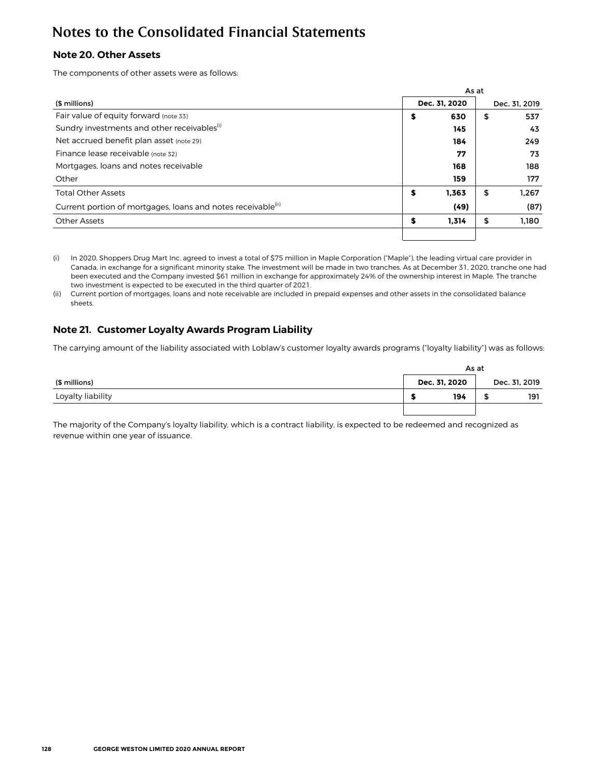## **Note 20. Other Assets**

The components of other assets were as follows:

|                                                                          |    | As at         |               |
|--------------------------------------------------------------------------|----|---------------|---------------|
| (\$ millions)                                                            |    | Dec. 31, 2020 | Dec. 31, 2019 |
| Fair value of equity forward (note 33)                                   | \$ | 630           | \$<br>537     |
| Sundry investments and other receivables <sup>(i)</sup>                  |    | 145           | 43            |
| Net accrued benefit plan asset (note 29)                                 |    | 184           | 249           |
| Finance lease receivable (note 32)                                       |    | 77            | 73            |
| Mortgages, loans and notes receivable                                    |    | 168           | 188           |
| Other                                                                    |    | 159           | 177           |
| <b>Total Other Assets</b>                                                | \$ | 1.363         | \$<br>1.267   |
| Current portion of mortgages, loans and notes receivable <sup>(ii)</sup> |    | (49)          | (87)          |
| <b>Other Assets</b>                                                      | S  | 1.314         | \$<br>1.180   |
|                                                                          |    |               |               |

**(i)** In 2020, Shoppers Drug Mart Inc. agreed to invest a total of \$75 million in Maple Corporation ("Maple"), the leading virtual care provider in Canada, in exchange for a significant minority stake. The investment will be made in two tranches. As at December 31, 2020, tranche one had been executed and the Company invested \$61 million in exchange for approximately 24% of the ownership interest in Maple. The tranche two investment is expected to be executed in the third quarter of 2021.

(ii) Current portion of mortgages, loans and note receivable are included in prepaid expenses and other assets in the consolidated balance sheets.

## **Note 21. Customer Loyalty Awards Program Liability**

The carrying amount of the liability associated with Loblaw's customer loyalty awards programs ("loyalty liability") was as follows:

|                   |               | As at |               |  |  |  |  |  |
|-------------------|---------------|-------|---------------|--|--|--|--|--|
| (\$ millions)     | Dec. 31, 2020 |       | Dec. 31, 2019 |  |  |  |  |  |
| Loyalty liability | 194           | - 13  | 191           |  |  |  |  |  |
|                   |               |       |               |  |  |  |  |  |

The majority of the Company's loyalty liability, which is a contract liability, is expected to be redeemed and recognized as revenue within one year of issuance.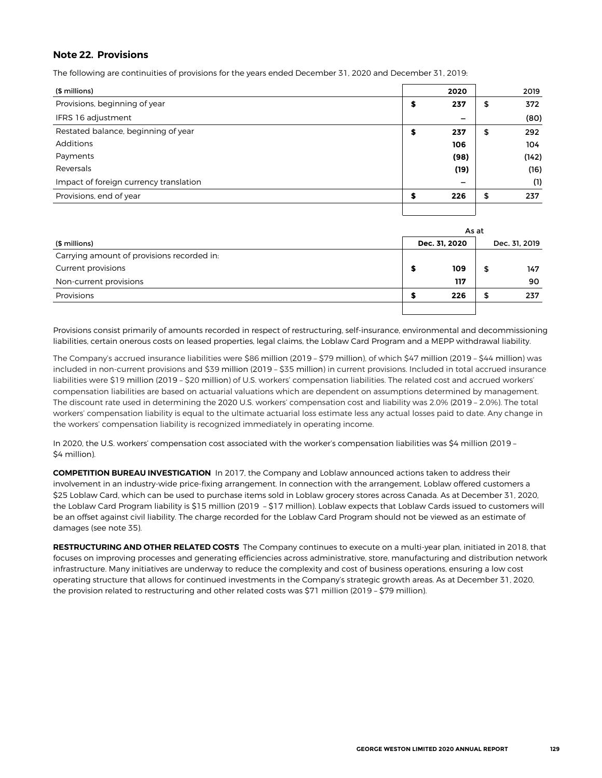### **Note 22. Provisions**

The following are continuities of provisions for the years ended December 31, 2020 and December 31, 2019:

| (\$ millions)                          | 2020                     | 2019      |
|----------------------------------------|--------------------------|-----------|
| Provisions, beginning of year          | \$<br>237                | \$<br>372 |
| IFRS 16 adjustment                     | -                        | (80)      |
| Restated balance, beginning of year    | \$<br>237                | \$<br>292 |
| Additions                              | 106                      | 104       |
| Payments                               | (98)                     | (142)     |
| Reversals                              | (19)                     | (16)      |
| Impact of foreign currency translation | $\overline{\phantom{m}}$ | (1)       |
| Provisions, end of year                | \$<br>226                | \$<br>237 |
|                                        |                          |           |

|                                            | As at |               |    |               |  |  |  |
|--------------------------------------------|-------|---------------|----|---------------|--|--|--|
| (\$ millions)                              |       | Dec. 31, 2020 |    | Dec. 31, 2019 |  |  |  |
| Carrying amount of provisions recorded in: |       |               |    |               |  |  |  |
| Current provisions                         |       | 109           | \$ | 147           |  |  |  |
| Non-current provisions                     |       | 117           |    | 90            |  |  |  |
| Provisions                                 | ъ     | 226           | S  | 237           |  |  |  |
|                                            |       |               |    |               |  |  |  |

Provisions consist primarily of amounts recorded in respect of restructuring, self-insurance, environmental and decommissioning liabilities, certain onerous costs on leased properties, legal claims, the Loblaw Card Program and a MEPP withdrawal liability.

The Company's accrued insurance liabilities were \$86 million (2019 – \$79 million), of which \$47 million (2019 – \$44 million) was included in non-current provisions and \$39 million (2019 – \$35 million) in current provisions. Included in total accrued insurance liabilities were \$19 million (2019 – \$20 million) of U.S. workers' compensation liabilities. The related cost and accrued workers' compensation liabilities are based on actuarial valuations which are dependent on assumptions determined by management. The discount rate used in determining the 2020 U.S. workers' compensation cost and liability was 2.0% (2019 – 2.0%). The total workers' compensation liability is equal to the ultimate actuarial loss estimate less any actual losses paid to date. Any change in the workers' compensation liability is recognized immediately in operating income.

In 2020, the U.S. workers' compensation cost associated with the worker's compensation liabilities was \$4 million (2019 – \$4 million).

**COMPETITION BUREAU INVESTIGATION** In 2017, the Company and Loblaw announced actions taken to address their involvement in an industry-wide price-fixing arrangement. In connection with the arrangement, Loblaw offered customers a \$25 Loblaw Card, which can be used to purchase items sold in Loblaw grocery stores across Canada. As at December 31, 2020, the Loblaw Card Program liability is \$15 million (2019 – \$17 million). Loblaw expects that Loblaw Cards issued to customers will be an offset against civil liability. The charge recorded for the Loblaw Card Program should not be viewed as an estimate of damages (see note 35).

**RESTRUCTURING AND OTHER RELATED COSTS** The Company continues to execute on a multi-year plan, initiated in 2018, that focuses on improving processes and generating efficiencies across administrative, store, manufacturing and distribution network infrastructure. Many initiatives are underway to reduce the complexity and cost of business operations, ensuring a low cost operating structure that allows for continued investments in the Company's strategic growth areas. As at December 31, 2020, the provision related to restructuring and other related costs was \$71 million (2019 – \$79 million).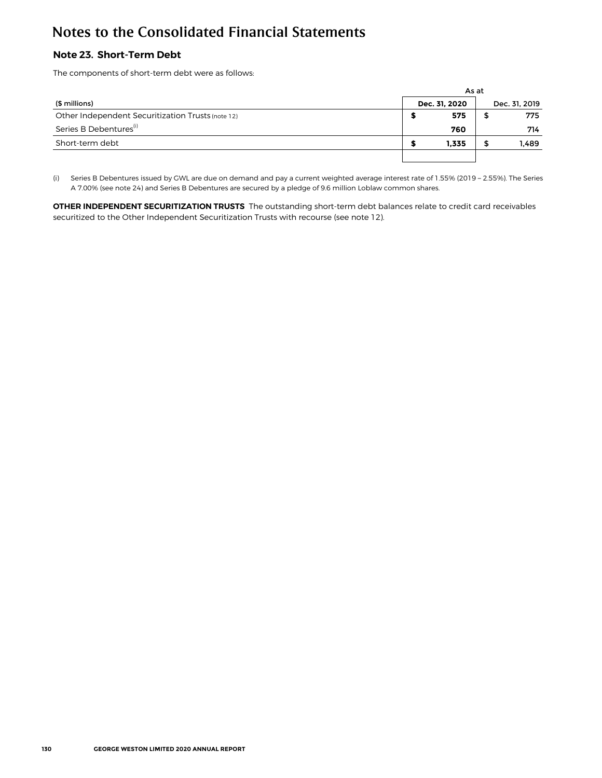## **Note 23. Short-Term Debt**

The components of short-term debt were as follows:

|                                                   |               | As at |               |  |  |  |  |  |
|---------------------------------------------------|---------------|-------|---------------|--|--|--|--|--|
| (\$ millions)                                     | Dec. 31. 2020 |       | Dec. 31, 2019 |  |  |  |  |  |
| Other Independent Securitization Trusts (note 12) | 575           |       | 775           |  |  |  |  |  |
| Series B Debentures <sup>(1)</sup>                | 760           |       | 714           |  |  |  |  |  |
| Short-term debt                                   | 1.335         |       | 1,489         |  |  |  |  |  |
|                                                   |               |       |               |  |  |  |  |  |

(i) Series B Debentures issued by GWL are due on demand and pay a current weighted average interest rate of 1.55% (2019 – 2.55%). The Series A 7.00% (see note 24) and Series B Debentures are secured by a pledge of 9.6 million Loblaw common shares.

**OTHER INDEPENDENT SECURITIZATION TRUSTS** The outstanding short-term debt balances relate to credit card receivables securitized to the Other Independent Securitization Trusts with recourse (see note 12).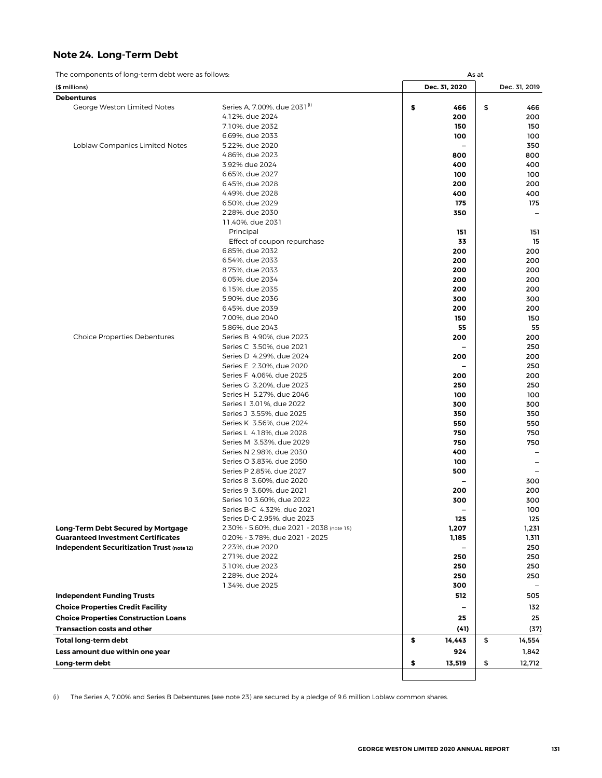## **Note 24. Long-Term Debt**

The components of long-term debt were as follows: As at a components of long-term debt were as follows:

| (\$ millions)                                                                          |                                                                        | Dec. 31, 2020            | Dec. 31, 2019 |
|----------------------------------------------------------------------------------------|------------------------------------------------------------------------|--------------------------|---------------|
| <b>Debentures</b>                                                                      |                                                                        |                          |               |
| George Weston Limited Notes                                                            | Series A, 7.00%, due 2031 <sup>(i)</sup>                               | \$<br>466                | \$<br>466     |
|                                                                                        | 4.12%, due 2024                                                        | 200                      | 200           |
|                                                                                        | 7.10%, due 2032                                                        | 150                      | 150           |
|                                                                                        | 6.69%, due 2033                                                        | 100                      | 100           |
| Loblaw Companies Limited Notes                                                         | 5.22%, due 2020                                                        |                          | 350           |
|                                                                                        | 4.86%, due 2023                                                        | 800                      | 800           |
|                                                                                        | 3.92% due 2024                                                         | 400                      | 400           |
|                                                                                        | 6.65%, due 2027                                                        | 100                      | 100           |
|                                                                                        | 6.45%, due 2028                                                        | 200                      | 200           |
|                                                                                        | 4.49%, due 2028                                                        | 400                      | 400           |
|                                                                                        | 6.50%, due 2029                                                        | 175                      | 175           |
|                                                                                        | 2.28%, due 2030                                                        | 350                      |               |
|                                                                                        | 11.40%, due 2031                                                       |                          |               |
|                                                                                        | Principal                                                              | 151                      | 151           |
|                                                                                        | Effect of coupon repurchase                                            | 33                       | 15            |
|                                                                                        | 6.85%, due 2032                                                        | 200                      | 200           |
|                                                                                        | 6.54%, due 2033                                                        | 200                      | 200           |
|                                                                                        | 8.75%, due 2033                                                        | 200                      | 200           |
|                                                                                        | 6.05%, due 2034                                                        | 200                      | 200           |
|                                                                                        | 6.15%, due 2035                                                        | 200                      | 200           |
|                                                                                        | 5.90%, due 2036                                                        | 300                      | 300           |
|                                                                                        | 6.45%, due 2039                                                        | 200                      | 200           |
|                                                                                        | 7.00%, due 2040                                                        | 150                      | 150           |
|                                                                                        | 5.86%, due 2043                                                        | 55                       | 55            |
| <b>Choice Properties Debentures</b>                                                    | Series B 4.90%, due 2023                                               | 200                      | 200           |
|                                                                                        | Series C 3.50%, due 2021                                               |                          | 250           |
|                                                                                        | Series D 4.29%, due 2024                                               | 200                      | 200           |
|                                                                                        | Series E 2.30%, due 2020                                               |                          | 250           |
|                                                                                        | Series F 4.06%, due 2025                                               | 200                      | 200           |
|                                                                                        | Series G 3.20%, due 2023                                               | 250                      | 250           |
|                                                                                        | Series H 5.27%, due 2046                                               | 100                      | 100           |
|                                                                                        | Series   3.01%, due 2022                                               | 300                      | 300           |
|                                                                                        | Series J 3.55%, due 2025                                               | 350                      | 350           |
|                                                                                        | Series K 3.56%, due 2024                                               | 550                      | 550           |
|                                                                                        | Series L 4.18%, due 2028                                               | 750                      | 750           |
|                                                                                        | Series M 3.53%, due 2029                                               | 750                      | 750           |
|                                                                                        | Series N 2.98%, due 2030                                               | 400                      |               |
|                                                                                        | Series O 3.83%, due 2050                                               | 100                      |               |
|                                                                                        | Series P 2.85%, due 2027                                               | 500                      |               |
|                                                                                        | Series 8 3.60%, due 2020                                               | $\overline{\phantom{0}}$ | 300           |
|                                                                                        | Series 9 3.60%, due 2021                                               | 200                      | 200           |
|                                                                                        | Series 10 3.60%, due 2022                                              | 300                      | 300           |
|                                                                                        | Series B-C 4.32%, due 2021                                             | $\overline{\phantom{0}}$ | 100           |
|                                                                                        | Series D-C 2.95%, due 2023<br>2.30% - 5.60%, due 2021 - 2038 (note 15) | 125                      | 125           |
| <b>Long-Term Debt Secured by Mortgage</b><br><b>Guaranteed Investment Certificates</b> | 0.20% - 3.78%, due 2021 - 2025                                         | 1,207<br>1,185           | 1,231         |
| Independent Securitization Trust (note 12)                                             | 2.23%, due 2020                                                        |                          | 1,311<br>250  |
|                                                                                        | 2.71%, due 2022                                                        | 250                      | 250           |
|                                                                                        | 3.10%, due 2023                                                        | 250                      | 250           |
|                                                                                        | 2.28%, due 2024                                                        | 250                      | 250           |
|                                                                                        | 1.34%, due 2025                                                        | 300                      |               |
|                                                                                        |                                                                        |                          |               |
| <b>Independent Funding Trusts</b>                                                      |                                                                        | 512                      | 505           |
| <b>Choice Properties Credit Facility</b>                                               |                                                                        |                          | 132           |
| <b>Choice Properties Construction Loans</b>                                            |                                                                        | 25                       | 25            |
| <b>Transaction costs and other</b>                                                     |                                                                        | (41)                     | (37)          |
| <b>Total long-term debt</b>                                                            |                                                                        | \$<br>14,443             | \$<br>14,554  |
| Less amount due within one year                                                        |                                                                        | 924                      | 1,842         |
| Long-term debt                                                                         |                                                                        | \$<br>13,519             | \$<br>12,712  |
|                                                                                        |                                                                        |                          |               |

(i) The Series A, 7.00% and Series B Debentures (see note 23) are secured by a pledge of 9.6 million Loblaw common shares.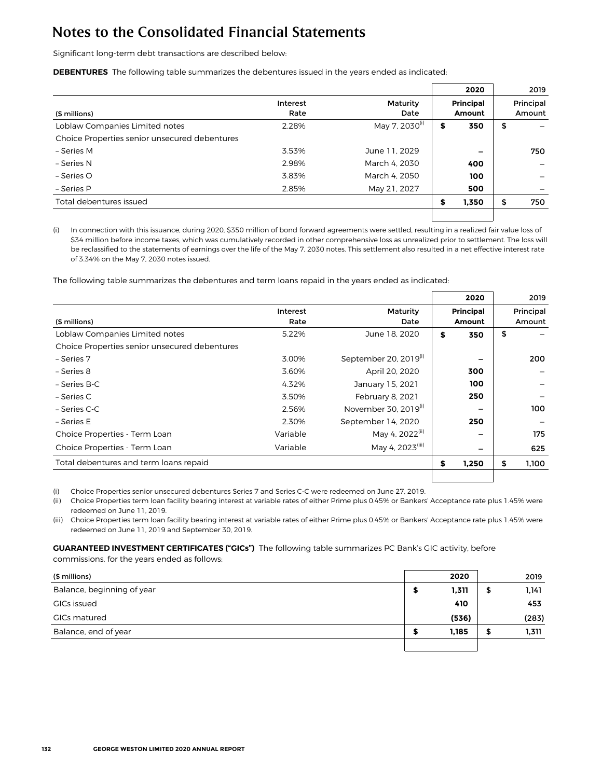Significant long-term debt transactions are described below:

**DEBENTURES** The following table summarizes the debentures issued in the years ended as indicated:

|                                               |          |                            |    | 2020             | 2019      |
|-----------------------------------------------|----------|----------------------------|----|------------------|-----------|
|                                               | Interest | Maturity                   |    | <b>Principal</b> | Principal |
| (\$ millions)                                 | Rate     | Date                       |    | Amount           | Amount    |
| Loblaw Companies Limited notes                | 2.28%    | May 7, 2030 <sup>(i)</sup> | \$ | 350              | \$        |
| Choice Properties senior unsecured debentures |          |                            |    |                  |           |
| - Series M                                    | 3.53%    | June 11, 2029              |    | -                | 750       |
| - Series N                                    | 2.98%    | March 4, 2030              |    | 400              |           |
| – Series O                                    | 3.83%    | March 4, 2050              |    | 100              |           |
| - Series P                                    | 2.85%    | May 21, 2027               |    | 500              |           |
| Total debentures issued                       |          |                            | s  | 1,350            | \$<br>750 |
|                                               |          |                            |    |                  |           |

(i) In connection with this issuance, during 2020, \$350 million of bond forward agreements were settled, resulting in a realized fair value loss of \$34 million before income taxes, which was cumulatively recorded in other comprehensive loss as unrealized prior to settlement. The loss will be reclassified to the statements of earnings over the life of the May 7, 2030 notes. This settlement also resulted in a net effective interest rate of 3.34% on the May 7, 2030 notes issued.

The following table summarizes the debentures and term loans repaid in the years ended as indicated:

|                                               |          |                                   | 2020             | 2019        |
|-----------------------------------------------|----------|-----------------------------------|------------------|-------------|
|                                               | Interest | Maturity                          | <b>Principal</b> | Principal   |
| (\$ millions)                                 | Rate     | Date                              | <b>Amount</b>    | Amount      |
| Loblaw Companies Limited notes                | 5.22%    | June 18, 2020                     | \$<br>350        | \$          |
| Choice Properties senior unsecured debentures |          |                                   |                  |             |
| - Series 7                                    | 3.00%    | September 20, 2019 <sup>(1)</sup> |                  | 200         |
| - Series 8                                    | 3.60%    | April 20, 2020                    | 300              |             |
| – Series B-C                                  | 4.32%    | January 15, 2021                  | 100              |             |
| – Series C                                    | 3.50%    | February 8, 2021                  | 250              |             |
| – Series C-C                                  | 2.56%    | November 30, $2019^{(i)}$         |                  | 100         |
| – Series E                                    | 2.30%    | September 14, 2020                | 250              |             |
| Choice Properties - Term Loan                 | Variable | May 4, 2022 <sup>(ii)</sup>       |                  | 175         |
| Choice Properties - Term Loan                 | Variable | May 4, 2023 <sup>(iii)</sup>      |                  | 625         |
| Total debentures and term loans repaid        |          |                                   | \$<br>1,250      | \$<br>1,100 |
|                                               |          |                                   |                  |             |

(i) Choice Properties senior unsecured debentures Series 7 and Series C-C were redeemed on June 27, 2019.

(ii) Choice Properties term loan facility bearing interest at variable rates of either Prime plus 0.45% or Bankers' Acceptance rate plus 1.45% were redeemed on June 11, 2019.

(iii) Choice Properties term loan facility bearing interest at variable rates of either Prime plus 0.45% or Bankers' Acceptance rate plus 1.45% were redeemed on June 11, 2019 and September 30, 2019.

## **GUARANTEED INVESTMENT CERTIFICATES ("GICs")** The following table summarizes PC Bank's GIC activity, before

commissions, for the years ended as follows:

| (\$ millions)              |     | 2020  |   | 2019  |
|----------------------------|-----|-------|---|-------|
| Balance, beginning of year |     | 1,311 | Ð | 1,141 |
| GICs issued                |     | 410   |   | 453   |
| <b>GICs matured</b>        |     | (536) |   | (283) |
| Balance, end of year       | -20 | 1,185 | Ф | 1,311 |
|                            |     |       |   |       |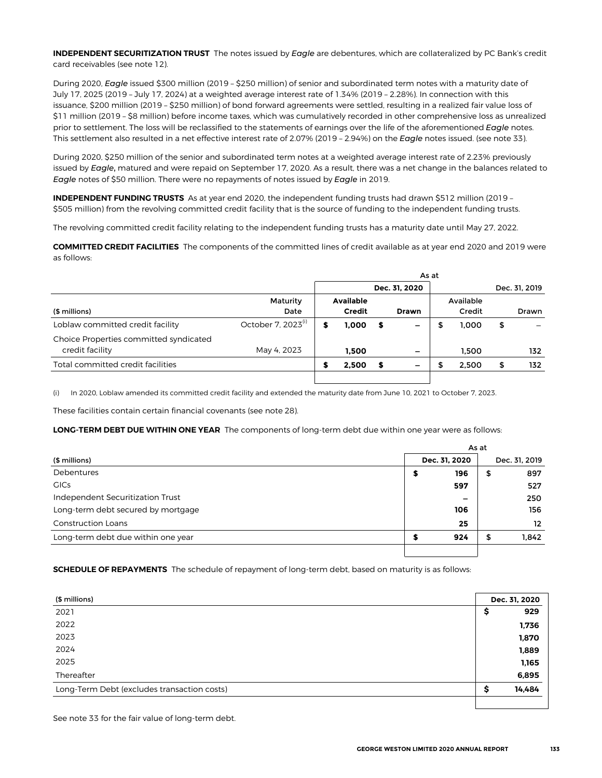**INDEPENDENT SECURITIZATION TRUST** The notes issued by *Eagle* are debentures, which are collateralized by PC Bank's credit card receivables (see note 12).

During 2020, *Eagle* issued \$300 million (2019 – \$250 million) of senior and subordinated term notes with a maturity date of July 17, 2025 (2019 – July 17, 2024) at a weighted average interest rate of 1.34% (2019 – 2.28%). In connection with this issuance, \$200 million (2019 – \$250 million) of bond forward agreements were settled, resulting in a realized fair value loss of \$11 million (2019 – \$8 million) before income taxes, which was cumulatively recorded in other comprehensive loss as unrealized prior to settlement. The loss will be reclassified to the statements of earnings over the life of the aforementioned *Eagle* notes. This settlement also resulted in a net effective interest rate of 2.07% (2019 – 2.94%) on the *Eagle* notes issued. (see note 33).

During 2020, \$250 million of the senior and subordinated term notes at a weighted average interest rate of 2.23% previously issued by *Eagle*, matured and were repaid on September 17, 2020. As a result, there was a net change in the balances related to *Eagle* notes of \$50 million. There were no repayments of notes issued by *Eagle* in 2019.

**INDEPENDENT FUNDING TRUSTS** As at year end 2020, the independent funding trusts had drawn \$512 million (2019 – \$505 million) from the revolving committed credit facility that is the source of funding to the independent funding trusts.

The revolving committed credit facility relating to the independent funding trusts has a maturity date until May 27, 2022.

**COMMITTED CREDIT FACILITIES** The components of the committed lines of credit available as at year end 2020 and 2019 were as follows:

|                                        |                                | As at |                  |   |               |  |           |               |
|----------------------------------------|--------------------------------|-------|------------------|---|---------------|--|-----------|---------------|
|                                        |                                |       |                  |   | Dec. 31, 2020 |  |           | Dec. 31, 2019 |
|                                        | Maturity                       |       | <b>Available</b> |   |               |  | Available |               |
| (\$ millions)                          | Date                           |       | <b>Credit</b>    |   | <b>Drawn</b>  |  | Credit    | <b>Drawn</b>  |
| Loblaw committed credit facility       | October 7, 2023 <sup>(i)</sup> | S     | 1.000            | S |               |  | 1.000     | \$            |
| Choice Properties committed syndicated |                                |       |                  |   |               |  |           |               |
| credit facility                        | May 4, 2023                    |       | 1.500            |   | -             |  | 1.500     | 132           |
| Total committed credit facilities      |                                |       | 2,500            | S |               |  | 2.500     | \$<br>132     |
|                                        |                                |       |                  |   |               |  |           |               |

(i) In 2020, Loblaw amended its committed credit facility and extended the maturity date from June 10, 2021 to October 7, 2023.

These facilities contain certain financial covenants (see note 28).

**LONG-TERM DEBT DUE WITHIN ONE YEAR** The components of long-term debt due within one year were as follows:

|                                    | As at |               |               |                   |  |  |
|------------------------------------|-------|---------------|---------------|-------------------|--|--|
| (\$ millions)                      |       | Dec. 31, 2020 | Dec. 31, 2019 |                   |  |  |
| Debentures                         | э     | 196           | \$            | 897               |  |  |
| <b>GICs</b>                        |       | 597           |               | 527               |  |  |
| Independent Securitization Trust   |       | -             |               | 250               |  |  |
| Long-term debt secured by mortgage |       | 106           |               | 156               |  |  |
| <b>Construction Loans</b>          |       | 25            |               | $12 \overline{ }$ |  |  |
| Long-term debt due within one year |       | 924           | \$            | 1,842             |  |  |
|                                    |       |               |               |                   |  |  |

**SCHEDULE OF REPAYMENTS** The schedule of repayment of long-term debt, based on maturity is as follows:

| (\$ millions)                               | Dec. 31, 2020 |        |
|---------------------------------------------|---------------|--------|
| 2021                                        | Ş             | 929    |
| 2022                                        |               | 1,736  |
| 2023                                        |               | 1,870  |
| 2024                                        |               | 1,889  |
| 2025                                        |               | 1,165  |
| Thereafter                                  |               | 6,895  |
| Long-Term Debt (excludes transaction costs) | S             | 14,484 |
|                                             |               |        |

See note 33 for the fair value of long-term debt.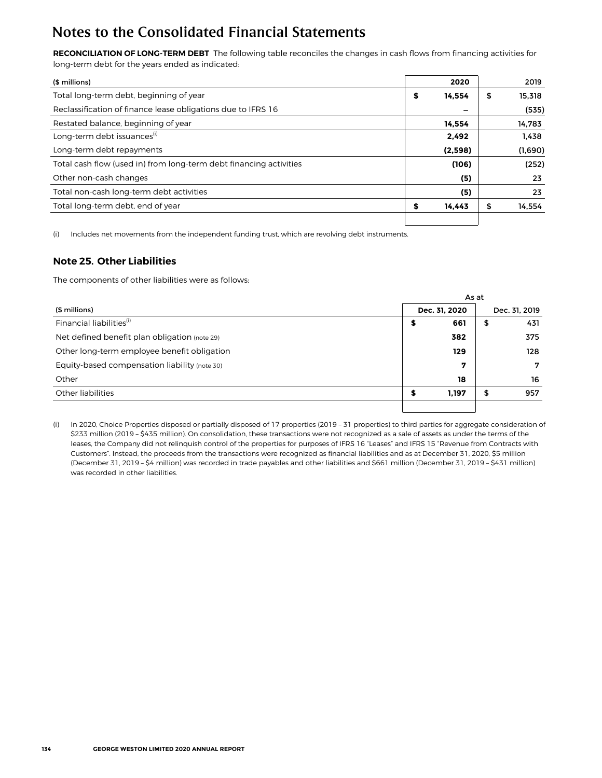**RECONCILIATION OF LONG-TERM DEBT** The following table reconciles the changes in cash flows from financing activities for long-term debt for the years ended as indicated:

| (\$ millions)                                                      |   | 2020    | 2019         |
|--------------------------------------------------------------------|---|---------|--------------|
| Total long-term debt, beginning of year                            | S | 14.554  | \$<br>15.318 |
| Reclassification of finance lease obligations due to IFRS 16       |   | -       | (535)        |
| Restated balance, beginning of year                                |   | 14.554  | 14.783       |
| Long-term debt issuances <sup>(1)</sup>                            |   | 2,492   | 1.438        |
| Long-term debt repayments                                          |   | (2,598) | (1,690)      |
| Total cash flow (used in) from long-term debt financing activities |   | (106)   | (252)        |
| Other non-cash changes                                             |   | (5)     | 23           |
| Total non-cash long-term debt activities                           |   | (5)     | 23           |
| Total long-term debt, end of year                                  |   | 14.443  | \$<br>14,554 |
|                                                                    |   |         |              |

(i) Includes net movements from the independent funding trust, which are revolving debt instruments.

### **Note 25. Other Liabilities**

The components of other liabilities were as follows:

|                                               | As at |               |               |     |  |  |  |
|-----------------------------------------------|-------|---------------|---------------|-----|--|--|--|
| (\$ millions)                                 |       | Dec. 31, 2020 | Dec. 31, 2019 |     |  |  |  |
| Financial liabilities <sup>(i)</sup>          | \$    | 661           | \$            | 431 |  |  |  |
| Net defined benefit plan obligation (note 29) |       | 382           |               | 375 |  |  |  |
| Other long-term employee benefit obligation   |       | 129           |               | 128 |  |  |  |
| Equity-based compensation liability (note 30) |       | 7             |               | 7   |  |  |  |
| Other                                         |       | 18            |               | 16  |  |  |  |
| Other liabilities                             | S     | 1.197         | \$            | 957 |  |  |  |
|                                               |       |               |               |     |  |  |  |

(i) In 2020, Choice Properties disposed or partially disposed of 17 properties (2019 – 31 properties) to third parties for aggregate consideration of \$233 million (2019 – \$435 million). On consolidation, these transactions were not recognized as a sale of assets as under the terms of the leases, the Company did not relinquish control of the properties for purposes of IFRS 16 "Leases" and IFRS 15 "Revenue from Contracts with Customers". Instead, the proceeds from the transactions were recognized as financial liabilities and as at December 31, 2020, \$5 million (December 31, 2019 – \$4 million) was recorded in trade payables and other liabilities and \$661 million (December 31, 2019 – \$431 million) was recorded in other liabilities.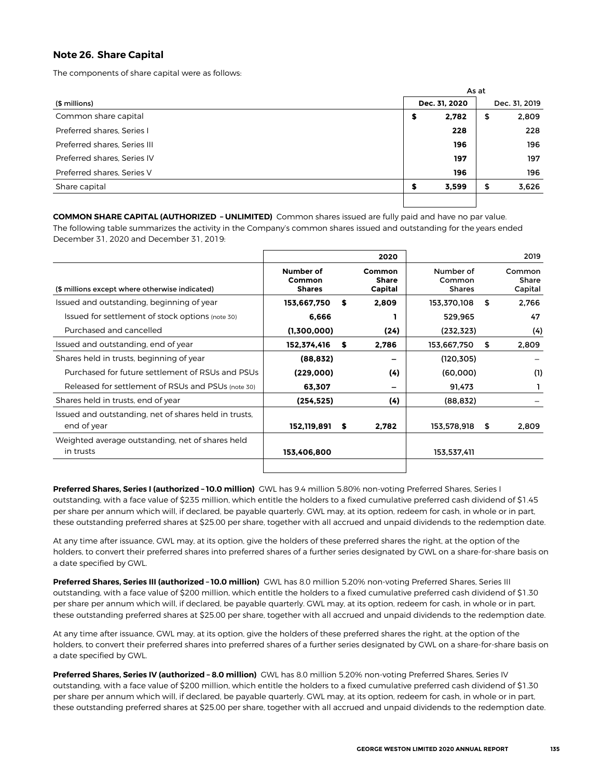## **Note 26. Share Capital**

The components of share capital were as follows:

|                              | As at         |    |               |  |  |  |
|------------------------------|---------------|----|---------------|--|--|--|
| (\$ millions)                | Dec. 31, 2020 |    | Dec. 31, 2019 |  |  |  |
| Common share capital         | 2,782<br>\$   | \$ | 2,809         |  |  |  |
| Preferred shares. Series I   | 228           |    | 228           |  |  |  |
| Preferred shares, Series III | 196           |    | 196           |  |  |  |
| Preferred shares, Series IV  | 197           |    | 197           |  |  |  |
| Preferred shares, Series V   | 196           |    | 196           |  |  |  |
| Share capital                | 3,599<br>S    | \$ | 3,626         |  |  |  |
|                              |               |    |               |  |  |  |

**COMMON SHARE CAPITAL (AUTHORIZED – UNLIMITED)** Common shares issued are fully paid and have no par value. The following table summarizes the activity in the Company's common shares issued and outstanding for the years ended December 31, 2020 and December 31, 2019:

|                                                                      |                                      |    | 2020                       |                                      | 2019                       |
|----------------------------------------------------------------------|--------------------------------------|----|----------------------------|--------------------------------------|----------------------------|
| (\$ millions except where otherwise indicated)                       | Number of<br>Common<br><b>Shares</b> |    | Common<br>Share<br>Capital | Number of<br>Common<br><b>Shares</b> | Common<br>Share<br>Capital |
| Issued and outstanding, beginning of year                            | 153,667,750                          | S  | 2,809                      | 153,370,108                          | \$<br>2,766                |
| Issued for settlement of stock options (note 30)                     | 6.666                                |    |                            | 529,965                              | 47                         |
| Purchased and cancelled                                              | (1,300,000)                          |    | (24)                       | (232, 323)                           | (4)                        |
| Issued and outstanding, end of year                                  | 152,374,416                          | \$ | 2,786                      | 153,667,750                          | \$<br>2,809                |
| Shares held in trusts, beginning of year                             | (88, 832)                            |    |                            | (120, 305)                           |                            |
| Purchased for future settlement of RSUs and PSUs                     | (229,000)                            |    | (4)                        | (60,000)                             | (1)                        |
| Released for settlement of RSUs and PSUs (note 30)                   | 63,307                               |    | -                          | 91,473                               |                            |
| Shares held in trusts, end of year                                   | (254, 525)                           |    | (4)                        | (88, 832)                            |                            |
| Issued and outstanding, net of shares held in trusts,<br>end of year | 152,119,891                          | s  | 2,782                      | 153,578,918                          | \$<br>2,809                |
| Weighted average outstanding, net of shares held<br>in trusts        | 153,406,800                          |    |                            | 153,537,411                          |                            |
|                                                                      |                                      |    |                            |                                      |                            |

**Preferred Shares, Series I (authorized – 10.0 million)** GWL has 9.4 million 5.80% non-voting Preferred Shares, Series I outstanding, with a face value of \$235 million, which entitle the holders to a fixed cumulative preferred cash dividend of \$1.45 per share per annum which will, if declared, be payable quarterly. GWL may, at its option, redeem for cash, in whole or in part, these outstanding preferred shares at \$25.00 per share, together with all accrued and unpaid dividends to the redemption date.

At any time after issuance, GWL may, at its option, give the holders of these preferred shares the right, at the option of the holders, to convert their preferred shares into preferred shares of a further series designated by GWL on a share-for-share basis on a date specified by GWL.

**Preferred Shares, Series III (authorized – 10.0 million)** GWL has 8.0 million 5.20% non-voting Preferred Shares, Series III outstanding, with a face value of \$200 million, which entitle the holders to a fixed cumulative preferred cash dividend of \$1.30 per share per annum which will, if declared, be payable quarterly. GWL may, at its option, redeem for cash, in whole or in part, these outstanding preferred shares at \$25.00 per share, together with all accrued and unpaid dividends to the redemption date.

At any time after issuance, GWL may, at its option, give the holders of these preferred shares the right, at the option of the holders, to convert their preferred shares into preferred shares of a further series designated by GWL on a share-for-share basis on a date specified by GWL.

**Preferred Shares, Series IV (authorized – 8.0 million)** GWL has 8.0 million 5.20% non-voting Preferred Shares, Series IV outstanding, with a face value of \$200 million, which entitle the holders to a fixed cumulative preferred cash dividend of \$1.30 per share per annum which will, if declared, be payable quarterly. GWL may, at its option, redeem for cash, in whole or in part, these outstanding preferred shares at \$25.00 per share, together with all accrued and unpaid dividends to the redemption date.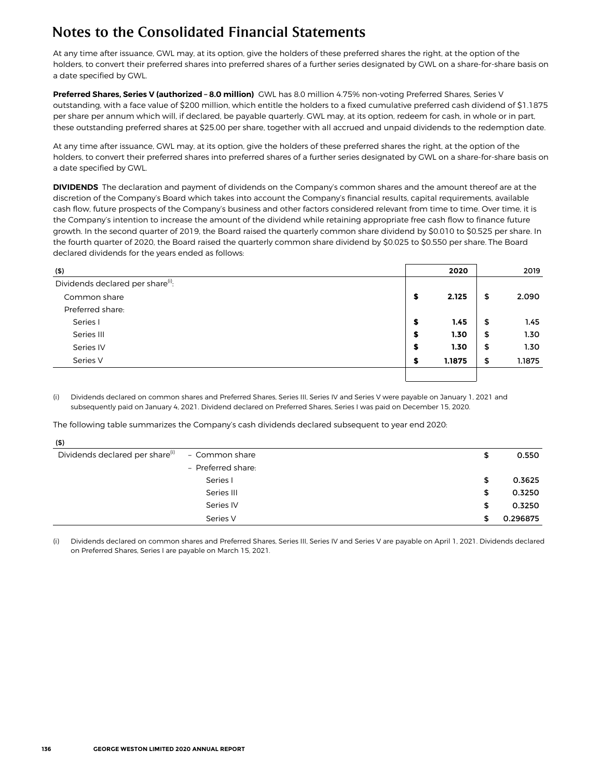At any time after issuance, GWL may, at its option, give the holders of these preferred shares the right, at the option of the holders, to convert their preferred shares into preferred shares of a further series designated by GWL on a share-for-share basis on a date specified by GWL.

**Preferred Shares, Series V (authorized – 8.0 million)** GWL has 8.0 million 4.75% non-voting Preferred Shares, Series V outstanding, with a face value of \$200 million, which entitle the holders to a fixed cumulative preferred cash dividend of \$1.1875 per share per annum which will, if declared, be payable quarterly. GWL may, at its option, redeem for cash, in whole or in part, these outstanding preferred shares at \$25.00 per share, together with all accrued and unpaid dividends to the redemption date.

At any time after issuance, GWL may, at its option, give the holders of these preferred shares the right, at the option of the holders, to convert their preferred shares into preferred shares of a further series designated by GWL on a share-for-share basis on a date specified by GWL.

**DIVIDENDS** The declaration and payment of dividends on the Company's common shares and the amount thereof are at the discretion of the Company's Board which takes into account the Company's financial results, capital requirements, available cash flow, future prospects of the Company's business and other factors considered relevant from time to time. Over time, it is the Company's intention to increase the amount of the dividend while retaining appropriate free cash flow to finance future growth. In the second quarter of 2019, the Board raised the quarterly common share dividend by \$0.010 to \$0.525 per share. In the fourth quarter of 2020, the Board raised the quarterly common share dividend by \$0.025 to \$0.550 per share. The Board declared dividends for the years ended as follows:

| (5)                                           |    | 2020   | 2019         |
|-----------------------------------------------|----|--------|--------------|
| Dividends declared per share <sup>(i)</sup> : |    |        |              |
| Common share                                  | \$ | 2.125  | \$<br>2.090  |
| Preferred share:                              |    |        |              |
| Series I                                      | \$ | 1.45   | \$<br>1.45   |
| Series III                                    | \$ | 1.30   | \$<br>1.30   |
| Series IV                                     | S  | 1.30   | \$<br>1.30   |
| Series V                                      | e  | 1.1875 | \$<br>1.1875 |
|                                               |    |        |              |

(i) Dividends declared on common shares and Preferred Shares, Series III, Series IV and Series V were payable on January 1, 2021 and subsequently paid on January 4, 2021. Dividend declared on Preferred Shares, Series I was paid on December 15, 2020.

The following table summarizes the Company's cash dividends declared subsequent to year end **2020:**

| - Common share     | \$ | 0.550    |
|--------------------|----|----------|
| - Preferred share: |    |          |
| Series I           | \$ | 0.3625   |
| Series III         | \$ | 0.3250   |
| Series IV          | \$ | 0.3250   |
| Series V           | S  | 0.296875 |
|                    |    |          |

(i) Dividends declared on common shares and Preferred Shares, Series III, Series IV and Series V are payable on April 1, 2021. Dividends declared on Preferred Shares, Series I are payable on March 15, 2021.

 $\sim$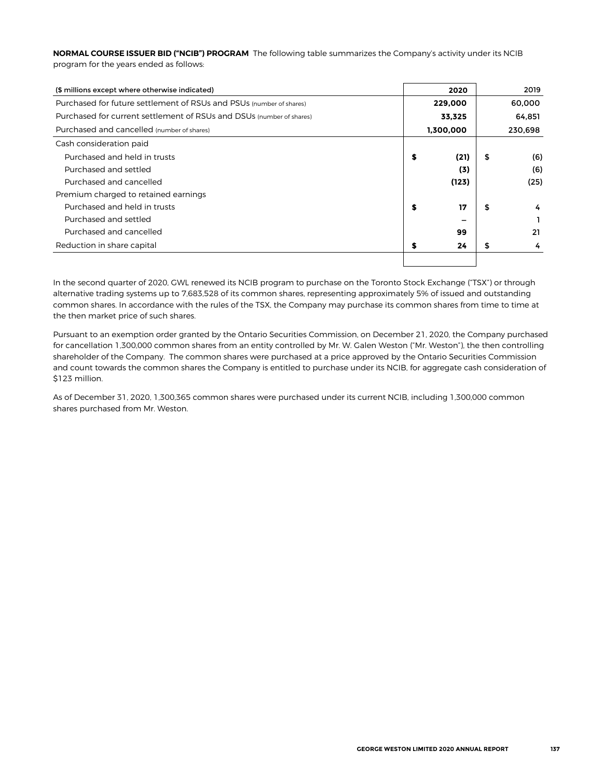**NORMAL COURSE ISSUER BID ("NCIB") PROGRAM** The following table summarizes the Company's activity under its NCIB program for the years ended as follows:

| (\$ millions except where otherwise indicated)                       | 2020       | 2019      |
|----------------------------------------------------------------------|------------|-----------|
| Purchased for future settlement of RSUs and PSUs (number of shares)  | 229,000    | 60,000    |
| Purchased for current settlement of RSUs and DSUs (number of shares) | 33.325     | 64.851    |
| Purchased and cancelled (number of shares)                           | 1,300,000  | 230,698   |
| Cash consideration paid                                              |            |           |
| Purchased and held in trusts                                         | \$<br>(21) | \$<br>(6) |
| Purchased and settled                                                | (3)        | (6)       |
| Purchased and cancelled                                              | (123)      | (25)      |
| Premium charged to retained earnings                                 |            |           |
| Purchased and held in trusts                                         | \$<br>17   | \$<br>4   |
| Purchased and settled                                                |            |           |
| Purchased and cancelled                                              | 99         | 21        |
| Reduction in share capital                                           | \$<br>24   | \$<br>4   |
|                                                                      |            |           |

In the second quarter of 2020, GWL renewed its NCIB program to purchase on the Toronto Stock Exchange ("TSX") or through alternative trading systems up to 7,683,528 of its common shares, representing approximately 5% of issued and outstanding common shares. In accordance with the rules of the TSX, the Company may purchase its common shares from time to time at the then market price of such shares.

Pursuant to an exemption order granted by the Ontario Securities Commission, on December 21, 2020, the Company purchased for cancellation 1,300,000 common shares from an entity controlled by Mr. W. Galen Weston ("Mr. Weston"), the then controlling shareholder of the Company. The common shares were purchased at a price approved by the Ontario Securities Commission and count towards the common shares the Company is entitled to purchase under its NCIB, for aggregate cash consideration of \$123 million.

As of December 31, 2020, 1,300,365 common shares were purchased under its current NCIB, including 1,300,000 common shares purchased from Mr. Weston.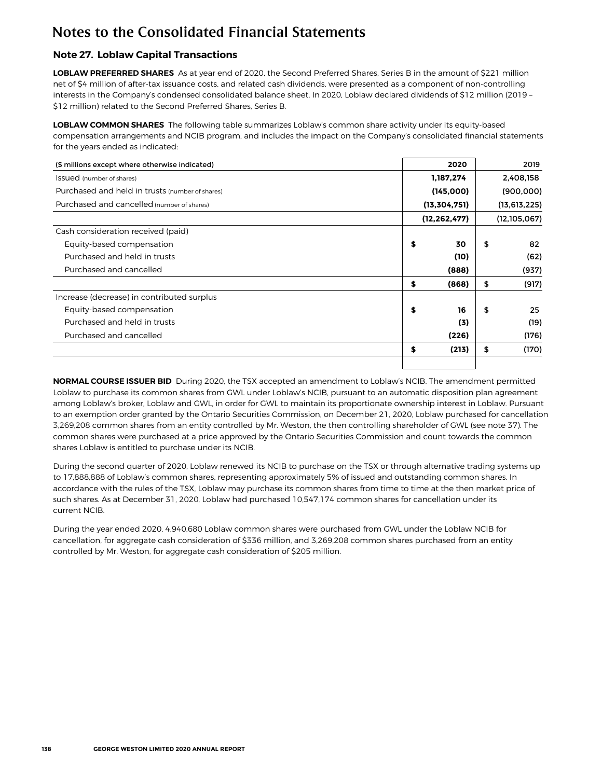## **Note 27. Loblaw Capital Transactions**

LOBLAW PREFERRED SHARES As at year end of 2020, the Second Preferred Shares, Series B in the amount of \$221 million net of \$4 million of after-tax issuance costs, and related cash dividends, were presented as a component of non-controlling interests in the Company's condensed consolidated balance sheet. In 2020, Loblaw declared dividends of \$12 million (2019 – \$12 million) related to the Second Preferred Shares, Series B.

**LOBLAW COMMON SHARES** The following table summarizes Loblaw's common share activity under its equity-based compensation arrangements and NCIB program, and includes the impact on the Company's consolidated financial statements for the years ended as indicated:

| (\$ millions except where otherwise indicated)  | 2020           | 2019           |
|-------------------------------------------------|----------------|----------------|
| <b>Issued</b> (number of shares)                | 1,187,274      | 2,408,158      |
| Purchased and held in trusts (number of shares) | (145,000)      | (900,000)      |
| Purchased and cancelled (number of shares)      | (13, 304, 751) | (13, 613, 225) |
|                                                 | (12, 262, 477) | (12, 105, 067) |
| Cash consideration received (paid)              |                |                |
| Equity-based compensation                       | \$<br>30       | \$<br>82       |
| Purchased and held in trusts                    | (10)           | (62)           |
| Purchased and cancelled                         | (888)          | (937)          |
|                                                 | (868)<br>\$    | \$<br>(917)    |
| Increase (decrease) in contributed surplus      |                |                |
| Equity-based compensation                       | S<br>16        | \$<br>25       |
| Purchased and held in trusts                    | (3)            | (19)           |
| Purchased and cancelled                         | (226)          | (176)          |
|                                                 | (213)<br>\$    | \$<br>(170)    |
|                                                 |                |                |

**NORMAL COURSE ISSUER BID** During 2020, the TSX accepted an amendment to Loblaw's NCIB. The amendment permitted Loblaw to purchase its common shares from GWL under Loblaw's NCIB, pursuant to an automatic disposition plan agreement among Loblaw's broker, Loblaw and GWL, in order for GWL to maintain its proportionate ownership interest in Loblaw. Pursuant to an exemption order granted by the Ontario Securities Commission, on December 21, 2020, Loblaw purchased for cancellation 3,269,208 common shares from an entity controlled by Mr. Weston, the then controlling shareholder of GWL (see note 37). The common shares were purchased at a price approved by the Ontario Securities Commission and count towards the common shares Loblaw is entitled to purchase under its NCIB.

During the second quarter of 2020, Loblaw renewed its NCIB to purchase on the TSX or through alternative trading systems up to 17,888,888 of Loblaw's common shares, representing approximately 5% of issued and outstanding common shares. In accordance with the rules of the TSX, Loblaw may purchase its common shares from time to time at the then market price of such shares. As at December 31, 2020, Loblaw had purchased 10,547,174 common shares for cancellation under its current NCIB.

During the year ended 2020, 4,940,680 Loblaw common shares were purchased from GWL under the Loblaw NCIB for cancellation, for aggregate cash consideration of \$336 million, and 3,269,208 common shares purchased from an entity controlled by Mr. Weston, for aggregate cash consideration of \$205 million.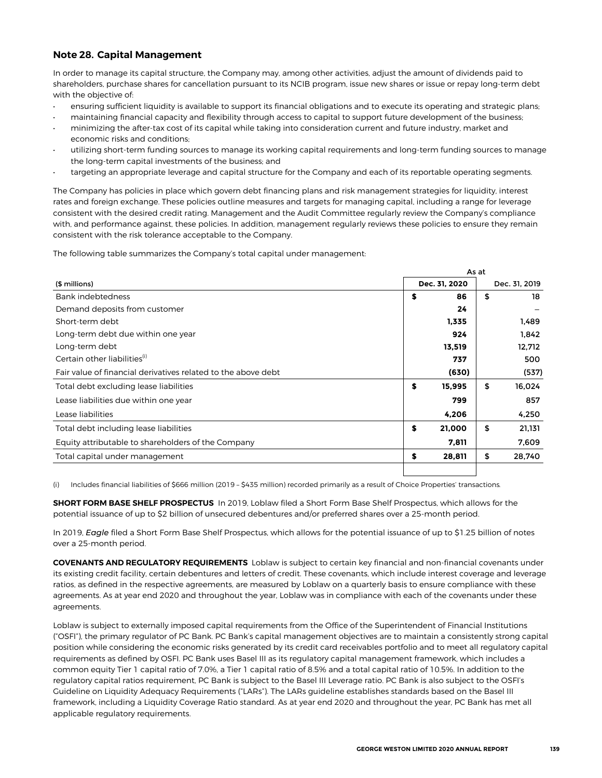## **Note 28. Capital Management**

In order to manage its capital structure, the Company may, among other activities, adjust the amount of dividends paid to shareholders, purchase shares for cancellation pursuant to its NCIB program, issue new shares or issue or repay long-term debt with the objective of:

- ensuring sufficient liquidity is available to support its financial obligations and to execute its operating and strategic plans;
- maintaining financial capacity and flexibility through access to capital to support future development of the business; • minimizing the after-tax cost of its capital while taking into consideration current and future industry, market and economic risks and conditions;
- utilizing short-term funding sources to manage its working capital requirements and long-term funding sources to manage the long-term capital investments of the business; and
- targeting an appropriate leverage and capital structure for the Company and each of its reportable operating segments.

The Company has policies in place which govern debt financing plans and risk management strategies for liquidity, interest rates and foreign exchange. These policies outline measures and targets for managing capital, including a range for leverage consistent with the desired credit rating. Management and the Audit Committee regularly review the Company's compliance with, and performance against, these policies. In addition, management regularly reviews these policies to ensure they remain consistent with the risk tolerance acceptable to the Company.

The following table summarizes the Company's total capital under management:

|                                                               | As at         |        |               |        |  |  |  |  |  |
|---------------------------------------------------------------|---------------|--------|---------------|--------|--|--|--|--|--|
| (\$ millions)                                                 | Dec. 31, 2020 |        | Dec. 31, 2019 |        |  |  |  |  |  |
| Bank indebtedness                                             | \$            | 86     | \$            | 18     |  |  |  |  |  |
| Demand deposits from customer                                 |               | 24     |               |        |  |  |  |  |  |
| Short-term debt                                               |               | 1,335  |               | 1,489  |  |  |  |  |  |
| Long-term debt due within one year                            |               | 924    |               | 1,842  |  |  |  |  |  |
| Long-term debt                                                |               | 13,519 |               | 12,712 |  |  |  |  |  |
| Certain other liabilities <sup>(i)</sup>                      |               | 737    |               | 500    |  |  |  |  |  |
| Fair value of financial derivatives related to the above debt |               | (630)  |               | (537)  |  |  |  |  |  |
| Total debt excluding lease liabilities                        | \$            | 15,995 | \$            | 16,024 |  |  |  |  |  |
| Lease liabilities due within one year                         |               | 799    |               | 857    |  |  |  |  |  |
| Lease liabilities                                             |               | 4,206  |               | 4,250  |  |  |  |  |  |
| Total debt including lease liabilities                        | \$            | 21,000 | \$            | 21,131 |  |  |  |  |  |
| Equity attributable to shareholders of the Company            |               | 7,811  |               | 7,609  |  |  |  |  |  |
| Total capital under management                                | \$            | 28,811 | \$            | 28,740 |  |  |  |  |  |
|                                                               |               |        |               |        |  |  |  |  |  |

Includes financial liabilities of \$666 million (2019 - \$435 million) recorded primarily as a result of Choice Properties' transactions.

**SHORT FORM BASE SHELF PROSPECTUS** In 2019, Loblaw filed a Short Form Base Shelf Prospectus, which allows for the potential issuance of up to \$2 billion of unsecured debentures and/or preferred shares over a 25-month period.

In 2019, *Eagle* filed a Short Form Base Shelf Prospectus, which allows for the potential issuance of up to \$1.25 billion of notes over a 25-month period.

**COVENANTS AND REGULATORY REQUIREMENTS** Loblaw is subject to certain key financial and non-financial covenants under its existing credit facility, certain debentures and letters of credit. These covenants, which include interest coverage and leverage ratios, as defined in the respective agreements, are measured by Loblaw on a quarterly basis to ensure compliance with these agreements. As at year end 2020 and throughout the year, Loblaw was in compliance with each of the covenants under these agreements.

Loblaw is subject to externally imposed capital requirements from the Office of the Superintendent of Financial Institutions ("OSFI"), the primary regulator of PC Bank. PC Bank's capital management objectives are to maintain a consistently strong capital position while considering the economic risks generated by its credit card receivables portfolio and to meet all regulatory capital requirements as defined by OSFI. PC Bank uses Basel III as its regulatory capital management framework, which includes a common equity Tier 1 capital ratio of 7.0%, a Tier 1 capital ratio of 8.5% and a total capital ratio of 10.5%. In addition to the regulatory capital ratios requirement, PC Bank is subject to the Basel III Leverage ratio. PC Bank is also subject to the OSFI's Guideline on Liquidity Adequacy Requirements ("LARs"). The LARs guideline establishes standards based on the Basel III framework, including a Liquidity Coverage Ratio standard. As at year end 2020 and throughout the year, PC Bank has met all applicable regulatory requirements.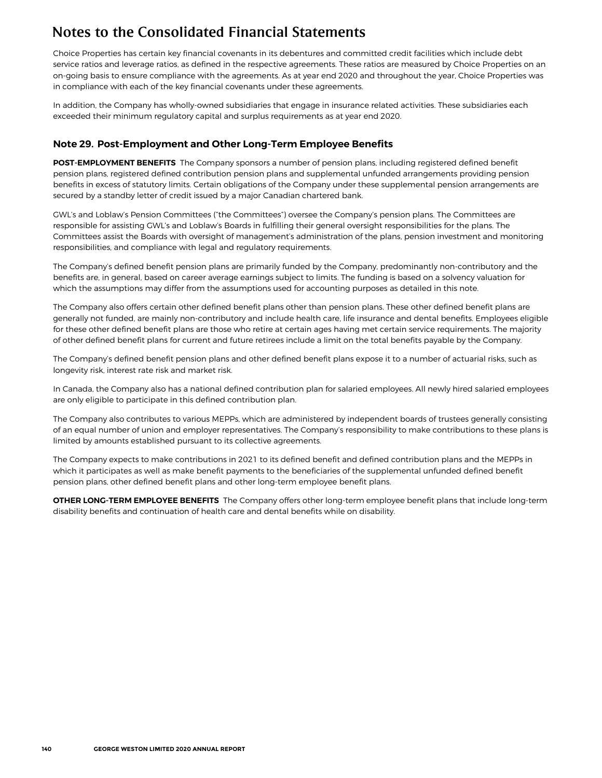Choice Properties has certain key financial covenants in its debentures and committed credit facilities which include debt service ratios and leverage ratios, as defined in the respective agreements. These ratios are measured by Choice Properties on an on-going basis to ensure compliance with the agreements. As at year end 2020 and throughout the year, Choice Properties was in compliance with each of the key financial covenants under these agreements.

In addition, the Company has wholly-owned subsidiaries that engage in insurance related activities. These subsidiaries each exceeded their minimum regulatory capital and surplus requirements as at year end 2020.

### **Note 29. Post-Employment and Other Long-Term Employee Benefits**

**POST-EMPLOYMENT BENEFITS** The Company sponsors a number of pension plans, including registered defined benefit pension plans, registered defined contribution pension plans and supplemental unfunded arrangements providing pension benefits in excess of statutory limits. Certain obligations of the Company under these supplemental pension arrangements are secured by a standby letter of credit issued by a major Canadian chartered bank.

GWL's and Loblaw's Pension Committees ("the Committees") oversee the Company's pension plans. The Committees are responsible for assisting GWL's and Loblaw's Boards in fulfilling their general oversight responsibilities for the plans. The Committees assist the Boards with oversight of management's administration of the plans, pension investment and monitoring responsibilities, and compliance with legal and regulatory requirements.

The Company's defined benefit pension plans are primarily funded by the Company, predominantly non-contributory and the benefits are, in general, based on career average earnings subject to limits. The funding is based on a solvency valuation for which the assumptions may differ from the assumptions used for accounting purposes as detailed in this note.

The Company also offers certain other defined benefit plans other than pension plans. These other defined benefit plans are generally not funded, are mainly non-contributory and include health care, life insurance and dental benefits. Employees eligible for these other defined benefit plans are those who retire at certain ages having met certain service requirements. The majority of other defined benefit plans for current and future retirees include a limit on the total benefits payable by the Company.

The Company's defined benefit pension plans and other defined benefit plans expose it to a number of actuarial risks, such as longevity risk, interest rate risk and market risk.

In Canada, the Company also has a national defined contribution plan for salaried employees. All newly hired salaried employees are only eligible to participate in this defined contribution plan.

The Company also contributes to various MEPPs, which are administered by independent boards of trustees generally consisting of an equal number of union and employer representatives. The Company's responsibility to make contributions to these plans is limited by amounts established pursuant to its collective agreements.

The Company expects to make contributions in 2021 to its defined benefit and defined contribution plans and the MEPPs in which it participates as well as make benefit payments to the beneficiaries of the supplemental unfunded defined benefit pension plans, other defined benefit plans and other long-term employee benefit plans.

**OTHER LONG-TERM EMPLOYEE BENEFITS** The Company offers other long-term employee benefit plans that include long-term disability benefits and continuation of health care and dental benefits while on disability.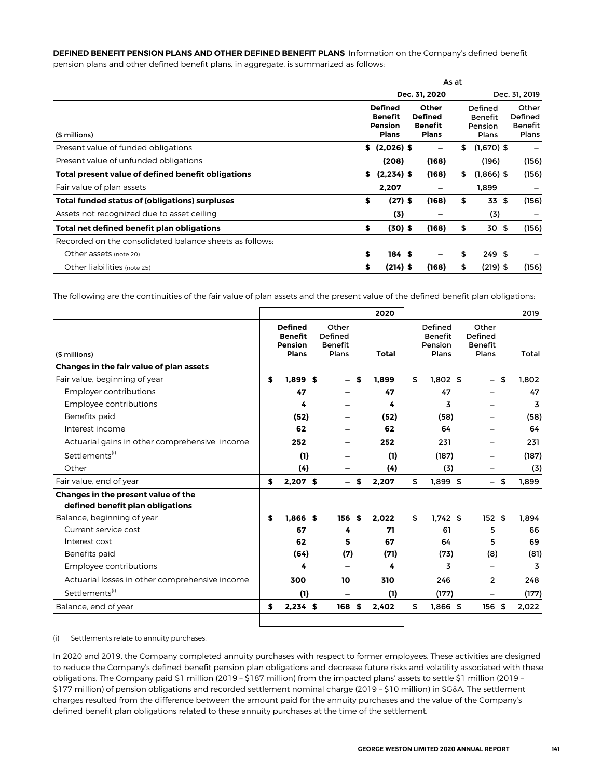**DEFINED BENEFIT PENSION PLANS AND OTHER DEFINED BENEFIT PLANS** Information on the Company's defined benefit pension plans and other defined benefit plans, in aggregate, is summarized as follows:

|                                                         |    |                                                                    |                                                           | As at |                                               |                                      |
|---------------------------------------------------------|----|--------------------------------------------------------------------|-----------------------------------------------------------|-------|-----------------------------------------------|--------------------------------------|
|                                                         |    |                                                                    | Dec. 31, 2020                                             |       |                                               | Dec. 31, 2019                        |
| (\$ millions)                                           |    | <b>Defined</b><br><b>Benefit</b><br><b>Pension</b><br><b>Plans</b> | Other<br><b>Defined</b><br><b>Benefit</b><br><b>Plans</b> |       | Defined<br><b>Benefit</b><br>Pension<br>Plans | Other<br>Defined<br>Benefit<br>Plans |
| Present value of funded obligations                     |    | \$ (2,026) \$                                                      |                                                           | \$    | $(1,670)$ \$                                  |                                      |
| Present value of unfunded obligations                   |    | (208)                                                              | (168)                                                     |       | (196)                                         | (156)                                |
| Total present value of defined benefit obligations      | S. | $(2,234)$ \$                                                       | (168)                                                     | \$    | $(1,866)$ \$                                  | (156)                                |
| Fair value of plan assets                               |    | 2,207                                                              |                                                           |       | 1,899                                         |                                      |
| Total funded status of (obligations) surpluses          | \$ | $(27)$ \$                                                          | (168)                                                     | \$    | 33 \$                                         | (156)                                |
| Assets not recognized due to asset ceiling              |    | (3)                                                                |                                                           |       | (3)                                           |                                      |
| Total net defined benefit plan obligations              | \$ | $(30)$ \$                                                          | (168)                                                     | \$    | 30 \$                                         | (156)                                |
| Recorded on the consolidated balance sheets as follows: |    |                                                                    |                                                           |       |                                               |                                      |
| Other assets (note 20)                                  | \$ | 184S                                                               |                                                           | \$    | 249S                                          |                                      |
| Other liabilities (note 25)                             | S  | $(214)$ \$                                                         | (168)                                                     | \$    | $(219)$ \$                                    | (156)                                |

The following are the continuities of the fair value of plan assets and the present value of the defined benefit plan obligations:

|                                                |    |                                                                    |                                             |   | 2020  |                                               |                                             |      | 2019  |
|------------------------------------------------|----|--------------------------------------------------------------------|---------------------------------------------|---|-------|-----------------------------------------------|---------------------------------------------|------|-------|
| (\$ millions)                                  |    | <b>Defined</b><br><b>Benefit</b><br><b>Pension</b><br><b>Plans</b> | Other<br>Defined<br><b>Benefit</b><br>Plans |   | Total | Defined<br><b>Benefit</b><br>Pension<br>Plans | Other<br>Defined<br><b>Benefit</b><br>Plans |      | Total |
| Changes in the fair value of plan assets       |    |                                                                    |                                             |   |       |                                               |                                             |      |       |
| Fair value, beginning of year                  | S  | 1.899S                                                             |                                             | S | 1.899 | \$<br>$1,802$ \$                              |                                             | \$   | 1.802 |
| <b>Employer contributions</b>                  |    | 47                                                                 |                                             |   | 47    | 47                                            |                                             |      | 47    |
| Employee contributions                         |    | 4                                                                  |                                             |   | 4     | 3                                             |                                             |      | 3     |
| Benefits paid                                  |    | (52)                                                               |                                             |   | (52)  | (58)                                          |                                             |      | (58)  |
| Interest income                                |    | 62                                                                 |                                             |   | 62    | 64                                            |                                             |      | 64    |
| Actuarial gains in other comprehensive income  |    | 252                                                                |                                             |   | 252   | 231                                           |                                             |      | 231   |
| Settlements <sup>(i)</sup>                     |    | (1)                                                                |                                             |   | (1)   | (187)                                         |                                             |      | (187) |
| Other                                          |    | (4)                                                                |                                             |   | (4)   | (3)                                           |                                             |      | (3)   |
| Fair value, end of year                        | S  | $2,207$ \$                                                         |                                             | S | 2,207 | \$<br>$1,899$ \$                              |                                             | - \$ | 1,899 |
| Changes in the present value of the            |    |                                                                    |                                             |   |       |                                               |                                             |      |       |
| defined benefit plan obligations               |    |                                                                    |                                             |   |       |                                               |                                             |      |       |
| Balance, beginning of year                     | \$ | $1.866$ \$                                                         | 156S                                        |   | 2.022 | \$<br>$1.742$ \$                              | 152S                                        |      | 1.894 |
| Current service cost                           |    | 67                                                                 | 4                                           |   | 71    | 61                                            | 5                                           |      | 66    |
| Interest cost                                  |    | 62                                                                 | 5                                           |   | 67    | 64                                            | 5                                           |      | 69    |
| Benefits paid                                  |    | (64)                                                               | (7)                                         |   | (71)  | (73)                                          | (8)                                         |      | (81)  |
| Employee contributions                         |    | 4                                                                  |                                             |   | 4     | 3                                             |                                             |      | 3     |
| Actuarial losses in other comprehensive income |    | 300                                                                | 10                                          |   | 310   | 246                                           | 2                                           |      | 248   |
| Settlements <sup>(i)</sup>                     |    | (1)                                                                |                                             |   | (1)   | (177)                                         |                                             |      | (177) |
| Balance, end of year                           | S  | $2,234$ \$                                                         | 168 <sub>5</sub>                            |   | 2.402 | \$<br>$1.866$ \$                              | 156 \$                                      |      | 2.022 |
|                                                |    |                                                                    |                                             |   |       |                                               |                                             |      |       |

(i) Settlements relate to annuity purchases.

In 2020 and 2019, the Company completed annuity purchases with respect to former employees. These activities are designed to reduce the Company's defined benefit pension plan obligations and decrease future risks and volatility associated with these obligations. The Company paid \$1 million (2019 – \$187 million) from the impacted plans' assets to settle \$1 million (2019 – \$177 million) of pension obligations and recorded settlement nominal charge (2019 – \$10 million) in SG&A. The settlement charges resulted from the difference between the amount paid for the annuity purchases and the value of the Company's defined benefit plan obligations related to these annuity purchases at the time of the settlement.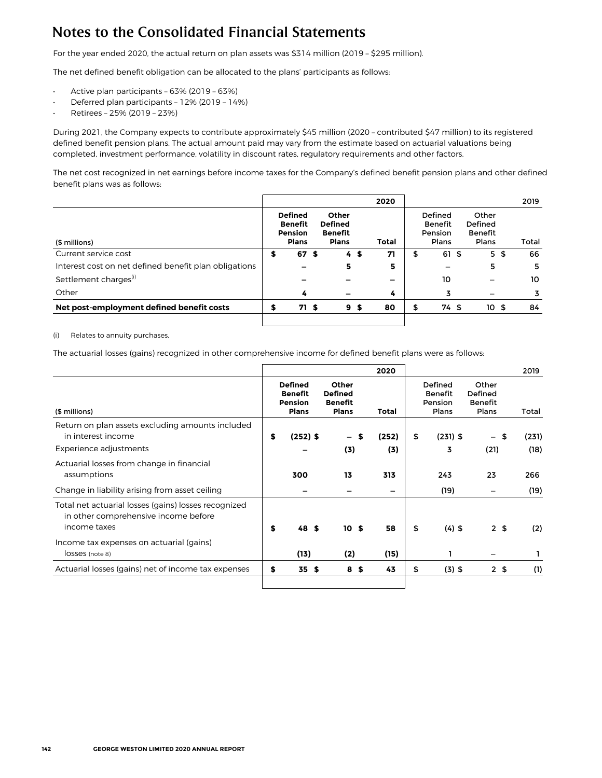For the year ended 2020, the actual return on plan assets was \$314 million (2019 – \$295 million).

The net defined benefit obligation can be allocated to the plans' participants as follows:

- Active plan participants 63% (2019 63%)
- Deferred plan participants 12% (2019 14%)
- Retirees 25% (2019 23%)

During 2021, the Company expects to contribute approximately \$45 million (2020 – contributed \$47 million) to its registered defined benefit pension plans. The actual amount paid may vary from the estimate based on actuarial valuations being completed, investment performance, volatility in discount rates, regulatory requirements and other factors.

The net cost recognized in net earnings before income taxes for the Company's defined benefit pension plans and other defined benefit plans was as follows:

|                                                       |                                                                    |                                                           |                | 2020  |   |                                               |                                             | 2019  |
|-------------------------------------------------------|--------------------------------------------------------------------|-----------------------------------------------------------|----------------|-------|---|-----------------------------------------------|---------------------------------------------|-------|
| (\$ millions)                                         | <b>Defined</b><br><b>Benefit</b><br><b>Pension</b><br><b>Plans</b> | Other<br><b>Defined</b><br><b>Benefit</b><br><b>Plans</b> |                | Total |   | Defined<br><b>Benefit</b><br>Pension<br>Plans | Other<br>Defined<br><b>Benefit</b><br>Plans | Total |
| Current service cost                                  | \$<br>67 \$                                                        |                                                           | 4S             | 71    | S | 61S                                           | 5 <sub>5</sub>                              | 66    |
| Interest cost on net defined benefit plan obligations |                                                                    | 5                                                         |                | 5     |   |                                               | 5                                           | 5     |
| Settlement charges <sup>(i)</sup>                     |                                                                    |                                                           |                |       |   | 10                                            |                                             | 10    |
| Other                                                 | 4                                                                  |                                                           |                | 4     |   |                                               |                                             |       |
| Net post-employment defined benefit costs             | 71 S                                                               |                                                           | 9 <sup>5</sup> | 80    |   | 74 S                                          | 10S                                         | 84    |

#### (i) Relates to annuity purchases.

The actuarial losses (gains) recognized in other comprehensive income for defined benefit plans were as follows:

|                                                                                                              |                                                                    |                                                                  |   | 2020         |                                               |                                             | 2019                  |
|--------------------------------------------------------------------------------------------------------------|--------------------------------------------------------------------|------------------------------------------------------------------|---|--------------|-----------------------------------------------|---------------------------------------------|-----------------------|
| (\$ millions)                                                                                                | <b>Defined</b><br><b>Benefit</b><br><b>Pension</b><br><b>Plans</b> | <b>Other</b><br><b>Defined</b><br><b>Benefit</b><br><b>Plans</b> |   | Total        | Defined<br><b>Benefit</b><br>Pension<br>Plans | Other<br>Defined<br><b>Benefit</b><br>Plans | Total                 |
| Return on plan assets excluding amounts included<br>in interest income<br>Experience adjustments             | \$<br>$(252)$ \$                                                   | $\overline{\phantom{0}}$<br>(3)                                  | S | (252)<br>(3) | \$<br>$(231)$ \$<br>3                         | (21)                                        | (231)<br>- \$<br>(18) |
| Actuarial losses from change in financial<br>assumptions                                                     | 300                                                                | 13                                                               |   | 313          | 243                                           | 23                                          | 266                   |
| Change in liability arising from asset ceiling                                                               |                                                                    |                                                                  |   |              | (19)                                          |                                             | (19)                  |
| Total net actuarial losses (gains) losses recognized<br>in other comprehensive income before<br>income taxes | \$<br>48 S                                                         | 10S                                                              |   | 58           | \$<br>$(4)$ \$                                |                                             | 2 <sub>5</sub><br>(2) |
| Income tax expenses on actuarial (gains)<br>lOSSeS (note 8)                                                  | (13)                                                               | (2)                                                              |   | (15)         |                                               |                                             |                       |
| Actuarial losses (gains) net of income tax expenses                                                          | \$<br>35S                                                          | 8\$                                                              |   | 43           | \$<br>$(3)$ \$                                |                                             | 2 <sub>5</sub><br>(1) |
|                                                                                                              |                                                                    |                                                                  |   |              |                                               |                                             |                       |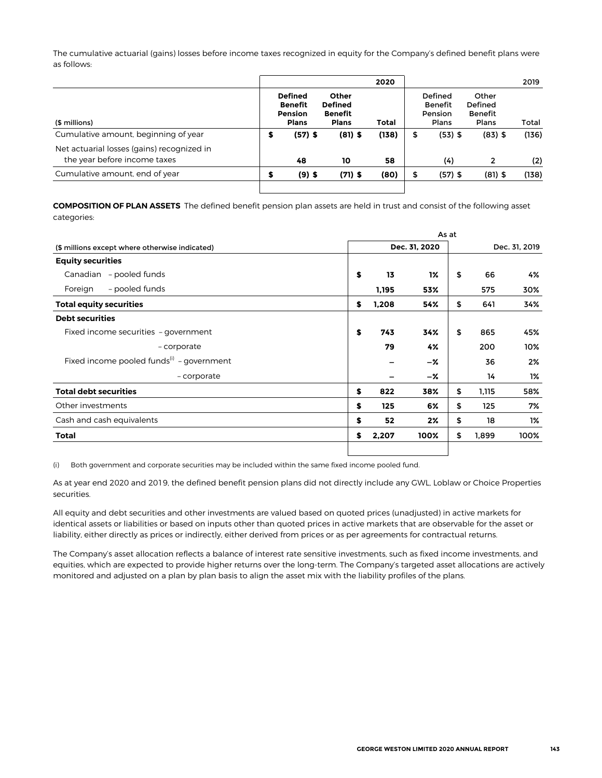The cumulative actuarial (gains) losses before income taxes recognized in equity for the Company's defined benefit plans were as follows:

|                                                                            |   |                                                                    |                                                           | 2020  |    |                                        |                                             | 2019  |
|----------------------------------------------------------------------------|---|--------------------------------------------------------------------|-----------------------------------------------------------|-------|----|----------------------------------------|---------------------------------------------|-------|
| (\$ millions)                                                              |   | <b>Defined</b><br><b>Benefit</b><br><b>Pension</b><br><b>Plans</b> | Other<br><b>Defined</b><br><b>Benefit</b><br><b>Plans</b> | Total |    | Defined<br>Benefit<br>Pension<br>Plans | Other<br>Defined<br><b>Benefit</b><br>Plans | Total |
| Cumulative amount, beginning of year                                       | э | $(57)$ \$                                                          | $(81)$ \$                                                 | (138) | \$ | $(53)$ \$                              | $(83)$ \$                                   | (136) |
| Net actuarial losses (gains) recognized in<br>the year before income taxes |   | 48                                                                 | 10                                                        | 58    |    | (4)                                    | 2                                           | (2)   |
| Cumulative amount, end of year                                             | л | $(9)$ \$                                                           | $(71)$ \$                                                 | (80)  | л  | $(57)$ \$                              | $(81)$ \$                                   | (138) |
|                                                                            |   |                                                                    |                                                           |       |    |                                        |                                             |       |

**COMPOSITION OF PLAN ASSETS** The defined benefit pension plan assets are held in trust and consist of the following asset categories:

|                                                 | As at |       |               |    |       |               |  |  |  |  |
|-------------------------------------------------|-------|-------|---------------|----|-------|---------------|--|--|--|--|
| (\$ millions except where otherwise indicated)  |       |       | Dec. 31, 2020 |    |       | Dec. 31, 2019 |  |  |  |  |
| <b>Equity securities</b>                        |       |       |               |    |       |               |  |  |  |  |
| Canadian - pooled funds                         | \$    | 13    | 1%            | \$ | 66    | 4%            |  |  |  |  |
| - pooled funds<br>Foreign                       |       | 1,195 | 53%           |    | 575   | 30%           |  |  |  |  |
| <b>Total equity securities</b>                  | \$    | 1,208 | 54%           | \$ | 641   | 34%           |  |  |  |  |
| <b>Debt securities</b>                          |       |       |               |    |       |               |  |  |  |  |
| Fixed income securities - government            | \$    | 743   | 34%           | \$ | 865   | 45%           |  |  |  |  |
| - corporate                                     |       | 79    | 4%            |    | 200   | 10%           |  |  |  |  |
| Fixed income pooled funds $^{(i)}$ - government |       |       | -%            |    | 36    | 2%            |  |  |  |  |
| - corporate                                     |       |       | -%            |    | 14    | 1%            |  |  |  |  |
| <b>Total debt securities</b>                    | \$    | 822   | 38%           | \$ | 1,115 | 58%           |  |  |  |  |
| Other investments                               | \$    | 125   | 6%            | \$ | 125   | 7%            |  |  |  |  |
| Cash and cash equivalents                       | \$    | 52    | 2%            | \$ | 18    | 1%            |  |  |  |  |
| <b>Total</b>                                    | \$    | 2,207 | 100%          | \$ | 1,899 | 100%          |  |  |  |  |
|                                                 |       |       |               |    |       |               |  |  |  |  |

(i) Both government and corporate securities may be included within the same fixed income pooled fund.

As at year end 2020 and 2019, the defined benefit pension plans did not directly include any GWL, Loblaw or Choice Properties securities.

All equity and debt securities and other investments are valued based on quoted prices (unadjusted) in active markets for identical assets or liabilities or based on inputs other than quoted prices in active markets that are observable for the asset or liability, either directly as prices or indirectly, either derived from prices or as per agreements for contractual returns.

The Company's asset allocation reflects a balance of interest rate sensitive investments, such as fixed income investments, and equities, which are expected to provide higher returns over the long-term. The Company's targeted asset allocations are actively monitored and adjusted on a plan by plan basis to align the asset mix with the liability profiles of the plans.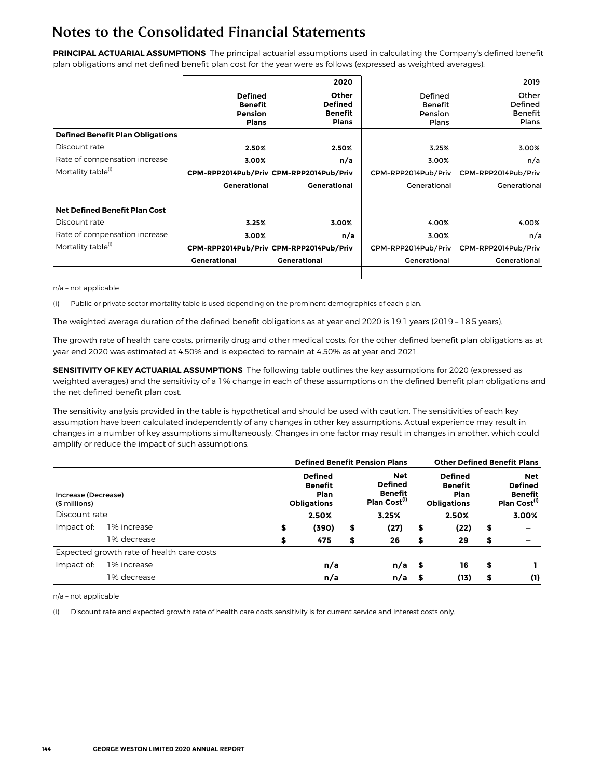**PRINCIPAL ACTUARIAL ASSUMPTIONS** The principal actuarial assumptions used in calculating the Company's defined benefit plan obligations and net defined benefit plan cost for the year were as follows (expressed as weighted averages):

|                                         |                                                                    | 2020                                               |                                               | 2019                                        |
|-----------------------------------------|--------------------------------------------------------------------|----------------------------------------------------|-----------------------------------------------|---------------------------------------------|
|                                         | <b>Defined</b><br><b>Benefit</b><br><b>Pension</b><br><b>Plans</b> | Other<br><b>Defined</b><br>Benefit<br><b>Plans</b> | Defined<br><b>Benefit</b><br>Pension<br>Plans | Other<br>Defined<br><b>Benefit</b><br>Plans |
| <b>Defined Benefit Plan Obligations</b> |                                                                    |                                                    |                                               |                                             |
| Discount rate                           | 2.50%                                                              | 2.50%                                              | 3.25%                                         | 3.00%                                       |
| Rate of compensation increase           | 3.00%                                                              | n/a                                                | 3.00%                                         | n/a                                         |
| Mortality table <sup>(i)</sup>          |                                                                    | CPM-RPP2014Pub/Priv CPM-RPP2014Pub/Priv            | CPM-RPP2014Pub/Priv                           | CPM-RPP2014Pub/Priv                         |
|                                         | <b>Generational</b>                                                | <b>Generational</b>                                | Generational                                  | Generational                                |
| <b>Net Defined Benefit Plan Cost</b>    |                                                                    |                                                    |                                               |                                             |
| Discount rate                           | 3.25%                                                              | 3.00%                                              | 4.00%                                         | 4.00%                                       |
| Rate of compensation increase           | 3.00%                                                              | n/a                                                | 3.00%                                         | n/a                                         |
| Mortality table <sup>(i)</sup>          |                                                                    | CPM-RPP2014Pub/Priv CPM-RPP2014Pub/Priv            | CPM-RPP2014Pub/Priv                           | CPM-RPP2014Pub/Priv                         |
|                                         | <b>Generational</b>                                                | <b>Generational</b>                                | Generational                                  | Generational                                |
|                                         |                                                                    |                                                    |                                               |                                             |

n/a – not applicable

(i) Public or private sector mortality table is used depending on the prominent demographics of each plan.

The weighted average duration of the defined benefit obligations as at year end 2020 is 19.1 years (2019 – 18.5 years).

The growth rate of health care costs, primarily drug and other medical costs, for the other defined benefit plan obligations as at year end 2020 was estimated at 4.50% and is expected to remain at 4.50% as at year end 2021.

**SENSITIVITY OF KEY ACTUARIAL ASSUMPTIONS** The following table outlines the key assumptions for 2020 (expressed as weighted averages) and the sensitivity of a 1% change in each of these assumptions on the defined benefit plan obligations and the net defined benefit plan cost.

The sensitivity analysis provided in the table is hypothetical and should be used with caution. The sensitivities of each key assumption have been calculated independently of any changes in other key assumptions. Actual experience may result in changes in a number of key assumptions simultaneously. Changes in one factor may result in changes in another, which could amplify or reduce the impact of such assumptions.

|                                      |                                           | <b>Defined Benefit Pension Plans</b>                                                                                                  |       |    |          |    |                                                                | <b>Other Defined Benefit Plans</b> |                                                                            |  |
|--------------------------------------|-------------------------------------------|---------------------------------------------------------------------------------------------------------------------------------------|-------|----|----------|----|----------------------------------------------------------------|------------------------------------|----------------------------------------------------------------------------|--|
| Increase (Decrease)<br>(\$ millions) |                                           | Net<br><b>Defined</b><br><b>Defined</b><br><b>Benefit</b><br><b>Benefit</b><br>Plan<br>Plan Cost <sup>(1)</sup><br><b>Obligations</b> |       |    |          |    | <b>Defined</b><br><b>Benefit</b><br>Plan<br><b>Obligations</b> |                                    | <b>Net</b><br><b>Defined</b><br><b>Benefit</b><br>Plan Cost <sup>(1)</sup> |  |
| Discount rate                        |                                           |                                                                                                                                       | 2.50% |    | 3.25%    |    | 2.50%                                                          |                                    | 3.00%                                                                      |  |
| Impact of:                           | 1% increase                               | \$                                                                                                                                    | (390) | \$ | (27)     | \$ | (22)                                                           | \$                                 | -                                                                          |  |
|                                      | 1% decrease                               | S                                                                                                                                     | 475   | \$ | 26       | \$ | 29                                                             | \$                                 |                                                                            |  |
|                                      | Expected growth rate of health care costs |                                                                                                                                       |       |    |          |    |                                                                |                                    |                                                                            |  |
| Impact of:                           | 1% increase                               |                                                                                                                                       | n/a   |    | $n/a$ \$ |    | 16                                                             | \$                                 |                                                                            |  |
|                                      | 1% decrease                               |                                                                                                                                       | n/a   |    | $n/a$ \$ |    | (13)                                                           | \$                                 | (1)                                                                        |  |

n/a – not applicable

(i) Discount rate and expected growth rate of health care costs sensitivity is for current service and interest costs only.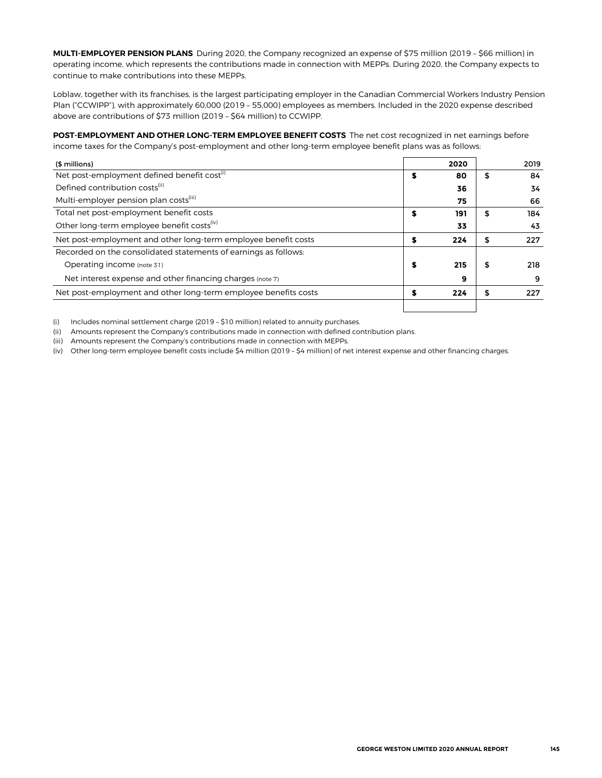**MULTI-EMPLOYER PENSION PLANS** During 2020, the Company recognized an expense of \$75 million (2019 – \$66 million) in operating income, which represents the contributions made in connection with MEPPs. During 2020, the Company expects to continue to make contributions into these MEPPs.

Loblaw, together with its franchises, is the largest participating employer in the Canadian Commercial Workers Industry Pension Plan ("CCWIPP"), with approximately 60,000 (2019 – 55,000) employees as members. Included in the 2020 expense described above are contributions of \$73 million (2019 – \$64 million) to CCWIPP.

**POST-EMPLOYMENT AND OTHER LONG-TERM EMPLOYEE BENEFIT COSTS** The net cost recognized in net earnings before income taxes for the Company's post-employment and other long-term employee benefit plans was as follows:

| (\$ millions)                                                   |   | 2020 |    | 2019 |
|-----------------------------------------------------------------|---|------|----|------|
| Net post-employment defined benefit cost <sup>(i)</sup>         | S | 80   | \$ | 84   |
| Defined contribution costs <sup>(ii)</sup>                      |   | 36   |    | 34   |
| Multi-employer pension plan costs <sup>(iii)</sup>              |   | 75   |    | 66   |
| Total net post-employment benefit costs                         | S | 191  | \$ | 184  |
| Other long-term employee benefit costs <sup>(iv)</sup>          |   | 33   |    | 43   |
| Net post-employment and other long-term employee benefit costs  | S | 224  | \$ | 227  |
| Recorded on the consolidated statements of earnings as follows: |   |      |    |      |
| Operating income (note 31)                                      | S | 215  | S  | 218  |
| Net interest expense and other financing charges (note 7)       |   | 9    |    | 9    |
| Net post-employment and other long-term employee benefits costs |   | 224  | \$ | 227  |
|                                                                 |   |      |    |      |

(i) Includes nominal settlement charge (2019 – \$10 million) related to annuity purchases.

(ii) Amounts represent the Company's contributions made in connection with defined contribution plans.

(iii) Amounts represent the Company's contributions made in connection with MEPPs.

(iv) Other long-term employee benefit costs include \$4 million (2019 – \$4 million) of net interest expense and other financing charges.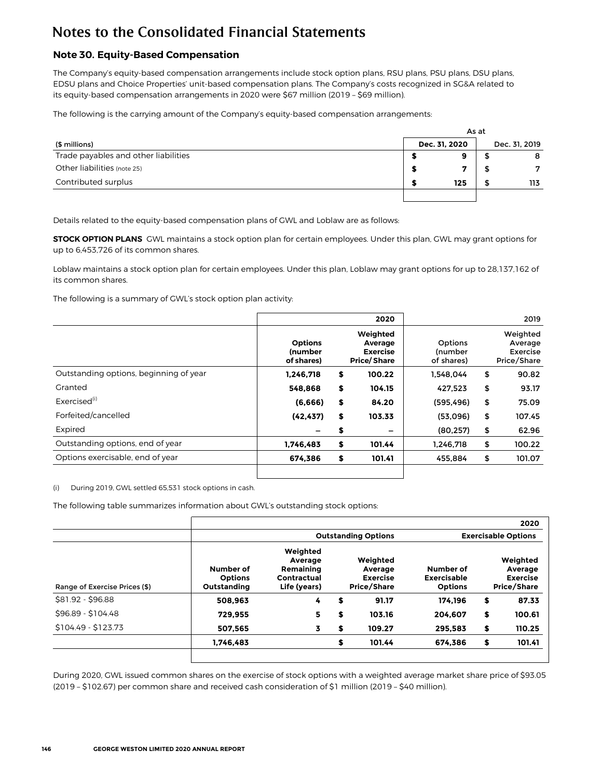## **Note 30. Equity-Based Compensation**

The Company's equity-based compensation arrangements include stock option plans, RSU plans, PSU plans, DSU plans, EDSU plans and Choice Properties' unit-based compensation plans. The Company's costs recognized in SG&A related to its equity-based compensation arrangements in 2020 were \$67 million (2019 – \$69 million).

The following is the carrying amount of the Company's equity-based compensation arrangements:

|                                      |               | As at |               |
|--------------------------------------|---------------|-------|---------------|
| (\$ millions)                        | Dec. 31, 2020 |       | Dec. 31, 2019 |
| Trade payables and other liabilities |               |       | 8             |
| Other liabilities (note 25)          |               |       | 7             |
| Contributed surplus                  | 125           |       | 113           |
|                                      |               |       |               |

Details related to the equity-based compensation plans of GWL and Loblaw are as follows:

**STOCK OPTION PLANS** GWL maintains a stock option plan for certain employees. Under this plan, GWL may grant options for up to 6,453,726 of its common shares.

Loblaw maintains a stock option plan for certain employees. Under this plan, Loblaw may grant options for up to 28,137,162 of its common shares.

The following is a summary of GWL's stock option plan activity:

|                                        |                                                | 2020                                                         |                                  | 2019                                           |
|----------------------------------------|------------------------------------------------|--------------------------------------------------------------|----------------------------------|------------------------------------------------|
|                                        | <b>Options</b><br><b>(number</b><br>of shares) | Weighted<br>Average<br><b>Exercise</b><br><b>Price/Share</b> | Options<br>(number<br>of shares) | Weighted<br>Average<br>Exercise<br>Price/Share |
| Outstanding options, beginning of year | 1,246,718                                      | \$<br>100.22                                                 | 1.548.044                        | \$<br>90.82                                    |
| Granted                                | 548.868                                        | \$<br>104.15                                                 | 427.523                          | \$<br>93.17                                    |
| Exercised <sup>(i)</sup>               | (6,666)                                        | \$<br>84.20                                                  | (595, 496)                       | \$<br>75.09                                    |
| Forfeited/cancelled                    | (42, 437)                                      | \$<br>103.33                                                 | (53,096)                         | \$<br>107.45                                   |
| Expired                                |                                                | \$<br>-                                                      | (80, 257)                        | \$<br>62.96                                    |
| Outstanding options, end of year       | 1,746,483                                      | \$<br>101.44                                                 | 1.246.718                        | \$<br>100.22                                   |
| Options exercisable, end of year       | 674.386                                        | \$<br>101.41                                                 | 455.884                          | \$<br>101.07                                   |

(i) During 2019, GWL settled 65,531 stock options in cash.

The following table summarizes information about GWL's outstanding stock options:

|                               |                                            |                                                                 |                                                       |                                                   | 2020                                                         |
|-------------------------------|--------------------------------------------|-----------------------------------------------------------------|-------------------------------------------------------|---------------------------------------------------|--------------------------------------------------------------|
|                               |                                            | <b>Outstanding Options</b>                                      |                                                       | <b>Exercisable Options</b>                        |                                                              |
| Range of Exercise Prices (\$) | Number of<br><b>Options</b><br>Outstanding | Weighted<br>Average<br>Remaining<br>Contractual<br>Life (years) | Weighted<br>Average<br><b>Exercise</b><br>Price/Share | Number of<br><b>Exercisable</b><br><b>Options</b> | Weighted<br>Average<br><b>Exercise</b><br><b>Price/Share</b> |
| \$81.92 - \$96.88             | 508.963                                    | 4                                                               | \$<br>91.17                                           | 174.196                                           | \$<br>87.33                                                  |
| \$96.89 - \$104.48            | 729,955                                    | 5.                                                              | \$<br>103.16                                          | 204.607                                           | \$<br>100.61                                                 |
| $$104.49 - $123.73$           | 507.565                                    | 3                                                               | \$<br>109.27                                          | 295.583                                           | \$<br>110.25                                                 |
|                               | 1.746.483                                  |                                                                 | \$<br>101.44                                          | 674.386                                           | \$<br>101.41                                                 |

During 2020, GWL issued common shares on the exercise of stock options with a weighted average market share price of \$93.05 (2019 – \$102.67) per common share and received cash consideration of \$1 million (2019 – \$40 million).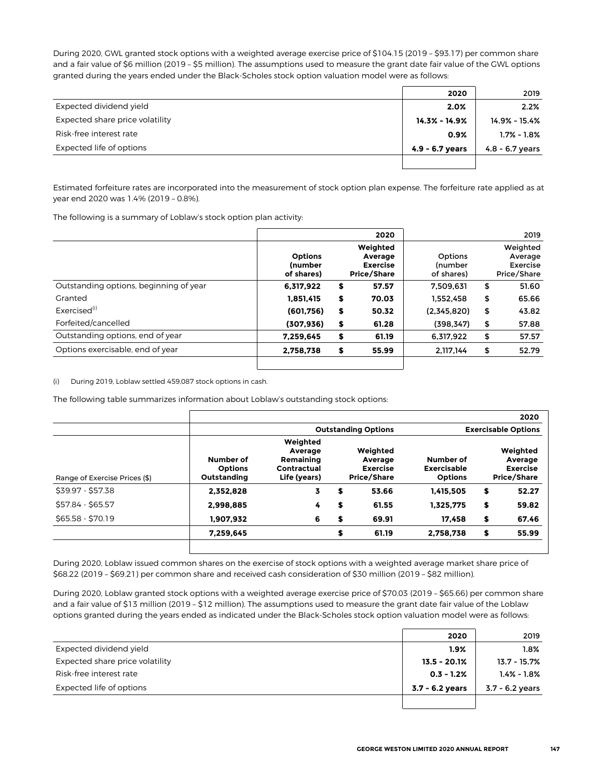During 2020, GWL granted stock options with a weighted average exercise price of \$104.15 (2019 – \$93.17) per common share and a fair value of \$6 million (2019 - \$5 million). The assumptions used to measure the grant date fair value of the GWL options granted during the years ended under the Black-Scholes stock option valuation model were as follows:

|                                 | 2020              | 2019              |
|---------------------------------|-------------------|-------------------|
| Expected dividend yield         | 2.0%              | 2.2%              |
| Expected share price volatility | 14.3% - 14.9%     | 14.9% - 15.4%     |
| Risk-free interest rate         | 0.9%              | $1.7\% - 1.8\%$   |
| Expected life of options        | $4.9 - 6.7$ years | $4.8 - 6.7$ years |
|                                 |                   |                   |

Estimated forfeiture rates are incorporated into the measurement of stock option plan expense. The forfeiture rate applied as at year end 2020 was 1.4% (2019 – 0.8%).

The following is a summary of Loblaw's stock option plan activity:

|                                        |                                                | 2020                                                  |                                         | 2019                                           |
|----------------------------------------|------------------------------------------------|-------------------------------------------------------|-----------------------------------------|------------------------------------------------|
|                                        | <b>Options</b><br><b>(number</b><br>of shares) | Weighted<br>Average<br><b>Exercise</b><br>Price/Share | Options<br><i>(number</i><br>of shares) | Weighted<br>Average<br>Exercise<br>Price/Share |
| Outstanding options, beginning of year | 6,317,922                                      | \$<br>57.57                                           | 7.509.631                               | \$<br>51.60                                    |
| Granted                                | 1.851.415                                      | \$<br>70.03                                           | 1.552.458                               | \$<br>65.66                                    |
| Exercised <sup>(i)</sup>               | (601,756)                                      | \$<br>50.32                                           | (2,345,820)                             | \$<br>43.82                                    |
| Forfeited/cancelled                    | (307, 936)                                     | \$<br>61.28                                           | (398, 347)                              | \$<br>57.88                                    |
| Outstanding options, end of year       | 7,259,645                                      | \$<br>61.19                                           | 6,317,922                               | \$<br>57.57                                    |
| Options exercisable, end of year       | 2,758,738                                      | \$<br>55.99                                           | 2.117.144                               | \$<br>52.79                                    |

(i) During 2019, Loblaw settled 459,087 stock options in cash.

The following table summarizes information about Loblaw's outstanding stock options:

|                               |                                            |                                                                 |    |                                                              |                                                   |    | 2020                                                         |  |
|-------------------------------|--------------------------------------------|-----------------------------------------------------------------|----|--------------------------------------------------------------|---------------------------------------------------|----|--------------------------------------------------------------|--|
|                               |                                            | <b>Outstanding Options</b>                                      |    |                                                              | <b>Exercisable Options</b>                        |    |                                                              |  |
| Range of Exercise Prices (\$) | Number of<br><b>Options</b><br>Outstanding | Weighted<br>Average<br>Remaining<br>Contractual<br>Life (years) |    | Weighted<br>Average<br><b>Exercise</b><br><b>Price/Share</b> | Number of<br><b>Exercisable</b><br><b>Options</b> |    | Weighted<br>Average<br><b>Exercise</b><br><b>Price/Share</b> |  |
| \$39.97 - \$57.38             | 2.352.828                                  | 3                                                               | \$ | 53.66                                                        | 1.415.505                                         | \$ | 52.27                                                        |  |
| \$57.84 - \$65.57             | 2.998.885                                  | 4                                                               | \$ | 61.55                                                        | 1.325.775                                         | \$ | 59.82                                                        |  |
| $$65.58 - $70.19$             | 1.907.932                                  | 6                                                               | \$ | 69.91                                                        | 17.458                                            | \$ | 67.46                                                        |  |
|                               | 7.259.645                                  |                                                                 | \$ | 61.19                                                        | 2.758.738                                         | \$ | 55.99                                                        |  |
|                               |                                            |                                                                 |    |                                                              |                                                   |    |                                                              |  |

During 2020, Loblaw issued common shares on the exercise of stock options with a weighted average market share price of \$68.22 (2019 – \$69.21) per common share and received cash consideration of \$30 million (2019 – \$82 million).

During 2020, Loblaw granted stock options with a weighted average exercise price of \$70.03 (2019 – \$65.66) per common share and a fair value of \$13 million (2019 – \$12 million). The assumptions used to measure the grant date fair value of the Loblaw options granted during the years ended as indicated under the Black-Scholes stock option valuation model were as follows:

|                                 | 2020            | 2019              |
|---------------------------------|-----------------|-------------------|
| Expected dividend yield         | $1.9\%$         | $1.8\%$           |
| Expected share price volatility | $13.5 - 20.1%$  | $13.7 - 15.7%$    |
| Risk-free interest rate         | $0.3 - 1.2%$    | $1.4\% - 1.8\%$   |
| Expected life of options        | 3.7 - 6.2 years | $3.7 - 6.2$ years |
|                                 |                 |                   |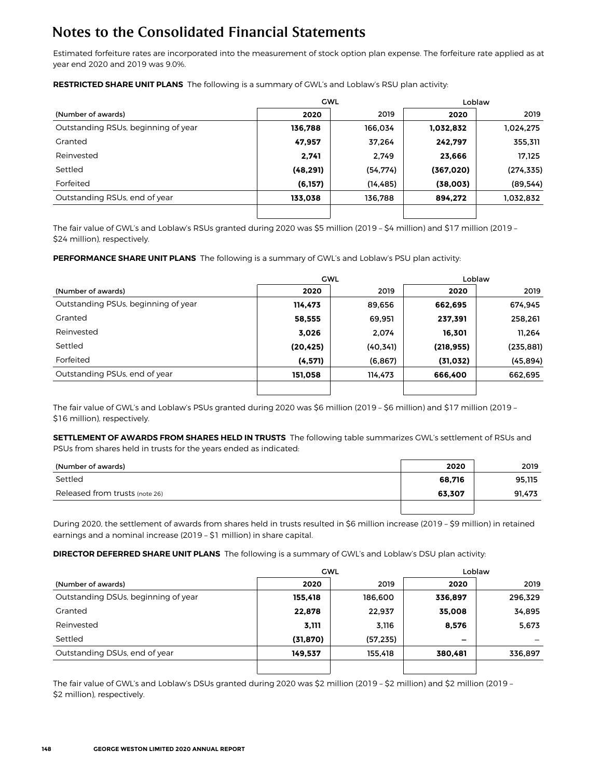Estimated forfeiture rates are incorporated into the measurement of stock option plan expense. The forfeiture rate applied as at year end 2020 and 2019 was 9.0%.

**RESTRICTED SHARE UNIT PLANS** The following is a summary of GWL's and Loblaw's RSU plan activity:

|                                     |           | <b>GWL</b> | Loblaw     |            |  |
|-------------------------------------|-----------|------------|------------|------------|--|
| (Number of awards)                  | 2020      | 2019       | 2020       | 2019       |  |
| Outstanding RSUs, beginning of year | 136,788   | 166.034    | 1,032,832  | 1,024,275  |  |
| Granted                             | 47,957    | 37.264     | 242,797    | 355,311    |  |
| Reinvested                          | 2.741     | 2,749      | 23.666     | 17,125     |  |
| Settled                             | (48, 291) | (54, 774)  | (367, 020) | (274, 335) |  |
| Forfeited                           | (6, 157)  | (14, 485)  | (38,003)   | (89, 544)  |  |
| Outstanding RSUs, end of year       | 133,038   | 136,788    | 894.272    | 1,032,832  |  |
|                                     |           |            |            |            |  |

The fair value of GWL's and Loblaw's RSUs granted during 2020 was \$5 million (2019 – \$4 million) and \$17 million (2019 – \$24 million), respectively.

**PERFORMANCE SHARE UNIT PLANS** The following is a summary of GWL's and Loblaw's PSU plan activity:

|                                     | <b>GWL</b> |           | Loblaw     |            |  |
|-------------------------------------|------------|-----------|------------|------------|--|
| (Number of awards)                  | 2020       | 2019      | 2020       | 2019       |  |
| Outstanding PSUs, beginning of year | 114.473    | 89,656    | 662,695    | 674,945    |  |
| Granted                             | 58,555     | 69,951    | 237.391    | 258.261    |  |
| Reinvested                          | 3.026      | 2.074     | 16.301     | 11.264     |  |
| Settled                             | (20, 425)  | (40, 341) | (218, 955) | (235, 881) |  |
| Forfeited                           | (4,571)    | (6, 867)  | (31,032)   | (45, 894)  |  |
| Outstanding PSUs, end of year       | 151.058    | 114,473   | 666.400    | 662,695    |  |
|                                     |            |           |            |            |  |

The fair value of GWL's and Loblaw's PSUs granted during 2020 was \$6 million (2019 – \$6 million) and \$17 million (2019 – \$16 million), respectively.

**SETTLEMENT OF AWARDS FROM SHARES HELD IN TRUSTS** The following table summarizes GWL's settlement of RSUs and PSUs from shares held in trusts for the years ended as indicated:

| (Number of awards)             | 2020   | 2019   |
|--------------------------------|--------|--------|
| Settled                        | 68.716 | 95.115 |
| Released from trusts (note 26) | 63,307 | 91,473 |
|                                |        |        |

During 2020, the settlement of awards from shares held in trusts resulted in \$6 million increase (2019 – \$9 million) in retained earnings and a nominal increase (2019 – \$1 million) in share capital.

**DIRECTOR DEFERRED SHARE UNIT PLANS** The following is a summary of GWL's and Loblaw's DSU plan activity:

|                                     |           | <b>GWL</b> |                          | Loblaw  |  |  |
|-------------------------------------|-----------|------------|--------------------------|---------|--|--|
| (Number of awards)                  | 2020      | 2019       | 2020                     | 2019    |  |  |
| Outstanding DSUs, beginning of year | 155,418   | 186,600    | 336,897                  | 296,329 |  |  |
| Granted                             | 22,878    | 22,937     | 35,008                   | 34,895  |  |  |
| Reinvested                          | 3,111     | 3,116      | 8,576                    | 5,673   |  |  |
| Settled                             | (31, 870) | (57, 235)  | $\overline{\phantom{0}}$ |         |  |  |
| Outstanding DSUs, end of year       | 149,537   | 155,418    | 380,481                  | 336,897 |  |  |
|                                     |           |            |                          |         |  |  |

The fair value of GWL's and Loblaw's DSUs granted during 2020 was \$2 million (2019 – \$2 million) and \$2 million (2019 – \$2 million), respectively.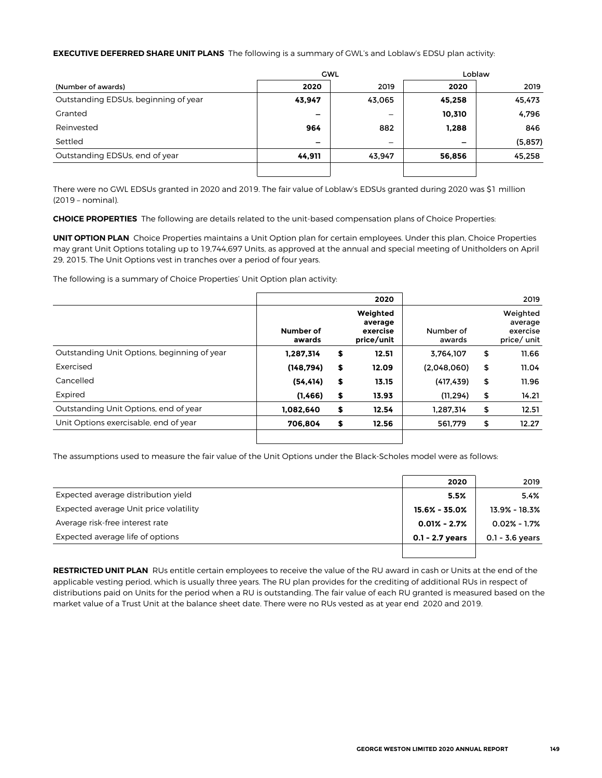#### **EXECUTIVE DEFERRED SHARE UNIT PLANS** The following is a summary of GWL's and Loblaw's EDSU plan activity:

|                                      |                          | <b>GWL</b>               | Loblaw                   |         |  |
|--------------------------------------|--------------------------|--------------------------|--------------------------|---------|--|
| (Number of awards)                   | 2020                     | 2019                     | 2020                     | 2019    |  |
| Outstanding EDSUs, beginning of year | 43,947                   | 43,065                   | 45,258                   | 45,473  |  |
| Granted                              | $\overline{\phantom{0}}$ | $\overline{\phantom{0}}$ | 10,310                   | 4,796   |  |
| Reinvested                           | 964                      | 882                      | 1,288                    | 846     |  |
| Settled                              | $\overline{\phantom{0}}$ |                          | $\overline{\phantom{m}}$ | (5,857) |  |
| Outstanding EDSUs, end of year       | 44,911                   | 43.947                   | 56,856                   | 45,258  |  |
|                                      |                          |                          |                          |         |  |

There were no GWL EDSUs granted in 2020 and 2019. The fair value of Loblaw's EDSUs granted during 2020 was \$1 million (2019 – nominal).

**CHOICE PROPERTIES** The following are details related to the unit-based compensation plans of Choice Properties:

**UNIT OPTION PLAN** Choice Properties maintains a Unit Option plan for certain employees. Under this plan, Choice Properties may grant Unit Options totaling up to 19,744,697 Units, as approved at the annual and special meeting of Unitholders on April 29, 2015. The Unit Options vest in tranches over a period of four years.

The following is a summary of Choice Properties' Unit Option plan activity:

|                     | 2020                                          |                     | 2019                                           |
|---------------------|-----------------------------------------------|---------------------|------------------------------------------------|
| Number of<br>awards | Weighted<br>average<br>exercise<br>price/unit | Number of<br>awards | Weighted<br>average<br>exercise<br>price/ unit |
| 1,287,314           | \$<br>12.51                                   | 3.764.107           | \$<br>11.66                                    |
| (148, 794)          | \$<br>12.09                                   | (2,048,060)         | \$<br>11.04                                    |
| (54, 414)           | \$<br>13.15                                   | (417, 439)          | \$<br>11.96                                    |
| (1,466)             | \$<br>13.93                                   | (11.294)            | \$<br>14.21                                    |
| 1,082,640           | \$<br>12.54                                   | 1.287.314           | \$<br>12.51                                    |
| 706.804             | \$<br>12.56                                   | 561.779             | \$<br>12.27                                    |
|                     |                                               |                     |                                                |

The assumptions used to measure the fair value of the Unit Options under the Black-Scholes model were as follows:

|                                        | 2020              | 2019              |
|----------------------------------------|-------------------|-------------------|
| Expected average distribution yield    | 5.5%              | 5.4%              |
| Expected average Unit price volatility | $15.6\% - 35.0\%$ | 13.9% - 18.3%     |
| Average risk-free interest rate        | $0.01\% - 2.7\%$  | $0.02\% - 1.7\%$  |
| Expected average life of options       | $0.1 - 2.7$ years | $0.1 - 3.6$ years |
|                                        |                   |                   |

**RESTRICTED UNIT PLAN** RUs entitle certain employees to receive the value of the RU award in cash or Units at the end of the applicable vesting period, which is usually three years. The RU plan provides for the crediting of additional RUs in respect of distributions paid on Units for the period when a RU is outstanding. The fair value of each RU granted is measured based on the market value of a Trust Unit at the balance sheet date. There were no RUs vested as at year end 2020 and 2019.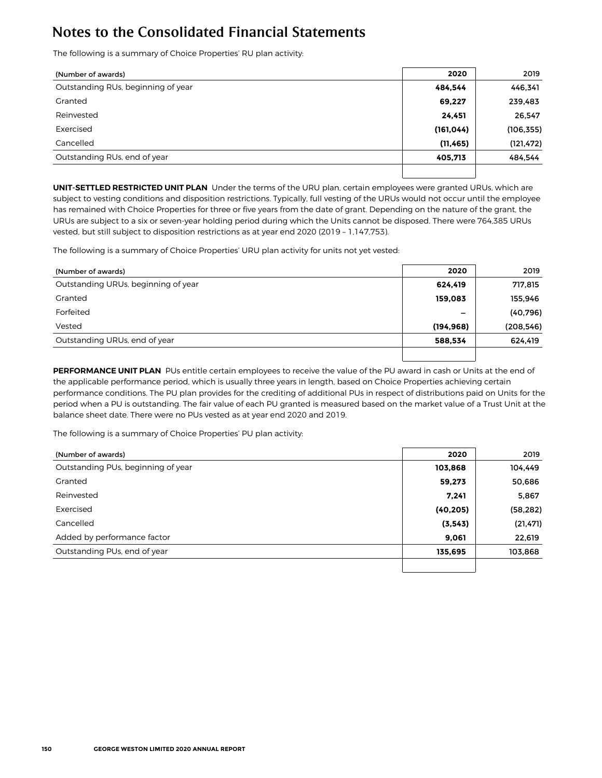The following is a summary of Choice Properties' RU plan activity:

| (Number of awards)                 | 2020       | 2019       |
|------------------------------------|------------|------------|
| Outstanding RUs, beginning of year | 484.544    | 446,341    |
| Granted                            | 69,227     | 239,483    |
| Reinvested                         | 24,451     | 26,547     |
| Exercised                          | (161, 044) | (106, 355) |
| Cancelled                          | (11, 465)  | (121, 472) |
| Outstanding RUs, end of year       | 405,713    | 484,544    |
|                                    |            |            |

**UNIT-SETTLED RESTRICTED UNIT PLAN** Under the terms of the URU plan, certain employees were granted URUs, which are subject to vesting conditions and disposition restrictions. Typically, full vesting of the URUs would not occur until the employee has remained with Choice Properties for three or five years from the date of grant. Depending on the nature of the grant, the URUs are subject to a six or seven-year holding period during which the Units cannot be disposed. There were 764,385 URUs vested, but still subject to disposition restrictions as at year end 2020 (2019 – 1,147,753).

The following is a summary of Choice Properties' URU plan activity for units not yet vested:

| (Number of awards)                  | 2020       | 2019       |
|-------------------------------------|------------|------------|
| Outstanding URUs, beginning of year | 624,419    | 717,815    |
| Granted                             | 159.083    | 155,946    |
| Forfeited                           | -          | (40, 796)  |
| Vested                              | (194, 968) | (208, 546) |
| Outstanding URUs, end of year       | 588.534    | 624,419    |
|                                     |            |            |

**PERFORMANCE UNIT PLAN** PUs entitle certain employees to receive the value of the PU award in cash or Units at the end of the applicable performance period, which is usually three years in length, based on Choice Properties achieving certain performance conditions. The PU plan provides for the crediting of additional PUs in respect of distributions paid on Units for the period when a PU is outstanding. The fair value of each PU granted is measured based on the market value of a Trust Unit at the balance sheet date. There were no PUs vested as at year end 2020 and 2019.

The following is a summary of Choice Properties' PU plan activity:

| (Number of awards)                 | 2020      | 2019      |
|------------------------------------|-----------|-----------|
| Outstanding PUs, beginning of year | 103,868   | 104,449   |
| Granted                            | 59,273    | 50,686    |
| Reinvested                         | 7,241     | 5,867     |
| Exercised                          | (40, 205) | (58, 282) |
| Cancelled                          | (3, 543)  | (21, 471) |
| Added by performance factor        | 9,061     | 22,619    |
| Outstanding PUs, end of year       | 135,695   | 103,868   |
|                                    |           |           |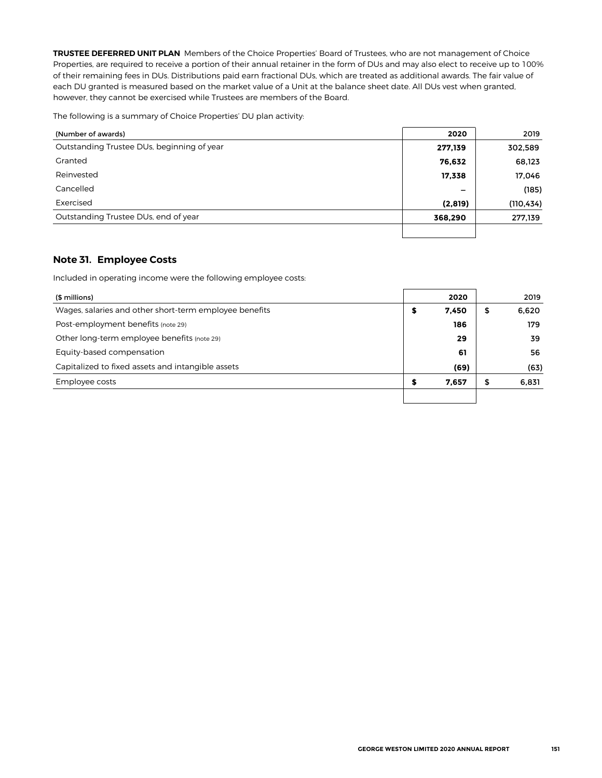**TRUSTEE DEFERRED UNIT PLAN** Members of the Choice Properties' Board of Trustees, who are not management of Choice Properties, are required to receive a portion of their annual retainer in the form of DUs and may also elect to receive up to 100% of their remaining fees in DUs. Distributions paid earn fractional DUs, which are treated as additional awards. The fair value of each DU granted is measured based on the market value of a Unit at the balance sheet date. All DUs vest when granted, however, they cannot be exercised while Trustees are members of the Board.

The following is a summary of Choice Properties' DU plan activity:

| (Number of awards)                         | 2020    | 2019       |
|--------------------------------------------|---------|------------|
| Outstanding Trustee DUs, beginning of year | 277,139 | 302,589    |
| Granted                                    | 76,632  | 68,123     |
| Reinvested                                 | 17,338  | 17,046     |
| Cancelled                                  | -       | (185)      |
| Exercised                                  | (2,819) | (110, 434) |
| Outstanding Trustee DUs, end of year       | 368,290 | 277,139    |
|                                            |         |            |

### **Note 31. Employee Costs**

Included in operating income were the following employee costs:

| (\$ millions)                                          |   | 2020  |    | 2019  |
|--------------------------------------------------------|---|-------|----|-------|
| Wages, salaries and other short-term employee benefits | 5 | 7,450 | \$ | 6,620 |
| Post-employment benefits (note 29)                     |   | 186   |    | 179   |
| Other long-term employee benefits (note 29)            |   | 29    |    | 39.   |
| Equity-based compensation                              |   | 61    |    | 56.   |
| Capitalized to fixed assets and intangible assets      |   | (69)  |    | (63)  |
| Employee costs                                         |   | 7,657 | ⊅  | 6,831 |
|                                                        |   |       |    |       |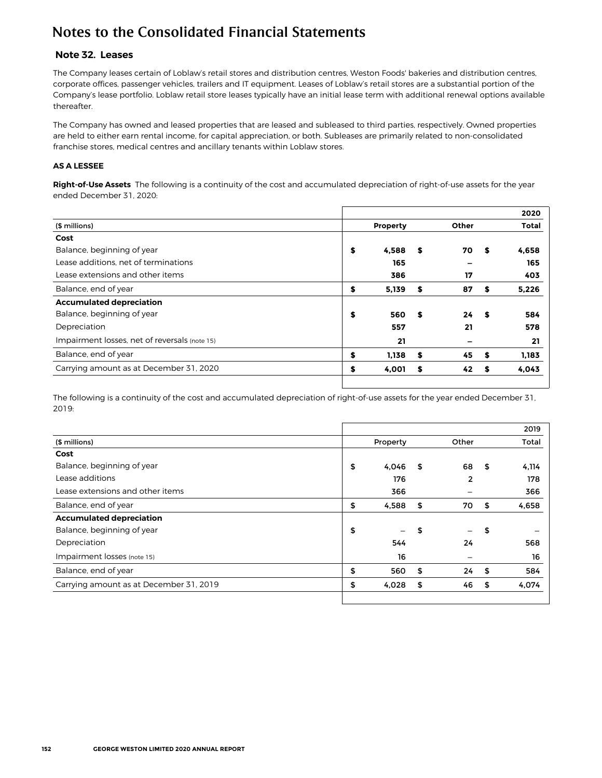### **Note 32. Leases**

The Company leases certain of Loblaw's retail stores and distribution centres, Weston Foods' bakeries and distribution centres, corporate offices, passenger vehicles, trailers and IT equipment. Leases of Loblaw's retail stores are a substantial portion of the Company's lease portfolio. Loblaw retail store leases typically have an initial lease term with additional renewal options available thereafter.

The Company has owned and leased properties that are leased and subleased to third parties, respectively. Owned properties are held to either earn rental income, for capital appreciation, or both. Subleases are primarily related to non-consolidated franchise stores, medical centres and ancillary tenants within Loblaw stores.

#### **AS A LESSEE**

**Right-of-Use Assets** The following is a continuity of the cost and accumulated depreciation of right-of-use assets for the year ended December 31, 2020:

|                                               |             |          |      | 2020         |
|-----------------------------------------------|-------------|----------|------|--------------|
| (\$ millions)                                 | Property    | Other    |      | <b>Total</b> |
| Cost                                          |             |          |      |              |
| Balance, beginning of year                    | \$<br>4.588 | \$<br>70 | S    | 4.658        |
| Lease additions, net of terminations          | 165         |          |      | 165          |
| Lease extensions and other items              | 386         | 17       |      | 403          |
| Balance, end of year                          | \$<br>5,139 | \$<br>87 | s    | 5,226        |
| <b>Accumulated depreciation</b>               |             |          |      |              |
| Balance, beginning of year                    | \$<br>560   | \$<br>24 | - \$ | 584          |
| Depreciation                                  | 557         | 21       |      | 578          |
| Impairment losses, net of reversals (note 15) | 21          |          |      | 21           |
| Balance, end of year                          | \$<br>1,138 | \$<br>45 | \$   | 1,183        |
| Carrying amount as at December 31, 2020       | \$<br>4,001 | \$<br>42 | S.   | 4,043        |
|                                               |             |          |      |              |

The following is a continuity of the cost and accumulated depreciation of right-of-use assets for the year ended December 31, 2019:

|                                         |             |          | 2019        |
|-----------------------------------------|-------------|----------|-------------|
| (\$ millions)                           | Property    | Other    | Total       |
| Cost                                    |             |          |             |
| Balance, beginning of year              | \$<br>4,046 | \$<br>68 | \$<br>4,114 |
| Lease additions                         | 176         | 2        | 178         |
| Lease extensions and other items        | 366         |          | 366         |
| Balance, end of year                    | \$<br>4,588 | \$<br>70 | \$<br>4,658 |
| <b>Accumulated depreciation</b>         |             |          |             |
| Balance, beginning of year              | \$          | \$       | \$          |
| Depreciation                            | 544         | 24       | 568         |
| Impairment losses (note 15)             | 16          |          | 16          |
| Balance, end of year                    | \$<br>560   | \$<br>24 | \$<br>584   |
| Carrying amount as at December 31, 2019 | \$<br>4,028 | \$<br>46 | \$<br>4,074 |
|                                         |             |          |             |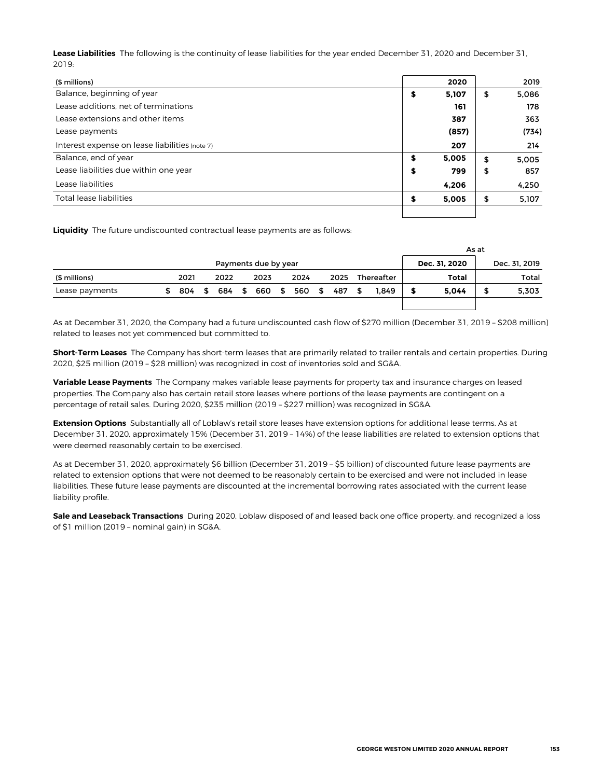**Lease Liabilities** The following is the continuity of lease liabilities for the year ended December 31, 2020 and December 31, 2019:

| (\$ millions)                                  |   | 2020  | 2019        |
|------------------------------------------------|---|-------|-------------|
| Balance, beginning of year                     | s | 5,107 | \$<br>5,086 |
| Lease additions, net of terminations           |   | 161   | 178         |
| Lease extensions and other items               |   | 387   | 363         |
| Lease payments                                 |   | (857) | (734)       |
| Interest expense on lease liabilities (note 7) |   | 207   | 214         |
| Balance, end of year                           | s | 5,005 | \$<br>5.005 |
| Lease liabilities due within one year          | s | 799   | \$<br>857   |
| Lease liabilities                              |   | 4,206 | 4,250       |
| Total lease liabilities                        | S | 5,005 | \$<br>5,107 |
|                                                |   |       |             |

**Liquidity** The future undiscounted contractual lease payments are as follows:

|                                       |  |      |      |      |          |      |          |      |      |      |     | As at         |       |  |       |
|---------------------------------------|--|------|------|------|----------|------|----------|------|------|------|-----|---------------|-------|--|-------|
| Payments due by year<br>Dec. 31. 2020 |  |      |      |      |          |      |          |      |      |      |     | Dec. 31, 2019 |       |  |       |
| (\$ millions)                         |  | 2021 |      | 2022 |          | 2023 |          | 2024 |      | 2025 |     | Thereafter    | Total |  | Total |
| Lease payments                        |  | 804  | - \$ | 684  | <b>S</b> | 660  | <b>S</b> | 560  | - ST | 487  | 56. | 1.849         | 5.044 |  | 5,303 |
|                                       |  |      |      |      |          |      |          |      |      |      |     |               |       |  |       |

As at December 31, 2020, the Company had a future undiscounted cash flow of \$270 million (December 31, 2019 – \$208 million) related to leases not yet commenced but committed to.

**Short-Term Leases** The Company has short-term leases that are primarily related to trailer rentals and certain properties. During 2020, \$25 million (2019 – \$28 million) was recognized in cost of inventories sold and SG&A.

**Variable Lease Payments** The Company makes variable lease payments for property tax and insurance charges on leased properties. The Company also has certain retail store leases where portions of the lease payments are contingent on a percentage of retail sales. During 2020, \$235 million (2019 – \$227 million) was recognized in SG&A.

**Extension Options** Substantially all of Loblaw's retail store leases have extension options for additional lease terms. As at December 31, 2020, approximately 15% (December 31, 2019 – 14%) of the lease liabilities are related to extension options that were deemed reasonably certain to be exercised.

As at December 31, 2020, approximately \$6 billion (December 31, 2019 – \$5 billion) of discounted future lease payments are related to extension options that were not deemed to be reasonably certain to be exercised and were not included in lease liabilities. These future lease payments are discounted at the incremental borrowing rates associated with the current lease liability profile.

**Sale and Leaseback Transactions** During 2020, Loblaw disposed of and leased back one office property, and recognized a loss of \$1 million (2019 – nominal gain) in SG&A.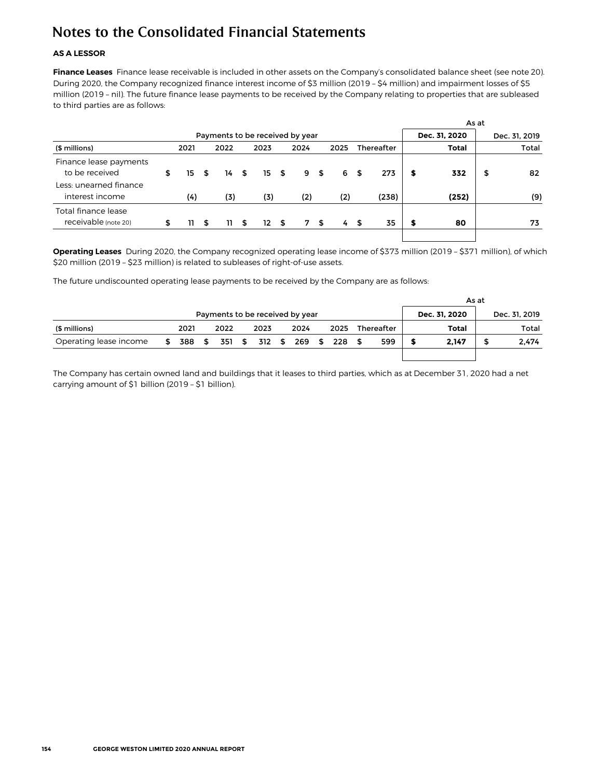#### **AS A LESSOR**

**Finance Leases** Finance lease receivable is included in other assets on the Company's consolidated balance sheet (see note 20). During 2020, the Company recognized finance interest income of \$3 million (2019 – \$4 million) and impairment losses of \$5 million (2019 – nil). The future finance lease payments to be received by the Company relating to properties that are subleased to third parties are as follows:

| Payments to be received by year<br>Dec. 31, 2020 |      |    |      |   |      |     |                      |  |           |      |       |                   |       | Dec. 31, 2019 |
|--------------------------------------------------|------|----|------|---|------|-----|----------------------|--|-----------|------|-------|-------------------|-------|---------------|
|                                                  | 2021 |    | 2022 |   | 2023 |     | 2024                 |  | 2025      |      |       |                   | Total | Total         |
| \$                                               | 15.  | \$ |      |   |      |     |                      |  | 6         | - \$ | 273   | s                 | 332   | \$<br>82      |
|                                                  | (4)  |    | (3)  |   | (3)  |     | (2)                  |  | (2)       |      | (238) |                   | (252) | (9)           |
| \$                                               | 11.  | \$ |      | S |      |     |                      |  | 4         | - \$ | 35    | s                 | 80    | 73            |
|                                                  |      |    |      |   | 11   | 14S | 15S<br>$12 \quad$ \$ |  | 9S<br>7 S |      |       | <b>Thereafter</b> |       | As at         |

**Operating Leases** During 2020, the Company recognized operating lease income of \$373 million (2019 – \$371 million), of which \$20 million (2019 – \$23 million) is related to subleases of right-of-use assets.

The future undiscounted operating lease payments to be received by the Company are as follows:

|                                 |    |        |  |      |  |                      |  |      |  |               |      |               |       | As at |       |  |
|---------------------------------|----|--------|--|------|--|----------------------|--|------|--|---------------|------|---------------|-------|-------|-------|--|
| Payments to be received by year |    |        |  |      |  |                      |  |      |  | Dec. 31, 2020 |      | Dec. 31, 2019 |       |       |       |  |
| (\$ millions)                   |    | 2021   |  | 2022 |  | 2023                 |  | 2024 |  | 2025          |      | Thereafter    | Total |       | Total |  |
| Operating lease income          | \$ | 388 \$ |  |      |  | 351 \$ 312 \$ 269 \$ |  |      |  | 228           | - \$ | 599           | 2.147 | \$    | 2.474 |  |
|                                 |    |        |  |      |  |                      |  |      |  |               |      |               |       |       |       |  |

The Company has certain owned land and buildings that it leases to third parties, which as at December 31, 2020 had a net carrying amount of \$1 billion (2019 – \$1 billion).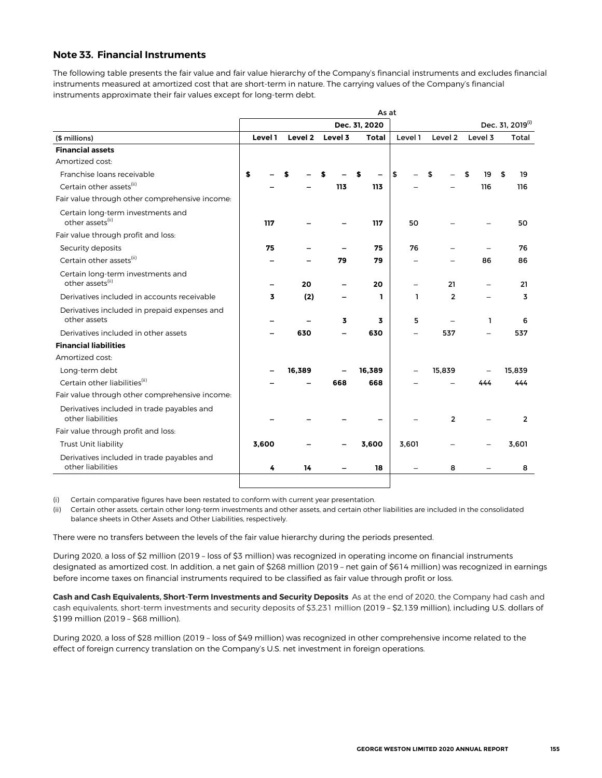### **Note 33. Financial Instruments**

The following table presents the fair value and fair value hierarchy of the Company's financial instruments and excludes financial instruments measured at amortized cost that are short-term in nature. The carrying values of the Company's financial instruments approximate their fair values except for long-term debt.

|                                                                   | As at   |         |         |               |         |                  |         |                |  |  |  |  |  |
|-------------------------------------------------------------------|---------|---------|---------|---------------|---------|------------------|---------|----------------|--|--|--|--|--|
|                                                                   |         |         |         | Dec. 31, 2020 |         | Dec. 31, 2019(i) |         |                |  |  |  |  |  |
| (\$ millions)                                                     | Level 1 | Level 2 | Level 3 | <b>Total</b>  | Level 1 | Level 2          | Level 3 | Total          |  |  |  |  |  |
| <b>Financial assets</b>                                           |         |         |         |               |         |                  |         |                |  |  |  |  |  |
| Amortized cost:                                                   |         |         |         |               |         |                  |         |                |  |  |  |  |  |
| Franchise Ioans receivable                                        | \$      |         |         |               | \$      | \$               | 19      | 19<br>\$       |  |  |  |  |  |
| Certain other assets <sup>(ii)</sup>                              |         |         | 113     | 113           |         |                  | 116     | 116            |  |  |  |  |  |
| Fair value through other comprehensive income:                    |         |         |         |               |         |                  |         |                |  |  |  |  |  |
| Certain long-term investments and<br>other assets <sup>(ii)</sup> | 117     |         |         | 117           | 50      |                  |         | 50             |  |  |  |  |  |
| Fair value through profit and loss:                               |         |         |         |               |         |                  |         |                |  |  |  |  |  |
| Security deposits                                                 | 75      |         |         | 75            | 76      |                  |         | 76             |  |  |  |  |  |
| Certain other assets <sup>(ii)</sup>                              |         |         | 79      | 79            |         |                  | 86      | 86             |  |  |  |  |  |
| Certain long-term investments and<br>other assets(ii)             |         | 20      |         | 20            |         | 21               |         | 21             |  |  |  |  |  |
| Derivatives included in accounts receivable                       | 3       | (2)     |         | 1             | 1       | $\overline{2}$   |         | 3              |  |  |  |  |  |
| Derivatives included in prepaid expenses and<br>other assets      |         |         | 3       | 3             | 5       |                  | ı       | 6              |  |  |  |  |  |
| Derivatives included in other assets                              |         | 630     |         | 630           |         | 537              |         | 537            |  |  |  |  |  |
| <b>Financial liabilities</b>                                      |         |         |         |               |         |                  |         |                |  |  |  |  |  |
| Amortized cost:                                                   |         |         |         |               |         |                  |         |                |  |  |  |  |  |
| Long-term debt                                                    |         | 16.389  |         | 16,389        |         | 15,839           |         | 15.839         |  |  |  |  |  |
| Certain other liabilities <sup>(ii)</sup>                         |         |         | 668     | 668           |         |                  | 444     | 444            |  |  |  |  |  |
| Fair value through other comprehensive income:                    |         |         |         |               |         |                  |         |                |  |  |  |  |  |
| Derivatives included in trade payables and<br>other liabilities   |         |         |         |               |         | $\mathbf{2}$     |         | $\overline{2}$ |  |  |  |  |  |
| Fair value through profit and loss:                               |         |         |         |               |         |                  |         |                |  |  |  |  |  |
| Trust Unit liability                                              | 3,600   |         |         | 3,600         | 3,601   |                  |         | 3,601          |  |  |  |  |  |
| Derivatives included in trade payables and<br>other liabilities   | 4       | 14      |         | 18            |         | 8                |         | 8              |  |  |  |  |  |
|                                                                   |         |         |         |               |         |                  |         |                |  |  |  |  |  |

(i) Certain comparative figures have been restated to conform with current year presentation.

(ii) Certain other assets, certain other long-term investments and other assets, and certain other liabilities are included in the consolidated balance sheets in Other Assets and Other Liabilities, respectively.

There were no transfers between the levels of the fair value hierarchy during the periods presented.

During 2020, a loss of \$2 million (2019 – loss of \$3 million) was recognized in operating income on financial instruments designated as amortized cost. In addition, a net gain of \$268 million (2019 – net gain of \$614 million) was recognized in earnings before income taxes on financial instruments required to be classified as fair value through profit or loss.

**Cash and Cash Equivalents, Short-Term Investments and Security Deposits** As at the end of 2020, the Company had cash and cash equivalents, short-term investments and security deposits of \$3,231 million (2019 – \$2,139 million), including U.S. dollars of \$199 million (2019 – \$68 million).

During 2020, a loss of \$28 million (2019 – loss of \$49 million) was recognized in other comprehensive income related to the effect of foreign currency translation on the Company's U.S. net investment in foreign operations.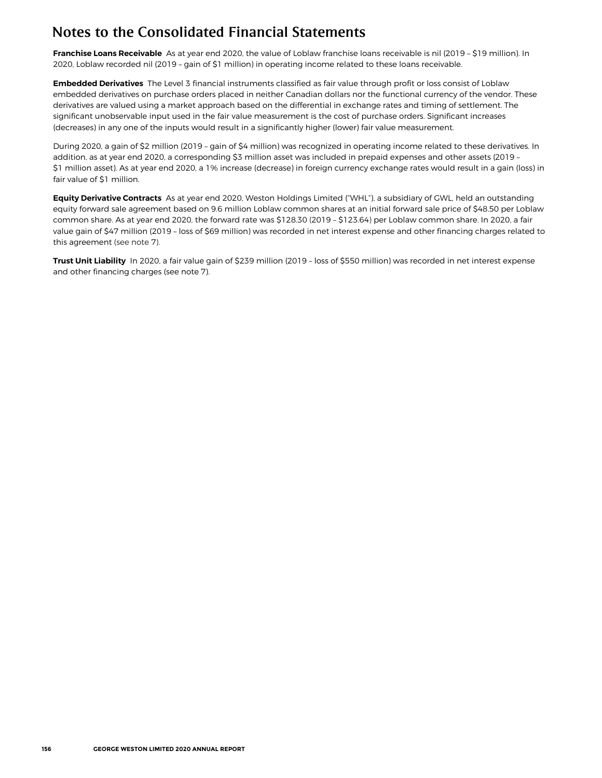**Franchise Loans Receivable** As at year end 2020, the value of Loblaw franchise loans receivable is nil (2019 – \$19 million). In 2020, Loblaw recorded nil (2019 – gain of \$1 million) in operating income related to these loans receivable.

**Embedded Derivatives** The Level 3 financial instruments classified as fair value through profit or loss consist of Loblaw embedded derivatives on purchase orders placed in neither Canadian dollars nor the functional currency of the vendor. These derivatives are valued using a market approach based on the differential in exchange rates and timing of settlement. The significant unobservable input used in the fair value measurement is the cost of purchase orders. Significant increases (decreases) in any one of the inputs would result in a significantly higher (lower) fair value measurement.

During 2020, a gain of \$2 million (2019 – gain of \$4 million) was recognized in operating income related to these derivatives. In addition, as at year end 2020, a corresponding \$3 million asset was included in prepaid expenses and other assets (2019 – \$1 million asset). As at year end 2020, a 1% increase (decrease) in foreign currency exchange rates would result in a gain (loss) in fair value of \$1 million.

**Equity Derivative Contracts** As at year end 2020, Weston Holdings Limited ("WHL"), a subsidiary of GWL, held an outstanding equity forward sale agreement based on 9.6 million Loblaw common shares at an initial forward sale price of \$48.50 per Loblaw common share. As at year end 2020, the forward rate was \$128.30 (2019 – \$123.64) per Loblaw common share. In 2020, a fair value gain of \$47 million (2019 – loss of \$69 million) was recorded in net interest expense and other financing charges related to this agreement (see note 7).

**Trust Unit Liability** In 2020, a fair value gain of \$239 million (2019 – loss of \$550 million) was recorded in net interest expense and other financing charges (see note 7).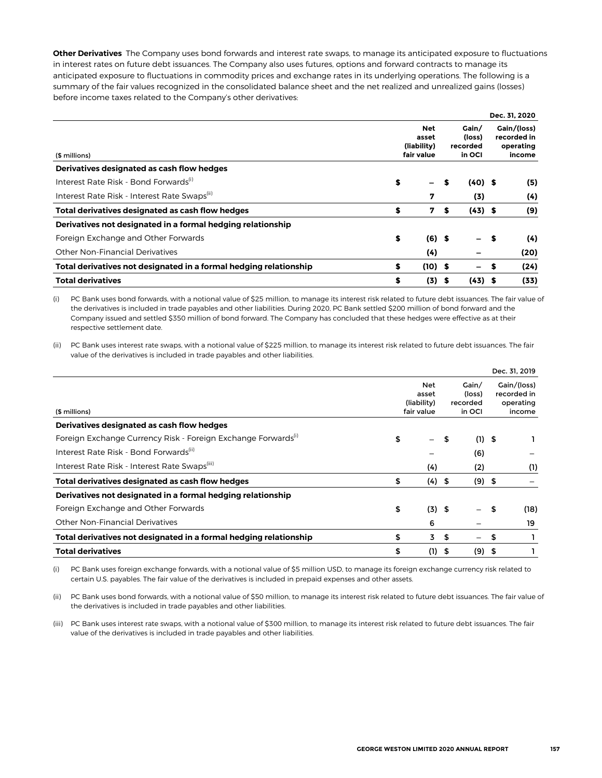**Other Derivatives** The Company uses bond forwards and interest rate swaps, to manage its anticipated exposure to fluctuations in interest rates on future debt issuances. The Company also uses futures, options and forward contracts to manage its anticipated exposure to fluctuations in commodity prices and exchange rates in its underlying operations. The following is a summary of the fair values recognized in the consolidated balance sheet and the net realized and unrealized gains (losses) before income taxes related to the Company's other derivatives:

|                                                                   |             |                             |    |                                         |      | Dec. 31, 2020 |
|-------------------------------------------------------------------|-------------|-----------------------------|----|-----------------------------------------|------|---------------|
|                                                                   | (liability) | Gain/<br>(loss)<br>recorded |    | Gain/(loss)<br>recorded in<br>operating |      |               |
| (\$ millions)                                                     | fair value  | in OCI                      |    | income                                  |      |               |
| Derivatives designated as cash flow hedges                        |             |                             |    |                                         |      |               |
| Interest Rate Risk - Bond Forwards <sup>(i)</sup>                 | \$          |                             | S  | $(40)$ \$                               |      | (5)           |
| Interest Rate Risk - Interest Rate Swaps(ii)                      |             | 7                           |    | (3)                                     |      | (4)           |
| Total derivatives designated as cash flow hedges                  | \$          | 7                           | \$ | $(43)$ \$                               |      | (9)           |
| Derivatives not designated in a formal hedging relationship       |             |                             |    |                                         |      |               |
| Foreign Exchange and Other Forwards                               | \$          | $(6)$ \$                    |    |                                         | - \$ | (4)           |
| <b>Other Non-Financial Derivatives</b>                            |             | (4)                         |    |                                         |      | (20)          |
| Total derivatives not designated in a formal hedging relationship | \$          | $(10)$ \$                   |    | -                                       | \$   | (24)          |
| <b>Total derivatives</b>                                          | \$          | (3)                         | S  | $(43)$ \$                               |      | (33)          |

(i) PC Bank uses bond forwards, with a notional value of \$25 million, to manage its interest risk related to future debt issuances. The fair value of the derivatives is included in trade payables and other liabilities. During 2020, PC Bank settled \$200 million of bond forward and the Company issued and settled \$350 million of bond forward. The Company has concluded that these hedges were effective as at their respective settlement date.

(ii) PC Bank uses interest rate swaps, with a notional value of \$225 million, to manage its interest risk related to future debt issuances. The fair value of the derivatives is included in trade payables and other liabilities.

|                                                                           |                                    |          |        |                             |      | Dec. 31, 2019                           |  |
|---------------------------------------------------------------------------|------------------------------------|----------|--------|-----------------------------|------|-----------------------------------------|--|
|                                                                           | <b>Net</b><br>asset<br>(liability) |          |        | Gain/<br>(loss)<br>recorded |      | Gain/(loss)<br>recorded in<br>operating |  |
| (\$ millions)                                                             | fair value                         |          | in OCI |                             |      | income                                  |  |
| Derivatives designated as cash flow hedges                                |                                    |          |        |                             |      |                                         |  |
| Foreign Exchange Currency Risk - Foreign Exchange Forwards <sup>(1)</sup> | \$                                 | $-$      | - \$   | $(1)$ \$                    |      |                                         |  |
| Interest Rate Risk - Bond Forwards <sup>(ii)</sup>                        |                                    |          |        | (6)                         |      |                                         |  |
| Interest Rate Risk - Interest Rate Swaps(iii)                             |                                    | (4)      |        | (2)                         |      | (1)                                     |  |
| Total derivatives designated as cash flow hedges                          | \$                                 | (4)      | \$     | $(9)$ \$                    |      |                                         |  |
| Derivatives not designated in a formal hedging relationship               |                                    |          |        |                             |      |                                         |  |
| Foreign Exchange and Other Forwards                                       | \$                                 | $(3)$ \$ |        |                             | \$   | (18)                                    |  |
| <b>Other Non-Financial Derivatives</b>                                    |                                    | 6        |        |                             |      | 19                                      |  |
| Total derivatives not designated in a formal hedging relationship         | \$                                 | 3        | \$     | $\overline{\phantom{0}}$    | \$   |                                         |  |
| <b>Total derivatives</b>                                                  | \$                                 | (1)      | \$     | (9)                         | - \$ |                                         |  |

(i) PC Bank uses foreign exchange forwards, with a notional value of \$5 million USD, to manage its foreign exchange currency risk related to certain U.S. payables. The fair value of the derivatives is included in prepaid expenses and other assets.

(ii) PC Bank uses bond forwards, with a notional value of \$50 million, to manage its interest risk related to future debt issuances. The fair value of the derivatives is included in trade payables and other liabilities.

(iii) PC Bank uses interest rate swaps, with a notional value of \$300 million, to manage its interest risk related to future debt issuances. The fair value of the derivatives is included in trade payables and other liabilities.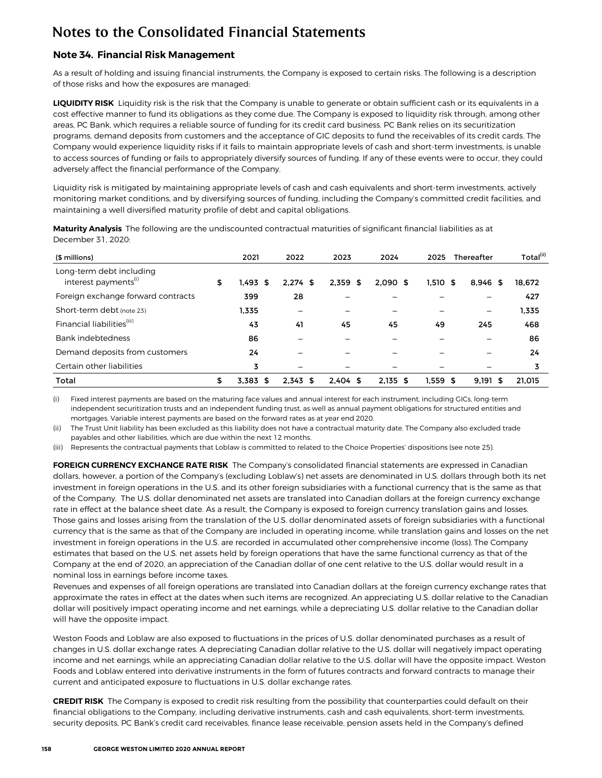## **Note 34. Financial Risk Management**

As a result of holding and issuing financial instruments, the Company is exposed to certain risks. The following is a description of those risks and how the exposures are managed:

**LIQUIDITY RISK** Liquidity risk is the risk that the Company is unable to generate or obtain sufficient cash or its equivalents in a cost effective manner to fund its obligations as they come due. The Company is exposed to liquidity risk through, among other areas, PC Bank, which requires a reliable source of funding for its credit card business. PC Bank relies on its securitization programs, demand deposits from customers and the acceptance of GIC deposits to fund the receivables of its credit cards. The Company would experience liquidity risks if it fails to maintain appropriate levels of cash and short-term investments, is unable to access sources of funding or fails to appropriately diversify sources of funding. If any of these events were to occur, they could adversely affect the financial performance of the Company.

Liquidity risk is mitigated by maintaining appropriate levels of cash and cash equivalents and short-term investments, actively monitoring market conditions, and by diversifying sources of funding, including the Company's committed credit facilities, and maintaining a well diversified maturity profile of debt and capital obligations.

| (\$ millions)                                                | 2021                | 2022       | 2023       | 2024       | 2025     | Thereafter               | Total(ii) |  |
|--------------------------------------------------------------|---------------------|------------|------------|------------|----------|--------------------------|-----------|--|
| Long-term debt including<br>interest payments <sup>(i)</sup> | \$<br>1.493<br>- \$ | $2.274$ \$ | $2.359$ \$ | 2.090S     | 1.510S   | $8.946$ \$               | 18.672    |  |
| Foreign exchange forward contracts                           | 399                 | 28         | —          |            |          |                          | 427       |  |
| Short-term debt (note 23)                                    | 1.335               |            | —          |            |          | $\overline{\phantom{m}}$ | 1.335     |  |
| Financial liabilities <sup>(iii)</sup>                       | 43                  | 41         | 45         | 45         | 49       | 245                      | 468       |  |
| Bank indebtedness                                            | 86                  |            |            |            |          |                          | 86        |  |
| Demand deposits from customers                               | 24                  |            |            |            |          |                          | 24        |  |
| Certain other liabilities                                    | 3                   |            |            |            |          |                          |           |  |
| Total                                                        | \$<br>3.383<br>S    | $2.343$ \$ | $2.404$ \$ | $2.135$ \$ | 1.559 \$ | 9.191<br>55              | 21.015    |  |

**Maturity Analysis** The following are the undiscounted contractual maturities of significant financial liabilities as at December 31, 2020:

(i) Fixed interest payments are based on the maturing face values and annual interest for each instrument, including GICs, long-term independent securitization trusts and an independent funding trust, as well as annual payment obligations for structured entities and mortgages. Variable interest payments are based on the forward rates as at year end 2020.

(ii) The Trust Unit liability has been excluded as this liability does not have a contractual maturity date. The Company also excluded trade payables and other liabilities, which are due within the next 12 months.

(iii) Represents the contractual payments that Loblaw is committed to related to the Choice Properties' dispositions (see note 25).

**FOREIGN CURRENCY EXCHANGE RATE RISK** The Company's consolidated financial statements are expressed in Canadian dollars, however, a portion of the Company's (excluding Loblaw's) net assets are denominated in U.S. dollars through both its net investment in foreign operations in the U.S. and its other foreign subsidiaries with a functional currency that is the same as that of the Company. The U.S. dollar denominated net assets are translated into Canadian dollars at the foreign currency exchange rate in effect at the balance sheet date. As a result, the Company is exposed to foreign currency translation gains and losses. Those gains and losses arising from the translation of the U.S. dollar denominated assets of foreign subsidiaries with a functional currency that is the same as that of the Company are included in operating income, while translation gains and losses on the net investment in foreign operations in the U.S. are recorded in accumulated other comprehensive income (loss). The Company estimates that based on the U.S. net assets held by foreign operations that have the same functional currency as that of the Company at the end of 2020, an appreciation of the Canadian dollar of one cent relative to the U.S. dollar would result in a nominal loss in earnings before income taxes.

Revenues and expenses of all foreign operations are translated into Canadian dollars at the foreign currency exchange rates that approximate the rates in effect at the dates when such items are recognized. An appreciating U.S. dollar relative to the Canadian dollar will positively impact operating income and net earnings, while a depreciating U.S. dollar relative to the Canadian dollar will have the opposite impact.

Weston Foods and Loblaw are also exposed to fluctuations in the prices of U.S. dollar denominated purchases as a result of changes in U.S. dollar exchange rates. A depreciating Canadian dollar relative to the U.S. dollar will negatively impact operating income and net earnings, while an appreciating Canadian dollar relative to the U.S. dollar will have the opposite impact. Weston Foods and Loblaw entered into derivative instruments in the form of futures contracts and forward contracts to manage their current and anticipated exposure to fluctuations in U.S. dollar exchange rates.

**CREDIT RISK** The Company is exposed to credit risk resulting from the possibility that counterparties could default on their financial obligations to the Company, including derivative instruments, cash and cash equivalents, short-term investments, security deposits, PC Bank's credit card receivables, finance lease receivable, pension assets held in the Company's defined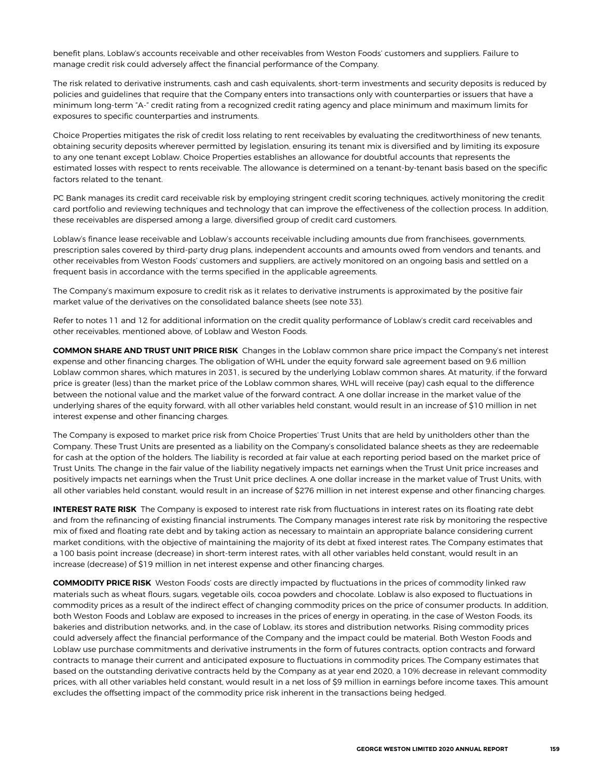benefit plans, Loblaw's accounts receivable and other receivables from Weston Foods' customers and suppliers. Failure to manage credit risk could adversely affect the financial performance of the Company.

The risk related to derivative instruments, cash and cash equivalents, short-term investments and security deposits is reduced by policies and guidelines that require that the Company enters into transactions only with counterparties or issuers that have a minimum long-term "A-" credit rating from a recognized credit rating agency and place minimum and maximum limits for exposures to specific counterparties and instruments.

Choice Properties mitigates the risk of credit loss relating to rent receivables by evaluating the creditworthiness of new tenants, obtaining security deposits wherever permitted by legislation, ensuring its tenant mix is diversified and by limiting its exposure to any one tenant except Loblaw. Choice Properties establishes an allowance for doubtful accounts that represents the estimated losses with respect to rents receivable. The allowance is determined on a tenant-by-tenant basis based on the specific factors related to the tenant.

PC Bank manages its credit card receivable risk by employing stringent credit scoring techniques, actively monitoring the credit card portfolio and reviewing techniques and technology that can improve the effectiveness of the collection process. In addition, these receivables are dispersed among a large, diversified group of credit card customers.

Loblaw's finance lease receivable and Loblaw's accounts receivable including amounts due from franchisees, governments, prescription sales covered by third-party drug plans, independent accounts and amounts owed from vendors and tenants, and other receivables from Weston Foods' customers and suppliers, are actively monitored on an ongoing basis and settled on a frequent basis in accordance with the terms specified in the applicable agreements.

The Company's maximum exposure to credit risk as it relates to derivative instruments is approximated by the positive fair market value of the derivatives on the consolidated balance sheets (see note 33).

Refer to notes 11 and 12 for additional information on the credit quality performance of Loblaw's credit card receivables and other receivables, mentioned above, of Loblaw and Weston Foods.

**COMMON SHARE AND TRUST UNIT PRICE RISK** Changes in the Loblaw common share price impact the Company's net interest expense and other financing charges. The obligation of WHL under the equity forward sale agreement based on 9.6 million Loblaw common shares, which matures in 2031, is secured by the underlying Loblaw common shares. At maturity, if the forward price is greater (less) than the market price of the Loblaw common shares, WHL will receive (pay) cash equal to the difference between the notional value and the market value of the forward contract. A one dollar increase in the market value of the underlying shares of the equity forward, with all other variables held constant, would result in an increase of \$10 million in net interest expense and other financing charges.

The Company is exposed to market price risk from Choice Properties' Trust Units that are held by unitholders other than the Company. These Trust Units are presented as a liability on the Company's consolidated balance sheets as they are redeemable for cash at the option of the holders. The liability is recorded at fair value at each reporting period based on the market price of Trust Units. The change in the fair value of the liability negatively impacts net earnings when the Trust Unit price increases and positively impacts net earnings when the Trust Unit price declines. A one dollar increase in the market value of Trust Units, with all other variables held constant, would result in an increase of \$276 million in net interest expense and other financing charges.

**INTEREST RATE RISK** The Company is exposed to interest rate risk from fluctuations in interest rates on its floating rate debt and from the refinancing of existing financial instruments. The Company manages interest rate risk by monitoring the respective mix of fixed and floating rate debt and by taking action as necessary to maintain an appropriate balance considering current market conditions, with the objective of maintaining the majority of its debt at fixed interest rates. The Company estimates that a 100 basis point increase (decrease) in short-term interest rates, with all other variables held constant, would result in an increase (decrease) of \$19 million in net interest expense and other financing charges.

**COMMODITY PRICE RISK** Weston Foods' costs are directly impacted by fluctuations in the prices of commodity linked raw materials such as wheat flours, sugars, vegetable oils, cocoa powders and chocolate. Loblaw is also exposed to fluctuations in commodity prices as a result of the indirect effect of changing commodity prices on the price of consumer products. In addition, both Weston Foods and Loblaw are exposed to increases in the prices of energy in operating, in the case of Weston Foods, its bakeries and distribution networks, and, in the case of Loblaw, its stores and distribution networks. Rising commodity prices could adversely affect the financial performance of the Company and the impact could be material. Both Weston Foods and Loblaw use purchase commitments and derivative instruments in the form of futures contracts, option contracts and forward contracts to manage their current and anticipated exposure to fluctuations in commodity prices. The Company estimates that based on the outstanding derivative contracts held by the Company as at year end 2020, a 10% decrease in relevant commodity prices, with all other variables held constant, would result in a net loss of \$9 million in earnings before income taxes. This amount excludes the offsetting impact of the commodity price risk inherent in the transactions being hedged.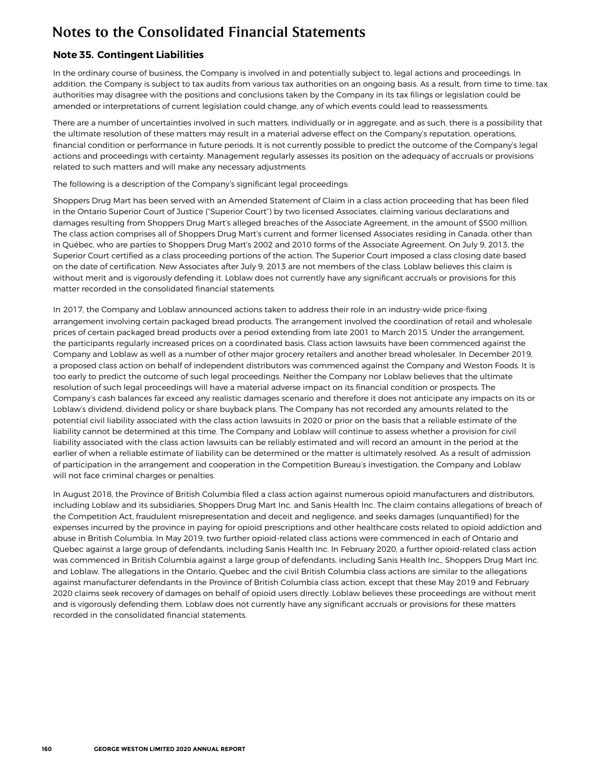## **Note 35. Contingent Liabilities**

In the ordinary course of business, the Company is involved in and potentially subject to, legal actions and proceedings. In addition, the Company is subject to tax audits from various tax authorities on an ongoing basis. As a result, from time to time, tax authorities may disagree with the positions and conclusions taken by the Company in its tax filings or legislation could be amended or interpretations of current legislation could change, any of which events could lead to reassessments.

There are a number of uncertainties involved in such matters, individually or in aggregate, and as such, there is a possibility that the ultimate resolution of these matters may result in a material adverse effect on the Company's reputation, operations, financial condition or performance in future periods. It is not currently possible to predict the outcome of the Company's legal actions and proceedings with certainty. Management regularly assesses its position on the adequacy of accruals or provisions related to such matters and will make any necessary adjustments.

The following is a description of the Company's significant legal proceedings:

Shoppers Drug Mart has been served with an Amended Statement of Claim in a class action proceeding that has been filed in the Ontario Superior Court of Justice ("Superior Court") by two licensed Associates, claiming various declarations and damages resulting from Shoppers Drug Mart's alleged breaches of the Associate Agreement, in the amount of \$500 million. The class action comprises all of Shoppers Drug Mart's current and former licensed Associates residing in Canada, other than in Québec, who are parties to Shoppers Drug Mart's 2002 and 2010 forms of the Associate Agreement. On July 9, 2013, the Superior Court certified as a class proceeding portions of the action. The Superior Court imposed a class closing date based on the date of certification. New Associates after July 9, 2013 are not members of the class. Loblaw believes this claim is without merit and is vigorously defending it. Loblaw does not currently have any significant accruals or provisions for this matter recorded in the consolidated financial statements.

In 2017, the Company and Loblaw announced actions taken to address their role in an industry-wide price-fixing arrangement involving certain packaged bread products. The arrangement involved the coordination of retail and wholesale prices of certain packaged bread products over a period extending from late 2001 to March 2015. Under the arrangement, the participants regularly increased prices on a coordinated basis. Class action lawsuits have been commenced against the Company and Loblaw as well as a number of other major grocery retailers and another bread wholesaler. In December 2019, a proposed class action on behalf of independent distributors was commenced against the Company and Weston Foods. It is too early to predict the outcome of such legal proceedings. Neither the Company nor Loblaw believes that the ultimate resolution of such legal proceedings will have a material adverse impact on its financial condition or prospects. The Company's cash balances far exceed any realistic damages scenario and therefore it does not anticipate any impacts on its or Loblaw's dividend, dividend policy or share buyback plans. The Company has not recorded any amounts related to the potential civil liability associated with the class action lawsuits in 2020 or prior on the basis that a reliable estimate of the liability cannot be determined at this time. The Company and Loblaw will continue to assess whether a provision for civil liability associated with the class action lawsuits can be reliably estimated and will record an amount in the period at the earlier of when a reliable estimate of liability can be determined or the matter is ultimately resolved. As a result of admission of participation in the arrangement and cooperation in the Competition Bureau's investigation, the Company and Loblaw will not face criminal charges or penalties.

In August 2018, the Province of British Columbia filed a class action against numerous opioid manufacturers and distributors, including Loblaw and its subsidiaries, Shoppers Drug Mart Inc. and Sanis Health Inc. The claim contains allegations of breach of the Competition Act, fraudulent misrepresentation and deceit and negligence, and seeks damages (unquantified) for the expenses incurred by the province in paying for opioid prescriptions and other healthcare costs related to opioid addiction and abuse in British Columbia. In May 2019, two further opioid-related class actions were commenced in each of Ontario and Quebec against a large group of defendants, including Sanis Health Inc. In February 2020, a further opioid-related class action was commenced in British Columbia against a large group of defendants, including Sanis Health Inc., Shoppers Drug Mart Inc. and Loblaw. The allegations in the Ontario, Quebec and the civil British Columbia class actions are similar to the allegations against manufacturer defendants in the Province of British Columbia class action, except that these May 2019 and February 2020 claims seek recovery of damages on behalf of opioid users directly. Loblaw believes these proceedings are without merit and is vigorously defending them. Loblaw does not currently have any significant accruals or provisions for these matters recorded in the consolidated financial statements.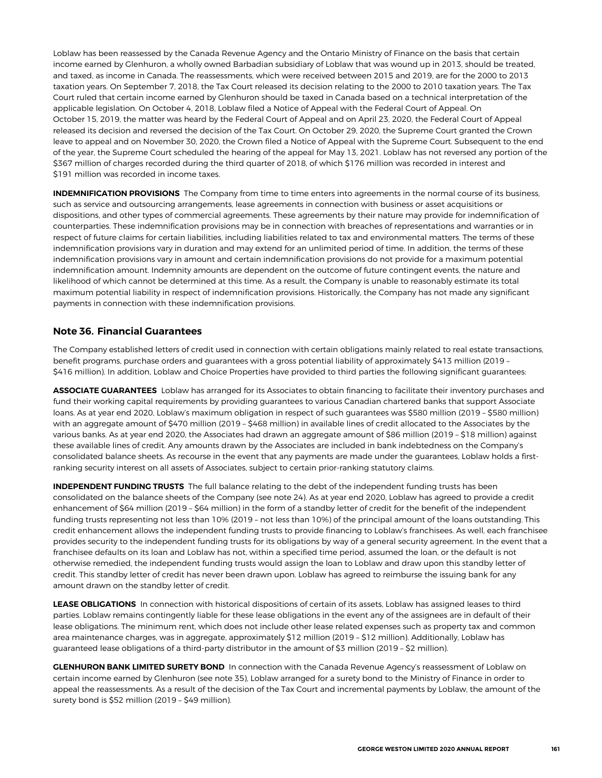Loblaw has been reassessed by the Canada Revenue Agency and the Ontario Ministry of Finance on the basis that certain income earned by Glenhuron, a wholly owned Barbadian subsidiary of Loblaw that was wound up in 2013, should be treated, and taxed, as income in Canada. The reassessments, which were received between 2015 and 2019, are for the 2000 to 2013 taxation years. On September 7, 2018, the Tax Court released its decision relating to the 2000 to 2010 taxation years. The Tax Court ruled that certain income earned by Glenhuron should be taxed in Canada based on a technical interpretation of the applicable legislation. On October 4, 2018, Loblaw filed a Notice of Appeal with the Federal Court of Appeal. On October 15, 2019, the matter was heard by the Federal Court of Appeal and on April 23, 2020, the Federal Court of Appeal released its decision and reversed the decision of the Tax Court. On October 29, 2020, the Supreme Court granted the Crown leave to appeal and on November 30, 2020, the Crown filed a Notice of Appeal with the Supreme Court. Subsequent to the end of the year, the Supreme Court scheduled the hearing of the appeal for May 13, 2021. Loblaw has not reversed any portion of the \$367 million of charges recorded during the third quarter of 2018, of which \$176 million was recorded in interest and \$191 million was recorded in income taxes.

**INDEMNIFICATION PROVISIONS** The Company from time to time enters into agreements in the normal course of its business, such as service and outsourcing arrangements, lease agreements in connection with business or asset acquisitions or dispositions, and other types of commercial agreements. These agreements by their nature may provide for indemnification of counterparties. These indemnification provisions may be in connection with breaches of representations and warranties or in respect of future claims for certain liabilities, including liabilities related to tax and environmental matters. The terms of these indemnification provisions vary in duration and may extend for an unlimited period of time. In addition, the terms of these indemnification provisions vary in amount and certain indemnification provisions do not provide for a maximum potential indemnification amount. Indemnity amounts are dependent on the outcome of future contingent events, the nature and likelihood of which cannot be determined at this time. As a result, the Company is unable to reasonably estimate its total maximum potential liability in respect of indemnification provisions. Historically, the Company has not made any significant payments in connection with these indemnification provisions.

### **Note 36. Financial Guarantees**

The Company established letters of credit used in connection with certain obligations mainly related to real estate transactions, benefit programs, purchase orders and guarantees with a gross potential liability of approximately \$413 million (2019 – \$416 million). In addition, Loblaw and Choice Properties have provided to third parties the following significant guarantees:

**ASSOCIATE GUARANTEES** Loblaw has arranged for its Associates to obtain financing to facilitate their inventory purchases and fund their working capital requirements by providing guarantees to various Canadian chartered banks that support Associate loans. As at year end 2020, Loblaw's maximum obligation in respect of such guarantees was \$580 million (2019 – \$580 million) with an aggregate amount of \$470 million (2019 – \$468 million) in available lines of credit allocated to the Associates by the various banks. As at year end 2020, the Associates had drawn an aggregate amount of \$86 million (2019 – \$18 million) against these available lines of credit. Any amounts drawn by the Associates are included in bank indebtedness on the Company's consolidated balance sheets. As recourse in the event that any payments are made under the guarantees, Loblaw holds a firstranking security interest on all assets of Associates, subject to certain prior-ranking statutory claims.

**INDEPENDENT FUNDING TRUSTS** The full balance relating to the debt of the independent funding trusts has been consolidated on the balance sheets of the Company (see note 24). As at year end 2020, Loblaw has agreed to provide a credit enhancement of \$64 million (2019 – \$64 million) in the form of a standby letter of credit for the benefit of the independent funding trusts representing not less than 10% (2019 – not less than 10%) of the principal amount of the loans outstanding. This credit enhancement allows the independent funding trusts to provide financing to Loblaw's franchisees. As well, each franchisee provides security to the independent funding trusts for its obligations by way of a general security agreement. In the event that a franchisee defaults on its loan and Loblaw has not, within a specified time period, assumed the loan, or the default is not otherwise remedied, the independent funding trusts would assign the loan to Loblaw and draw upon this standby letter of credit. This standby letter of credit has never been drawn upon. Loblaw has agreed to reimburse the issuing bank for any amount drawn on the standby letter of credit.

**LEASE OBLIGATIONS** In connection with historical dispositions of certain of its assets, Loblaw has assigned leases to third parties. Loblaw remains contingently liable for these lease obligations in the event any of the assignees are in default of their lease obligations. The minimum rent, which does not include other lease related expenses such as property tax and common area maintenance charges, was in aggregate, approximately \$12 million (2019 – \$12 million). Additionally, Loblaw has guaranteed lease obligations of a third-party distributor in the amount of \$3 million (2019 – \$2 million).

**GLENHURON BANK LIMITED SURETY BOND** In connection with the Canada Revenue Agency's reassessment of Loblaw on certain income earned by Glenhuron (see note 35), Loblaw arranged for a surety bond to the Ministry of Finance in order to appeal the reassessments. As a result of the decision of the Tax Court and incremental payments by Loblaw, the amount of the surety bond is \$52 million (2019 – \$49 million).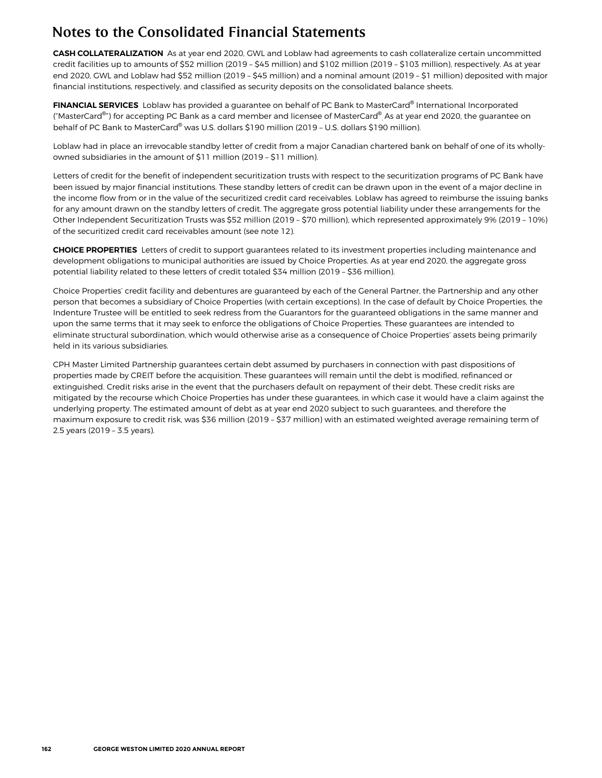## Notes to the Consolidated Financial Statements

**CASH COLLATERALIZATION** As at year end 2020, GWL and Loblaw had agreements to cash collateralize certain uncommitted credit facilities up to amounts of \$52 million (2019 – \$45 million) and \$102 million (2019 – \$103 million), respectively. As at year end 2020, GWL and Loblaw had \$52 million (2019 – \$45 million) and a nominal amount (2019 – \$1 million) deposited with major financial institutions, respectively, and classified as security deposits on the consolidated balance sheets.

**FINANCIAL SERVICES** Loblaw has provided a guarantee on behalf of PC Bank to MasterCard® International Incorporated ("MasterCard®") for accepting PC Bank as a card member and licensee of MasterCard® As at year end 2020, the guarantee on behalf of PC Bank to MasterCard® was U.S. dollars \$190 million (2019 - U.S. dollars \$190 million).

Loblaw had in place an irrevocable standby letter of credit from a major Canadian chartered bank on behalf of one of its whollyowned subsidiaries in the amount of \$11 million (2019 – \$11 million).

Letters of credit for the benefit of independent securitization trusts with respect to the securitization programs of PC Bank have been issued by major financial institutions. These standby letters of credit can be drawn upon in the event of a major decline in the income flow from or in the value of the securitized credit card receivables. Loblaw has agreed to reimburse the issuing banks for any amount drawn on the standby letters of credit. The aggregate gross potential liability under these arrangements for the Other Independent Securitization Trusts was \$52 million (2019 – \$70 million), which represented approximately 9% (2019 – 10%) of the securitized credit card receivables amount (see note 12).

**CHOICE PROPERTIES** Letters of credit to support guarantees related to its investment properties including maintenance and development obligations to municipal authorities are issued by Choice Properties. As at year end 2020, the aggregate gross potential liability related to these letters of credit totaled \$34 million (2019 – \$36 million).

Choice Properties' credit facility and debentures are guaranteed by each of the General Partner, the Partnership and any other person that becomes a subsidiary of Choice Properties (with certain exceptions). In the case of default by Choice Properties, the Indenture Trustee will be entitled to seek redress from the Guarantors for the guaranteed obligations in the same manner and upon the same terms that it may seek to enforce the obligations of Choice Properties. These guarantees are intended to eliminate structural subordination, which would otherwise arise as a consequence of Choice Properties' assets being primarily held in its various subsidiaries.

CPH Master Limited Partnership guarantees certain debt assumed by purchasers in connection with past dispositions of properties made by CREIT before the acquisition. These guarantees will remain until the debt is modified, refinanced or extinguished. Credit risks arise in the event that the purchasers default on repayment of their debt. These credit risks are mitigated by the recourse which Choice Properties has under these guarantees, in which case it would have a claim against the underlying property. The estimated amount of debt as at year end 2020 subject to such guarantees, and therefore the maximum exposure to credit risk, was \$36 million (2019 – \$37 million) with an estimated weighted average remaining term of 2.5 years (2019 – 3.5 years).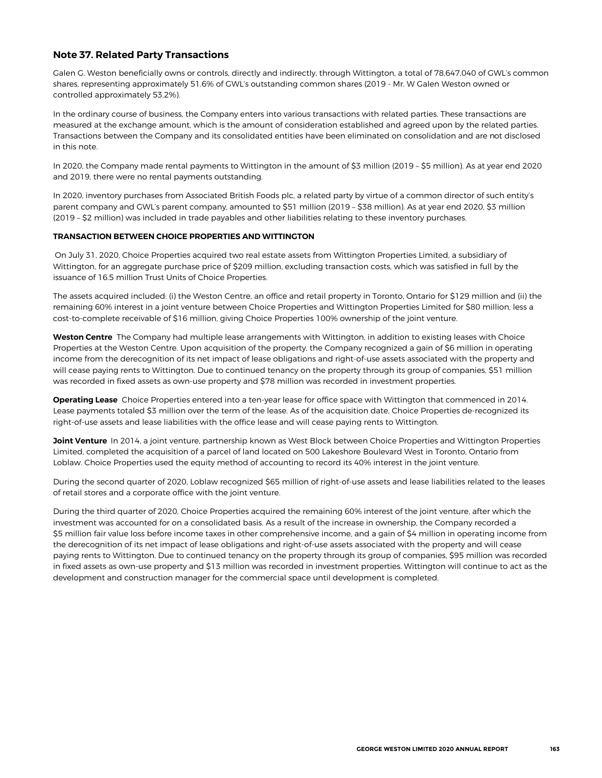### **Note 37. Related Party Transactions**

Galen G. Weston beneficially owns or controls, directly and indirectly, through Wittington, a total of 78,647,040 of GWL's common shares, representing approximately 51.6% of GWL's outstanding common shares (2019 - Mr. W Galen Weston owned or controlled approximately 53.2%).

In the ordinary course of business, the Company enters into various transactions with related parties. These transactions are measured at the exchange amount, which is the amount of consideration established and agreed upon by the related parties. Transactions between the Company and its consolidated entities have been eliminated on consolidation and are not disclosed in this note.

In 2020, the Company made rental payments to Wittington in the amount of \$3 million (2019 – \$5 million). As at year end 2020 and 2019, there were no rental payments outstanding.

In 2020, inventory purchases from Associated British Foods plc, a related party by virtue of a common director of such entity's parent company and GWL's parent company, amounted to \$51 million (2019 – \$38 million). As at year end 2020, \$3 million (2019 – \$2 million) was included in trade payables and other liabilities relating to these inventory purchases.

#### **TRANSACTION BETWEEN CHOICE PROPERTIES AND WITTINGTON**

On July 31, 2020, Choice Properties acquired two real estate assets from Wittington Properties Limited, a subsidiary of Wittington, for an aggregate purchase price of \$209 million, excluding transaction costs, which was satisfied in full by the issuance of 16.5 million Trust Units of Choice Properties.

The assets acquired included: (i) the Weston Centre, an office and retail property in Toronto, Ontario for \$129 million and (ii) the remaining 60% interest in a joint venture between Choice Properties and Wittington Properties Limited for \$80 million, less a cost-to-complete receivable of \$16 million, giving Choice Properties 100% ownership of the joint venture.

**Weston Centre** The Company had multiple lease arrangements with Wittington, in addition to existing leases with Choice Properties at the Weston Centre. Upon acquisition of the property, the Company recognized a gain of \$6 million in operating income from the derecognition of its net impact of lease obligations and right-of-use assets associated with the property and will cease paying rents to Wittington. Due to continued tenancy on the property through its group of companies, \$51 million was recorded in fixed assets as own-use property and \$78 million was recorded in investment properties.

**Operating Lease** Choice Properties entered into a ten-year lease for office space with Wittington that commenced in 2014. Lease payments totaled \$3 million over the term of the lease. As of the acquisition date, Choice Properties de-recognized its right-of-use assets and lease liabilities with the office lease and will cease paying rents to Wittington.

**Joint Venture** In 2014, a joint venture, partnership known as West Block between Choice Properties and Wittington Properties Limited, completed the acquisition of a parcel of land located on 500 Lakeshore Boulevard West in Toronto, Ontario from Loblaw. Choice Properties used the equity method of accounting to record its 40% interest in the joint venture.

During the second quarter of 2020, Loblaw recognized \$65 million of right-of-use assets and lease liabilities related to the leases of retail stores and a corporate office with the joint venture.

During the third quarter of 2020, Choice Properties acquired the remaining 60% interest of the joint venture, after which the investment was accounted for on a consolidated basis. As a result of the increase in ownership, the Company recorded a \$5 million fair value loss before income taxes in other comprehensive income, and a gain of \$4 million in operating income from the derecognition of its net impact of lease obligations and right-of-use assets associated with the property and will cease paying rents to Wittington. Due to continued tenancy on the property through its group of companies, \$95 million was recorded in fixed assets as own-use property and \$13 million was recorded in investment properties. Wittington will continue to act as the development and construction manager for the commercial space until development is completed.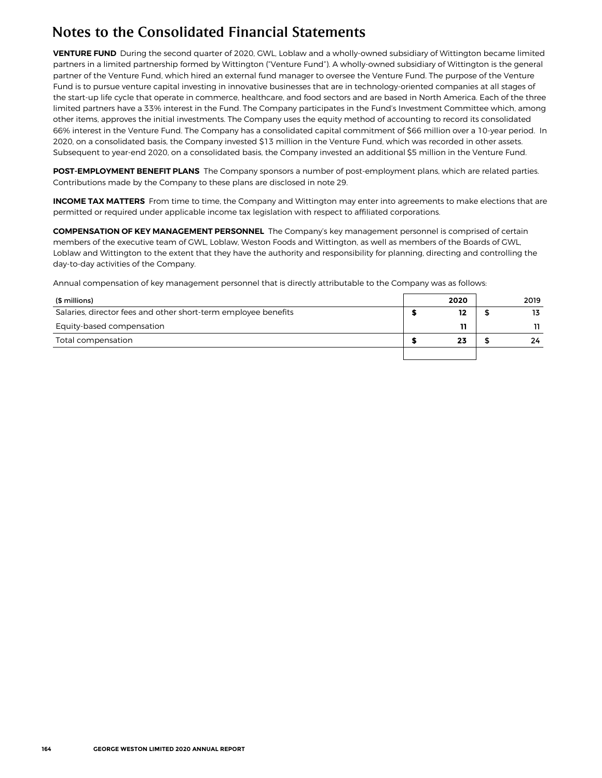## Notes to the Consolidated Financial Statements

**VENTURE FUND** During the second quarter of 2020, GWL, Loblaw and a wholly-owned subsidiary of Wittington became limited partners in a limited partnership formed by Wittington ("Venture Fund"). A wholly-owned subsidiary of Wittington is the general partner of the Venture Fund, which hired an external fund manager to oversee the Venture Fund. The purpose of the Venture Fund is to pursue venture capital investing in innovative businesses that are in technology-oriented companies at all stages of the start-up life cycle that operate in commerce, healthcare, and food sectors and are based in North America. Each of the three limited partners have a 33% interest in the Fund. The Company participates in the Fund's Investment Committee which, among other items, approves the initial investments. The Company uses the equity method of accounting to record its consolidated 66% interest in the Venture Fund. The Company has a consolidated capital commitment of \$66 million over a 10-year period. In 2020, on a consolidated basis, the Company invested \$13 million in the Venture Fund, which was recorded in other assets. Subsequent to year-end 2020, on a consolidated basis, the Company invested an additional \$5 million in the Venture Fund.

**POST-EMPLOYMENT BENEFIT PLANS** The Company sponsors a number of post-employment plans, which are related parties. Contributions made by the Company to these plans are disclosed in note 29.

**INCOME TAX MATTERS** From time to time, the Company and Wittington may enter into agreements to make elections that are permitted or required under applicable income tax legislation with respect to affiliated corporations.

**COMPENSATION OF KEY MANAGEMENT PERSONNEL** The Company's key management personnel is comprised of certain members of the executive team of GWL, Loblaw, Weston Foods and Wittington, as well as members of the Boards of GWL, Loblaw and Wittington to the extent that they have the authority and responsibility for planning, directing and controlling the day-to-day activities of the Company.

Annual compensation of key management personnel that is directly attributable to the Company was as follows:

| (\$ millions)                                                  | 2020 | 2019 |
|----------------------------------------------------------------|------|------|
| Salaries, director fees and other short-term employee benefits | 12   |      |
| Equity-based compensation                                      | יי   |      |
| Total compensation                                             | 23   | 24   |
|                                                                |      |      |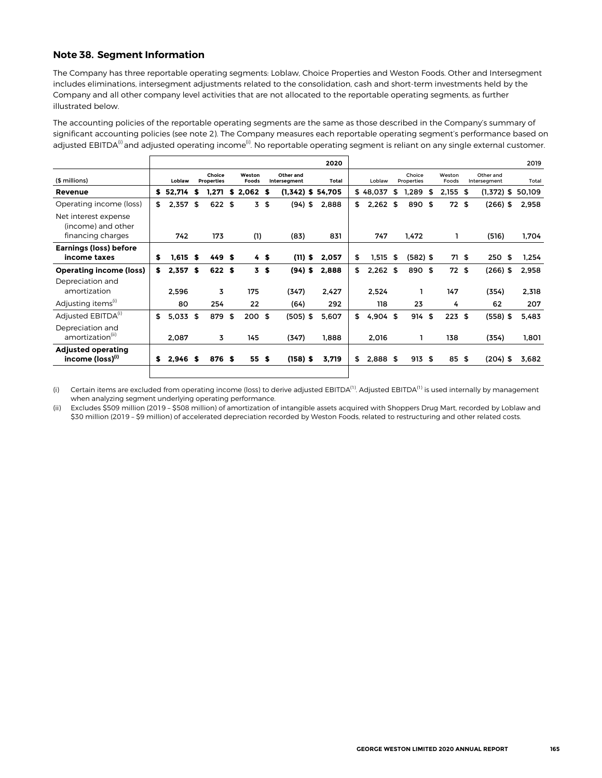## **Note 38. Segment Information**

The Company has three reportable operating segments: Loblaw, Choice Properties and Weston Foods. Other and Intersegment includes eliminations, intersegment adjustments related to the consolidation, cash and short-term investments held by the Company and all other company level activities that are not allocated to the reportable operating segments, as further illustrated below.

The accounting policies of the reportable operating segments are the same as those described in the Company's summary of significant accounting policies (see note 2). The Company measures each reportable operating segment's performance based on adjusted EBITDA<sup>(i)</sup> and adjusted operating income<sup>(i)</sup>. No reportable operating segment is reliant on any single external customer.

|                                                                 |     |            |      |                             |                 |                           | 2020  |                  |                      |                 |                           | 2019        |
|-----------------------------------------------------------------|-----|------------|------|-----------------------------|-----------------|---------------------------|-------|------------------|----------------------|-----------------|---------------------------|-------------|
| (\$ millions)                                                   |     | Loblaw     |      | Choice<br><b>Properties</b> | Weston<br>Foods | Other and<br>Intersegment | Total | Loblaw           | Choice<br>Properties | Weston<br>Foods | Other and<br>Intersegment | Total       |
| Revenue                                                         | s.  | 52,714     | \$   | 1,271                       | $$2,062$ \$     | $(1,342)$ \$ 54,705       |       | \$48,037         | \$<br>1,289          | \$<br>2,155     | \$<br>$(1,372)$ \$        | 50.109      |
| Operating income (loss)                                         | \$  | $2,357$ \$ |      | 622 \$                      | 3               | \$<br>$(94)$ \$           | 2,888 | \$<br>$2,262$ \$ | 890 \$               | 72S             | $(266)$ \$                | 2,958       |
| Net interest expense<br>(income) and other<br>financing charges |     | 742        |      | 173                         | (1)             | (83)                      | 831   | 747              | 1,472                | ı               | (516)                     | 1,704       |
| <b>Earnings (loss) before</b>                                   |     |            |      |                             |                 |                           |       |                  |                      |                 |                           |             |
| income taxes                                                    | s   | $1.615$ \$ |      | 449S                        | 4\$             | $(11)$ \$                 | 2.057 | \$<br>1,515      | \$<br>$(582)$ \$     | 71 \$           | 250                       | \$<br>1,254 |
| <b>Operating income (loss)</b>                                  | \$. | 2,357      | - \$ | 622 \$                      | 3 <sub>5</sub>  | $(94)$ \$                 | 2.888 | \$<br>2,262      | \$<br>890 \$         | 72 \$           | $(266)$ \$                | 2,958       |
| Depreciation and                                                |     |            |      |                             |                 |                           |       |                  |                      |                 |                           |             |
| amortization                                                    |     | 2,596      |      | 3                           | 175             | (347)                     | 2,427 | 2,524            |                      | 147             | (354)                     | 2,318       |
| Adjusting items <sup>(1)</sup>                                  |     | 80         |      | 254                         | 22              | (64)                      | 292   | 118              | 23                   | 4               | 62                        | 207         |
| Adjusted EBITDA <sup>(1)</sup>                                  | \$  | $5,033$ \$ |      | 879                         | \$<br>$200$ \$  | (505) \$                  | 5,607 | \$<br>$4,904$ \$ | 914                  | \$<br>223S      | $(558)$ \$                | 5,483       |
| Depreciation and<br>amortization <sup>(11)</sup>                |     | 2,087      |      | 3                           | 145             | (347)                     | 1,888 | 2,016            |                      | 138             | (354)                     | 1,801       |
| <b>Adjusted operating</b><br>income (loss) <sup>(1)</sup>       | s   | $2,946$ \$ |      | 876 \$                      | 55S             | $(158)$ \$                | 3,719 | \$<br>2,888 \$   | 913S                 | 85S             | $(204)$ \$                | 3,682       |
|                                                                 |     |            |      |                             |                 |                           |       |                  |                      |                 |                           |             |

(i) Certain items are excluded from operating income (loss) to derive adjusted EBITDA<sup>(1)</sup>. Adjusted EBITDA<sup>(1)</sup> is used internally by management when analyzing segment underlying operating performance.

(ii) Excludes \$509 million (2019 – \$508 million) of amortization of intangible assets acquired with Shoppers Drug Mart, recorded by Loblaw and \$30 million (2019 – \$9 million) of accelerated depreciation recorded by Weston Foods, related to restructuring and other related costs.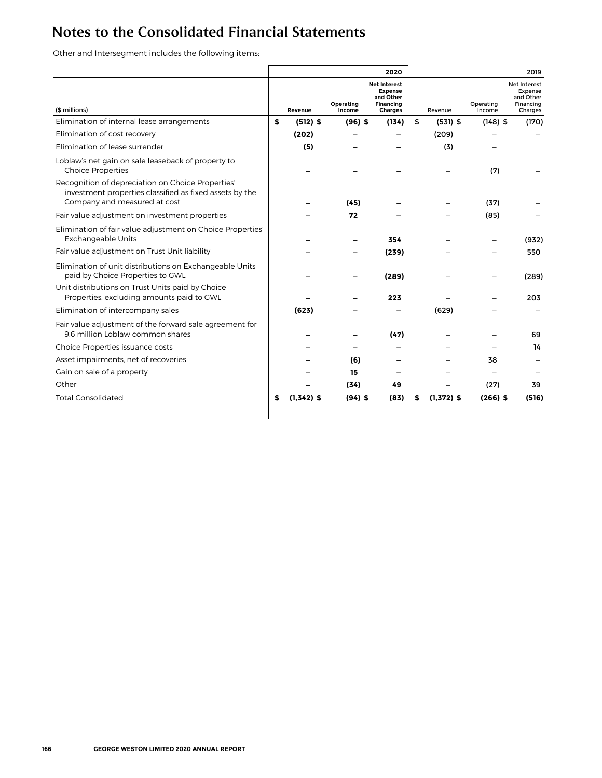# Notes to the Consolidated Financial Statements

Other and Intersegment includes the following items:

|                                                                                                                                              |    |              |                     | 2020                                                                                     |                    |                     |                                                                            | 2019  |
|----------------------------------------------------------------------------------------------------------------------------------------------|----|--------------|---------------------|------------------------------------------------------------------------------------------|--------------------|---------------------|----------------------------------------------------------------------------|-------|
| (\$ millions)                                                                                                                                |    | Revenue      | Operating<br>Income | <b>Net Interest</b><br><b>Expense</b><br>and Other<br><b>Financing</b><br><b>Charges</b> | Revenue            | Operating<br>Income | <b>Net Interest</b><br><b>Expense</b><br>and Other<br>Financing<br>Charges |       |
| Elimination of internal lease arrangements                                                                                                   | s  | $(512)$ \$   | $(96)$ \$           | (134)                                                                                    | \$<br>$(531)$ \$   | $(148)$ \$          |                                                                            | (170) |
| Elimination of cost recovery                                                                                                                 |    | (202)        |                     |                                                                                          | (209)              |                     |                                                                            |       |
| Elimination of lease surrender                                                                                                               |    | (5)          |                     |                                                                                          | (3)                |                     |                                                                            |       |
| Loblaw's net gain on sale leaseback of property to<br><b>Choice Properties</b>                                                               |    |              |                     |                                                                                          |                    | (7)                 |                                                                            |       |
| Recognition of depreciation on Choice Properties'<br>investment properties classified as fixed assets by the<br>Company and measured at cost |    |              | (45)                |                                                                                          |                    | (37)                |                                                                            |       |
| Fair value adjustment on investment properties                                                                                               |    |              | 72                  |                                                                                          |                    | (85)                |                                                                            |       |
| Elimination of fair value adjustment on Choice Properties'<br><b>Exchangeable Units</b>                                                      |    |              |                     | 354                                                                                      |                    |                     |                                                                            | (932) |
| Fair value adjustment on Trust Unit liability                                                                                                |    |              |                     | (239)                                                                                    |                    |                     |                                                                            | 550   |
| Elimination of unit distributions on Exchangeable Units<br>paid by Choice Properties to GWL                                                  |    |              |                     | (289)                                                                                    |                    |                     |                                                                            | (289) |
| Unit distributions on Trust Units paid by Choice<br>Properties, excluding amounts paid to GWL                                                |    |              |                     | 223                                                                                      |                    |                     |                                                                            | 203   |
| Elimination of intercompany sales                                                                                                            |    | (623)        |                     |                                                                                          | (629)              |                     |                                                                            |       |
| Fair value adjustment of the forward sale agreement for<br>9.6 million Loblaw common shares                                                  |    |              |                     | (47)                                                                                     |                    |                     |                                                                            | 69    |
| Choice Properties issuance costs                                                                                                             |    |              |                     |                                                                                          |                    |                     |                                                                            | 14    |
| Asset impairments, net of recoveries                                                                                                         |    |              | (6)                 | $\overline{\phantom{0}}$                                                                 |                    | 38                  |                                                                            |       |
| Gain on sale of a property                                                                                                                   |    |              | 15                  |                                                                                          |                    |                     |                                                                            |       |
| Other                                                                                                                                        |    |              | (34)                | 49                                                                                       |                    | (27)                |                                                                            | 39    |
| <b>Total Consolidated</b>                                                                                                                    | \$ | $(1,342)$ \$ | $(94)$ \$           | (83)                                                                                     | \$<br>$(1.372)$ \$ | $(266)$ \$          |                                                                            | (516) |
|                                                                                                                                              |    |              |                     |                                                                                          |                    |                     |                                                                            |       |